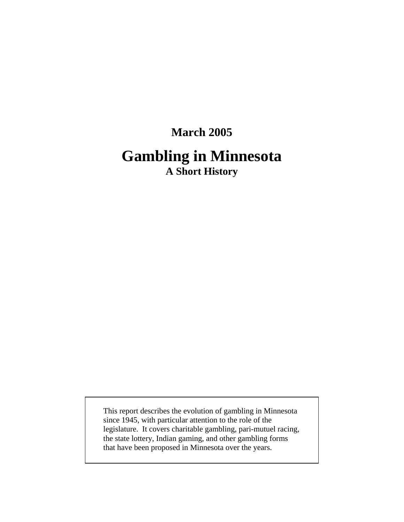# **March 2005 Gambling in Minnesota A Short History**

This report describes the evolution of gambling in Minnesota since 1945, with particular attention to the role of the legislature. It covers charitable gambling, pari-mutuel racing, the state lottery, Indian gaming, and other gambling forms that have been proposed in Minnesota over the years.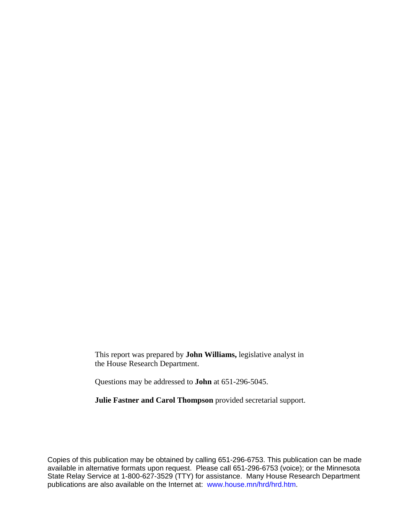This report was prepared by **John Williams,** legislative analyst in the House Research Department.

Questions may be addressed to **John** at 651-296-5045.

**Julie Fastner and Carol Thompson** provided secretarial support.

Copies of this publication may be obtained by calling 651-296-6753. This publication can be made available in alternative formats upon request. Please call 651-296-6753 (voice); or the Minnesota State Relay Service at 1-800-627-3529 (TTY) for assistance. Many House Research Department publications are also available on the Internet at: [www.house.mn/hrd/hrd.htm](http://www.house.mn/hrd/hrd.htm).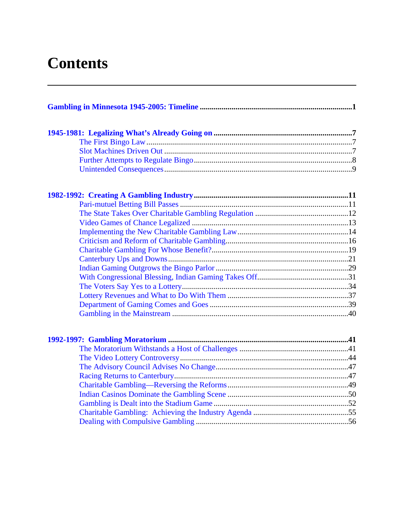# **Contents**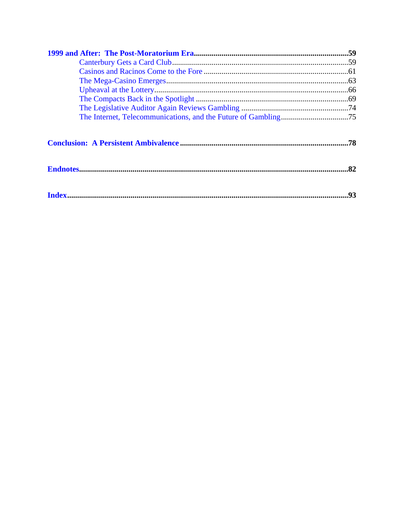| .93 |
|-----|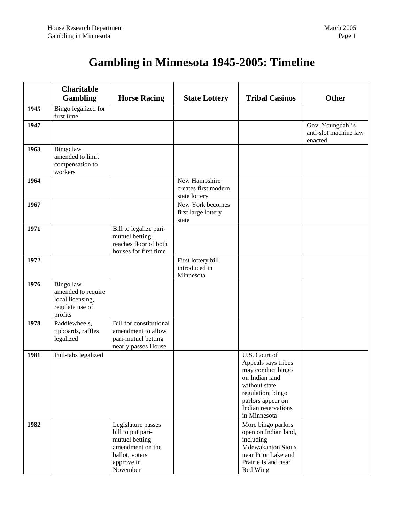## **Gambling in Minnesota 1945-2005: Timeline**

<span id="page-4-0"></span>

|      | <b>Charitable</b><br><b>Gambling</b>                                              | <b>Horse Racing</b>                                                                                                       | <b>State Lottery</b>                                   | <b>Tribal Casinos</b>                                                                                                                                                         | <b>Other</b>                                         |
|------|-----------------------------------------------------------------------------------|---------------------------------------------------------------------------------------------------------------------------|--------------------------------------------------------|-------------------------------------------------------------------------------------------------------------------------------------------------------------------------------|------------------------------------------------------|
| 1945 | Bingo legalized for<br>first time                                                 |                                                                                                                           |                                                        |                                                                                                                                                                               |                                                      |
| 1947 |                                                                                   |                                                                                                                           |                                                        |                                                                                                                                                                               | Gov. Youngdahl's<br>anti-slot machine law<br>enacted |
| 1963 | Bingo law<br>amended to limit<br>compensation to<br>workers                       |                                                                                                                           |                                                        |                                                                                                                                                                               |                                                      |
| 1964 |                                                                                   |                                                                                                                           | New Hampshire<br>creates first modern<br>state lottery |                                                                                                                                                                               |                                                      |
| 1967 |                                                                                   |                                                                                                                           | New York becomes<br>first large lottery<br>state       |                                                                                                                                                                               |                                                      |
| 1971 |                                                                                   | Bill to legalize pari-<br>mutuel betting<br>reaches floor of both<br>houses for first time                                |                                                        |                                                                                                                                                                               |                                                      |
| 1972 |                                                                                   |                                                                                                                           | First lottery bill<br>introduced in<br>Minnesota       |                                                                                                                                                                               |                                                      |
| 1976 | Bingo law<br>amended to require<br>local licensing,<br>regulate use of<br>profits |                                                                                                                           |                                                        |                                                                                                                                                                               |                                                      |
| 1978 | Paddlewheels,<br>tipboards, raffles<br>legalized                                  | <b>Bill for constitutional</b><br>amendment to allow<br>pari-mutuel betting<br>nearly passes House                        |                                                        |                                                                                                                                                                               |                                                      |
| 1981 | Pull-tabs legalized                                                               |                                                                                                                           |                                                        | U.S. Court of<br>Appeals says tribes<br>may conduct bingo<br>on Indian land<br>without state<br>regulation; bingo<br>parlors appear on<br>Indian reservations<br>in Minnesota |                                                      |
| 1982 |                                                                                   | Legislature passes<br>bill to put pari-<br>mutuel betting<br>amendment on the<br>ballot; voters<br>approve in<br>November |                                                        | More bingo parlors<br>open on Indian land,<br>including<br><b>Mdewakanton Sioux</b><br>near Prior Lake and<br>Prairie Island near<br>Red Wing                                 |                                                      |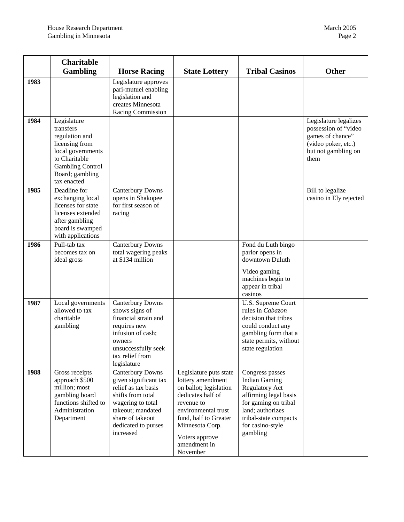|      | <b>Charitable</b><br><b>Gambling</b>                                                                                                                            | <b>Horse Racing</b>                                                                                                                                                                     | <b>State Lottery</b>                                                                                                                                                                                                      | <b>Tribal Casinos</b>                                                                                                                                                                          | <b>Other</b>                                                                                                            |
|------|-----------------------------------------------------------------------------------------------------------------------------------------------------------------|-----------------------------------------------------------------------------------------------------------------------------------------------------------------------------------------|---------------------------------------------------------------------------------------------------------------------------------------------------------------------------------------------------------------------------|------------------------------------------------------------------------------------------------------------------------------------------------------------------------------------------------|-------------------------------------------------------------------------------------------------------------------------|
| 1983 |                                                                                                                                                                 | Legislature approves<br>pari-mutuel enabling<br>legislation and<br>creates Minnesota<br>Racing Commission                                                                               |                                                                                                                                                                                                                           |                                                                                                                                                                                                |                                                                                                                         |
| 1984 | Legislature<br>transfers<br>regulation and<br>licensing from<br>local governments<br>to Charitable<br><b>Gambling Control</b><br>Board; gambling<br>tax enacted |                                                                                                                                                                                         |                                                                                                                                                                                                                           |                                                                                                                                                                                                | Legislature legalizes<br>possession of "video<br>games of chance"<br>(video poker, etc.)<br>but not gambling on<br>them |
| 1985 | Deadline for<br>exchanging local<br>licenses for state<br>licenses extended<br>after gambling<br>board is swamped<br>with applications                          | <b>Canterbury Downs</b><br>opens in Shakopee<br>for first season of<br>racing                                                                                                           |                                                                                                                                                                                                                           |                                                                                                                                                                                                | Bill to legalize<br>casino in Ely rejected                                                                              |
| 1986 | Pull-tab tax<br>becomes tax on<br>ideal gross                                                                                                                   | <b>Canterbury Downs</b><br>total wagering peaks<br>at \$134 million                                                                                                                     |                                                                                                                                                                                                                           | Fond du Luth bingo<br>parlor opens in<br>downtown Duluth<br>Video gaming<br>machines begin to<br>appear in tribal<br>casinos                                                                   |                                                                                                                         |
| 1987 | Local governments<br>allowed to tax<br>charitable<br>gambling                                                                                                   | <b>Canterbury Downs</b><br>shows signs of<br>financial strain and<br>requires new<br>infusion of cash;<br>owners<br>unsuccessfully seek<br>tax relief from<br>legislature               |                                                                                                                                                                                                                           | U.S. Supreme Court<br>rules in Cabazon<br>decision that tribes<br>could conduct any<br>gambling form that a<br>state permits, without<br>state regulation                                      |                                                                                                                         |
| 1988 | Gross receipts<br>approach \$500<br>million; most<br>gambling board<br>functions shifted to<br>Administration<br>Department                                     | Canterbury Downs<br>given significant tax<br>relief as tax basis<br>shifts from total<br>wagering to total<br>takeout; mandated<br>share of takeout<br>dedicated to purses<br>increased | Legislature puts state<br>lottery amendment<br>on ballot; legislation<br>dedicates half of<br>revenue to<br>environmental trust<br>fund, half to Greater<br>Minnesota Corp.<br>Voters approve<br>amendment in<br>November | Congress passes<br><b>Indian Gaming</b><br><b>Regulatory Act</b><br>affirming legal basis<br>for gaming on tribal<br>land; authorizes<br>tribal-state compacts<br>for casino-style<br>gambling |                                                                                                                         |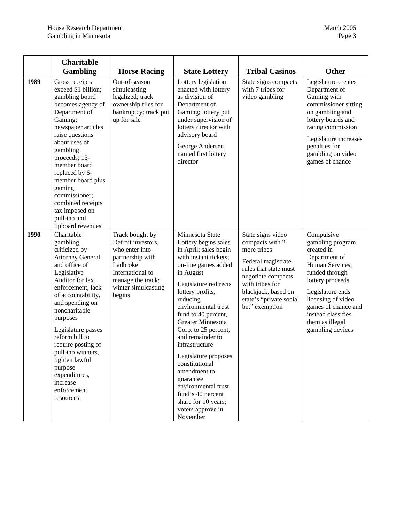|      | <b>Charitable</b><br><b>Gambling</b>                                                                                                                                                                                                                                                                                                                                                      | <b>Horse Racing</b>                                                                                                                                               | <b>State Lottery</b>                                                                                                                                                                                                                                                                                                                                                                                                                                                                               | <b>Tribal Casinos</b>                                                                                                                                                                                           | <b>Other</b>                                                                                                                                                                                                                                         |
|------|-------------------------------------------------------------------------------------------------------------------------------------------------------------------------------------------------------------------------------------------------------------------------------------------------------------------------------------------------------------------------------------------|-------------------------------------------------------------------------------------------------------------------------------------------------------------------|----------------------------------------------------------------------------------------------------------------------------------------------------------------------------------------------------------------------------------------------------------------------------------------------------------------------------------------------------------------------------------------------------------------------------------------------------------------------------------------------------|-----------------------------------------------------------------------------------------------------------------------------------------------------------------------------------------------------------------|------------------------------------------------------------------------------------------------------------------------------------------------------------------------------------------------------------------------------------------------------|
| 1989 | Gross receipts<br>exceed \$1 billion;<br>gambling board<br>becomes agency of<br>Department of<br>Gaming;<br>newspaper articles<br>raise questions<br>about uses of<br>gambling<br>proceeds; 13-<br>member board<br>replaced by 6-<br>member board plus<br>gaming<br>commissioner;<br>combined receipts<br>tax imposed on<br>pull-tab and<br>tipboard revenues                             | Out-of-season<br>simulcasting<br>legalized; track<br>ownership files for<br>bankruptcy; track put<br>up for sale                                                  | Lottery legislation<br>enacted with lottery<br>as division of<br>Department of<br>Gaming; lottery put<br>under supervision of<br>lottery director with<br>advisory board<br>George Andersen<br>named first lottery<br>director                                                                                                                                                                                                                                                                     | State signs compacts<br>with 7 tribes for<br>video gambling                                                                                                                                                     | Legislature creates<br>Department of<br>Gaming with<br>commissioner sitting<br>on gambling and<br>lottery boards and<br>racing commission<br>Legislature increases<br>penalties for<br>gambling on video<br>games of chance                          |
| 1990 | Charitable<br>gambling<br>criticized by<br><b>Attorney General</b><br>and office of<br>Legislative<br>Auditor for lax<br>enforcement, lack<br>of accountability,<br>and spending on<br>noncharitable<br>purposes<br>Legislature passes<br>reform bill to<br>require posting of<br>pull-tab winners,<br>tighten lawful<br>purpose<br>expenditures,<br>increase<br>enforcement<br>resources | Track bought by<br>Detroit investors,<br>who enter into<br>partnership with<br>Ladbroke<br>International to<br>manage the track;<br>winter simulcasting<br>begins | Minnesota State<br>Lottery begins sales<br>in April; sales begin<br>with instant tickets;<br>on-line games added<br>in August<br>Legislature redirects<br>lottery profits,<br>reducing<br>environmental trust<br>fund to 40 percent,<br>Greater Minnesota<br>Corp. to 25 percent,<br>and remainder to<br>infrastructure<br>Legislature proposes<br>constitutional<br>amendment to<br>guarantee<br>environmental trust<br>fund's 40 percent<br>share for 10 years;<br>voters approve in<br>November | State signs video<br>compacts with 2<br>more tribes<br>Federal magistrate<br>rules that state must<br>negotiate compacts<br>with tribes for<br>blackjack, based on<br>state's "private social<br>bet" exemption | Compulsive<br>gambling program<br>created in<br>Department of<br>Human Services,<br>funded through<br>lottery proceeds<br>Legislature ends<br>licensing of video<br>games of chance and<br>instead classifies<br>them as illegal<br>gambling devices |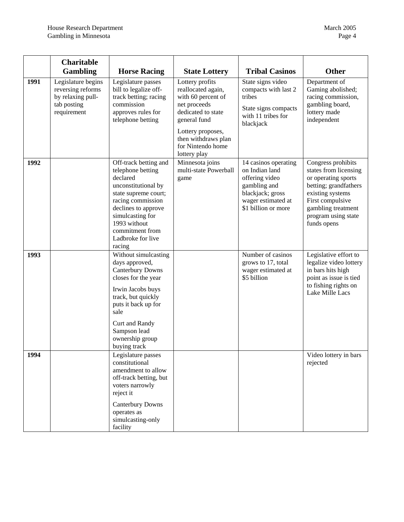|      | <b>Charitable</b><br><b>Gambling</b>                                                       | <b>Horse Racing</b>                                                                                                                                                                                                                     | <b>State Lottery</b>                                                                                                                                                                               | <b>Tribal Casinos</b>                                                                                                                     | <b>Other</b>                                                                                                                                                                                    |
|------|--------------------------------------------------------------------------------------------|-----------------------------------------------------------------------------------------------------------------------------------------------------------------------------------------------------------------------------------------|----------------------------------------------------------------------------------------------------------------------------------------------------------------------------------------------------|-------------------------------------------------------------------------------------------------------------------------------------------|-------------------------------------------------------------------------------------------------------------------------------------------------------------------------------------------------|
| 1991 | Legislature begins<br>reversing reforms<br>by relaxing pull-<br>tab posting<br>requirement | Legislature passes<br>bill to legalize off-<br>track betting; racing<br>commission<br>approves rules for<br>telephone betting                                                                                                           | Lottery profits<br>reallocated again,<br>with 60 percent of<br>net proceeds<br>dedicated to state<br>general fund<br>Lottery proposes,<br>then withdraws plan<br>for Nintendo home<br>lottery play | State signs video<br>compacts with last 2<br>tribes<br>State signs compacts<br>with 11 tribes for<br>blackjack                            | Department of<br>Gaming abolished;<br>racing commission,<br>gambling board,<br>lottery made<br>independent                                                                                      |
| 1992 |                                                                                            | Off-track betting and<br>telephone betting<br>declared<br>unconstitutional by<br>state supreme court;<br>racing commission<br>declines to approve<br>simulcasting for<br>1993 without<br>commitment from<br>Ladbroke for live<br>racing | Minnesota joins<br>multi-state Powerball<br>game                                                                                                                                                   | 14 casinos operating<br>on Indian land<br>offering video<br>gambling and<br>blackjack; gross<br>wager estimated at<br>\$1 billion or more | Congress prohibits<br>states from licensing<br>or operating sports<br>betting; grandfathers<br>existing systems<br>First compulsive<br>gambling treatment<br>program using state<br>funds opens |
| 1993 |                                                                                            | Without simulcasting<br>days approved,<br><b>Canterbury Downs</b><br>closes for the year<br>Irwin Jacobs buys<br>track, but quickly<br>puts it back up for<br>sale<br>Curt and Randy<br>Sampson lead<br>ownership group<br>buying track |                                                                                                                                                                                                    | Number of casinos<br>grows to 17, total<br>wager estimated at<br>\$5 billion                                                              | Legislative effort to<br>legalize video lottery<br>in bars hits high<br>point as issue is tied<br>to fishing rights on<br>Lake Mille Lacs                                                       |
| 1994 |                                                                                            | Legislature passes<br>constitutional<br>amendment to allow<br>off-track betting, but<br>voters narrowly<br>reject it<br><b>Canterbury Downs</b><br>operates as<br>simulcasting-only<br>facility                                         |                                                                                                                                                                                                    |                                                                                                                                           | Video lottery in bars<br>rejected                                                                                                                                                               |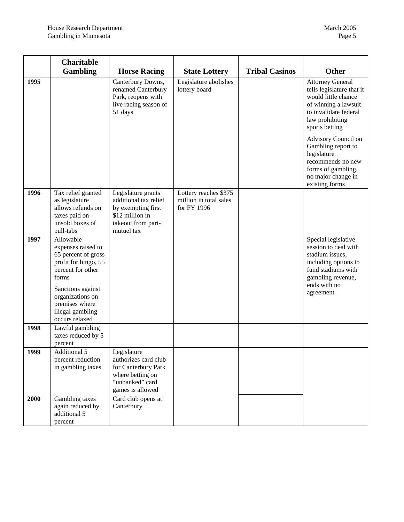|      | <b>Charitable</b><br><b>Gambling</b>                                                                                                                                                                          | <b>Horse Racing</b>                                                                                                      | <b>State Lottery</b>                                           | <b>Tribal Casinos</b> | <b>Other</b>                                                                                                                                                                                                                                                                                                     |
|------|---------------------------------------------------------------------------------------------------------------------------------------------------------------------------------------------------------------|--------------------------------------------------------------------------------------------------------------------------|----------------------------------------------------------------|-----------------------|------------------------------------------------------------------------------------------------------------------------------------------------------------------------------------------------------------------------------------------------------------------------------------------------------------------|
| 1995 |                                                                                                                                                                                                               | Canterbury Downs,<br>renamed Canterbury<br>Park, reopens with<br>live racing season of<br>51 days                        | Legislature abolishes<br>lottery board                         |                       | <b>Attorney General</b><br>tells legislature that it<br>would little chance<br>of winning a lawsuit<br>to invalidate federal<br>law prohibiting<br>sports betting<br>Advisory Council on<br>Gambling report to<br>legislature<br>recommends no new<br>forms of gambling,<br>no major change in<br>existing forms |
| 1996 | Tax relief granted<br>as legislature<br>allows refunds on<br>taxes paid on<br>unsold boxes of<br>pull-tabs                                                                                                    | Legislature grants<br>additional tax relief<br>by exempting first<br>\$12 million in<br>takeout from pari-<br>mutuel tax | Lottery reaches \$375<br>million in total sales<br>for FY 1996 |                       |                                                                                                                                                                                                                                                                                                                  |
| 1997 | Allowable<br>expenses raised to<br>65 percent of gross<br>profit for bingo, 55<br>percent for other<br>forms<br>Sanctions against<br>organizations on<br>premises where<br>illegal gambling<br>occurs relaxed |                                                                                                                          |                                                                |                       | Special legislative<br>session to deal with<br>stadium issues,<br>including options to<br>fund stadiums with<br>gambling revenue,<br>ends with no<br>agreement                                                                                                                                                   |
| 1998 | Lawful gambling<br>taxes reduced by 5<br>percent                                                                                                                                                              |                                                                                                                          |                                                                |                       |                                                                                                                                                                                                                                                                                                                  |
| 1999 | Additional 5<br>percent reduction<br>in gambling taxes                                                                                                                                                        | Legislature<br>authorizes card club<br>for Canterbury Park<br>where betting on<br>"unbanked" card<br>games is allowed    |                                                                |                       |                                                                                                                                                                                                                                                                                                                  |
| 2000 | Gambling taxes<br>again reduced by<br>additional 5<br>percent                                                                                                                                                 | Card club opens at<br>Canterbury                                                                                         |                                                                |                       |                                                                                                                                                                                                                                                                                                                  |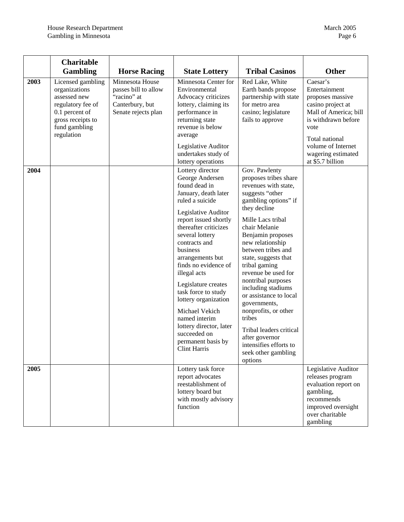|      | <b>Charitable</b><br><b>Gambling</b>                                                                                                          | <b>Horse Racing</b>                                                                              | <b>State Lottery</b>                                                                                                                                                                                                                                                                                                                                                                                                                                                                  | <b>Tribal Casinos</b>                                                                                                                                                                                                                                                                                                                                                                                                                                                                                                           | <b>Other</b>                                                                                                                                                                                                 |
|------|-----------------------------------------------------------------------------------------------------------------------------------------------|--------------------------------------------------------------------------------------------------|---------------------------------------------------------------------------------------------------------------------------------------------------------------------------------------------------------------------------------------------------------------------------------------------------------------------------------------------------------------------------------------------------------------------------------------------------------------------------------------|---------------------------------------------------------------------------------------------------------------------------------------------------------------------------------------------------------------------------------------------------------------------------------------------------------------------------------------------------------------------------------------------------------------------------------------------------------------------------------------------------------------------------------|--------------------------------------------------------------------------------------------------------------------------------------------------------------------------------------------------------------|
| 2003 | Licensed gambling<br>organizations<br>assessed new<br>regulatory fee of<br>0.1 percent of<br>gross receipts to<br>fund gambling<br>regulation | Minnesota House<br>passes bill to allow<br>"racino" at<br>Canterbury, but<br>Senate rejects plan | Minnesota Center for<br>Environmental<br>Advocacy criticizes<br>lottery, claiming its<br>performance in<br>returning state<br>revenue is below<br>average<br>Legislative Auditor<br>undertakes study of<br>lottery operations                                                                                                                                                                                                                                                         | Red Lake, White<br>Earth bands propose<br>partnership with state<br>for metro area<br>casino; legislature<br>fails to approve                                                                                                                                                                                                                                                                                                                                                                                                   | Caesar's<br>Entertainment<br>proposes massive<br>casino project at<br>Mall of America; bill<br>is withdrawn before<br>vote<br>Total national<br>volume of Internet<br>wagering estimated<br>at \$5.7 billion |
| 2004 |                                                                                                                                               |                                                                                                  | Lottery director<br>George Andersen<br>found dead in<br>January, death later<br>ruled a suicide<br>Legislative Auditor<br>report issued shortly<br>thereafter criticizes<br>several lottery<br>contracts and<br>business<br>arrangements but<br>finds no evidence of<br>illegal acts<br>Legislature creates<br>task force to study<br>lottery organization<br>Michael Vekich<br>named interim<br>lottery director, later<br>succeeded on<br>permanent basis by<br><b>Clint Harris</b> | Gov. Pawlenty<br>proposes tribes share<br>revenues with state,<br>suggests "other<br>gambling options" if<br>they decline<br>Mille Lacs tribal<br>chair Melanie<br>Benjamin proposes<br>new relationship<br>between tribes and<br>state, suggests that<br>tribal gaming<br>revenue be used for<br>nontribal purposes<br>including stadiums<br>or assistance to local<br>governments,<br>nonprofits, or other<br>tribes<br>Tribal leaders critical<br>after governor<br>intensifies efforts to<br>seek other gambling<br>options |                                                                                                                                                                                                              |
| 2005 |                                                                                                                                               |                                                                                                  | Lottery task force<br>report advocates<br>reestablishment of<br>lottery board but<br>with mostly advisory<br>function                                                                                                                                                                                                                                                                                                                                                                 |                                                                                                                                                                                                                                                                                                                                                                                                                                                                                                                                 | Legislative Auditor<br>releases program<br>evaluation report on<br>gambling,<br>recommends<br>improved oversight<br>over charitable<br>gambling                                                              |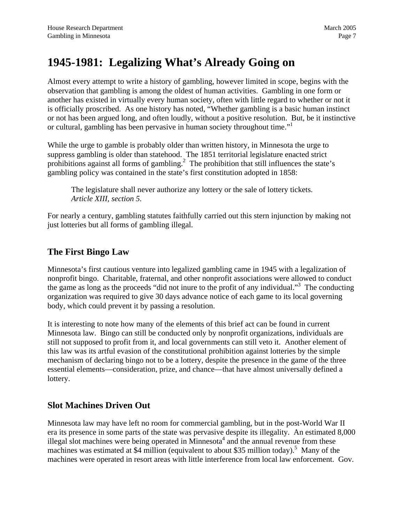## <span id="page-10-0"></span>**1945-1981: Legalizing What's Already Going on**

Almost every attempt to write a history of gambling, however limited in scope, begins with the observation that gambling is among the oldest of human activities. Gambling in one form or another has existed in virtually every human society, often with little regard to whether or not it is officially proscribed. As one history has noted, "Whether gambling is a basic human instinct or not has been argued long, and often loudly, without a positive resolution. But, be it instinctive or cultural, gambling has been pervasive in human society throughout time."

While the urge to gamble is probably older than written history, in Minnesota the urge to suppress gambling is older than statehood. The 1851 territorial legislature enacted strict prohibitions against all forms of gambling.<sup>[2](#page-95-1)</sup> The prohibition that still influences the state's gambling policy was contained in the state's first constitution adopted in 1858:

The legislature shall never authorize any lottery or the sale of lottery tickets. *Article XIII, section 5.*

For nearly a century, gambling statutes faithfully carried out this stern injunction by making not just lotteries but all forms of gambling illegal.

#### **The First Bingo Law**

Minnesota's first cautious venture into legalized gambling came in 1945 with a legalization of nonprofit bingo. Charitable, fraternal, and other nonprofit associations were allowed to conduct the game as long as the proceeds "did not inure to the profit of any individual."<sup>[3](#page-95-2)</sup> The conducting organization was required to give 30 days advance notice of each game to its local governing body, which could prevent it by passing a resolution.

It is interesting to note how many of the elements of this brief act can be found in current Minnesota law. Bingo can still be conducted only by nonprofit organizations, individuals are still not supposed to profit from it, and local governments can still veto it. Another element of this law was its artful evasion of the constitutional prohibition against lotteries by the simple mechanism of declaring bingo not to be a lottery, despite the presence in the game of the three essential elements—consideration, prize, and chance—that have almost universally defined a lottery.

#### **Slot Machines Driven Out**

Minnesota law may have left no room for commercial gambling, but in the post-World War II era its presence in some parts of the state was pervasive despite its illegality. An estimated 8,000 illegal slot machines were being operated in Minnesota<sup>[4](#page-95-3)</sup> and the annual revenue from these machineswas estimated at \$4 million (equivalent to about \$35 million today).<sup>5</sup> Many of the machines were operated in resort areas with little interference from local law enforcement. Gov.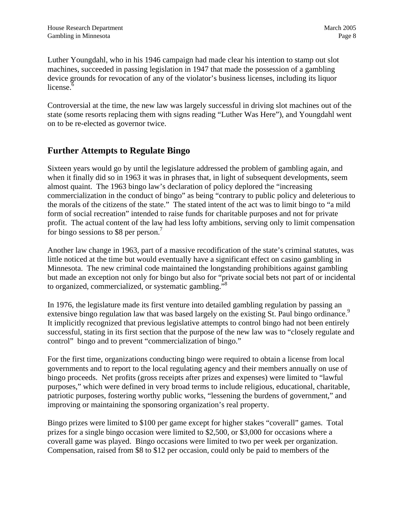<span id="page-11-0"></span>Luther Youngdahl, who in his 1946 campaign had made clear his intention to stamp out slot machines, succeeded in passing legislation in 1947 that made the possession of a gambling device grounds for revocation of any of the violator's business licenses, including its liquor license. $6$ 

Controversial at the time, the new law was largely successful in driving slot machines out of the state (some resorts replacing them with signs reading "Luther Was Here"), and Youngdahl went on to be re-elected as governor twice.

#### **Further Attempts to Regulate Bingo**

Sixteen years would go by until the legislature addressed the problem of gambling again, and when it finally did so in 1963 it was in phrases that, in light of subsequent developments, seem almost quaint. The 1963 bingo law's declaration of policy deplored the "increasing commercialization in the conduct of bingo" as being "contrary to public policy and deleterious to the morals of the citizens of the state." The stated intent of the act was to limit bingo to "a mild form of social recreation" intended to raise funds for charitable purposes and not for private profit. The actual content of the law had less lofty ambitions, serving only to limit compensation for bingo sessions to \$8 per person.<sup>7</sup>

Another law change in 1963, part of a massive recodification of the state's criminal statutes, was little noticed at the time but would eventually have a significant effect on casino gambling in Minnesota. The new criminal code maintained the longstanding prohibitions against gambling but made an exception not only for bingo but also for "private social bets not part of or incidental to organized, commercialized, or systematic gambling."[8](#page-95-7)

In 1976, the legislature made its first venture into detailed gambling regulation by passing an extensive bingo regulation law that was based largely on the existing St. Paul bingo ordinance.<sup>[9](#page-95-8)</sup> It implicitly recognized that previous legislative attempts to control bingo had not been entirely successful, stating in its first section that the purpose of the new law was to "closely regulate and control" bingo and to prevent "commercialization of bingo."

For the first time, organizations conducting bingo were required to obtain a license from local governments and to report to the local regulating agency and their members annually on use of bingo proceeds. Net profits (gross receipts after prizes and expenses) were limited to "lawful purposes," which were defined in very broad terms to include religious, educational, charitable, patriotic purposes, fostering worthy public works, "lessening the burdens of government," and improving or maintaining the sponsoring organization's real property.

Bingo prizes were limited to \$100 per game except for higher stakes "coverall" games. Total prizes for a single bingo occasion were limited to \$2,500, or \$3,000 for occasions where a coverall game was played. Bingo occasions were limited to two per week per organization. Compensation, raised from \$8 to \$12 per occasion, could only be paid to members of the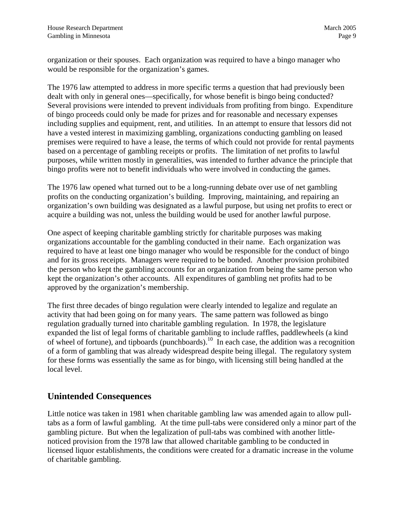<span id="page-12-0"></span>organization or their spouses. Each organization was required to have a bingo manager who would be responsible for the organization's games.

The 1976 law attempted to address in more specific terms a question that had previously been dealt with only in general ones—specifically, for whose benefit is bingo being conducted? Several provisions were intended to prevent individuals from profiting from bingo. Expenditure of bingo proceeds could only be made for prizes and for reasonable and necessary expenses including supplies and equipment, rent, and utilities. In an attempt to ensure that lessors did not have a vested interest in maximizing gambling, organizations conducting gambling on leased premises were required to have a lease, the terms of which could not provide for rental payments based on a percentage of gambling receipts or profits. The limitation of net profits to lawful purposes, while written mostly in generalities, was intended to further advance the principle that bingo profits were not to benefit individuals who were involved in conducting the games.

The 1976 law opened what turned out to be a long-running debate over use of net gambling profits on the conducting organization's building. Improving, maintaining, and repairing an organization's own building was designated as a lawful purpose, but using net profits to erect or acquire a building was not, unless the building would be used for another lawful purpose.

One aspect of keeping charitable gambling strictly for charitable purposes was making organizations accountable for the gambling conducted in their name. Each organization was required to have at least one bingo manager who would be responsible for the conduct of bingo and for its gross receipts. Managers were required to be bonded. Another provision prohibited the person who kept the gambling accounts for an organization from being the same person who kept the organization's other accounts. All expenditures of gambling net profits had to be approved by the organization's membership.

The first three decades of bingo regulation were clearly intended to legalize and regulate an activity that had been going on for many years. The same pattern was followed as bingo regulation gradually turned into charitable gambling regulation. In 1978, the legislature expanded the list of legal forms of charitable gambling to include raffles, paddlewheels (a kind of wheel of fortune), and tipboards (punchboards).<sup>10</sup> In each case, the addition was a recognition of a form of gambling that was already widespread despite being illegal. The regulatory system for these forms was essentially the same as for bingo, with licensing still being handled at the local level.

#### **Unintended Consequences**

Little notice was taken in 1981 when charitable gambling law was amended again to allow pulltabs as a form of lawful gambling. At the time pull-tabs were considered only a minor part of the gambling picture. But when the legalization of pull-tabs was combined with another littlenoticed provision from the 1978 law that allowed charitable gambling to be conducted in licensed liquor establishments, the conditions were created for a dramatic increase in the volume of charitable gambling.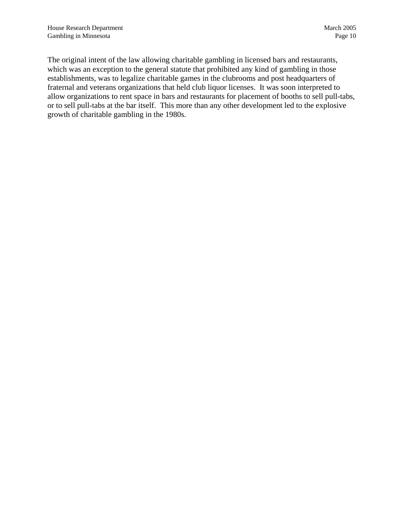The original intent of the law allowing charitable gambling in licensed bars and restaurants, which was an exception to the general statute that prohibited any kind of gambling in those establishments, was to legalize charitable games in the clubrooms and post headquarters of fraternal and veterans organizations that held club liquor licenses. It was soon interpreted to allow organizations to rent space in bars and restaurants for placement of booths to sell pull-tabs, or to sell pull-tabs at the bar itself. This more than any other development led to the explosive growth of charitable gambling in the 1980s.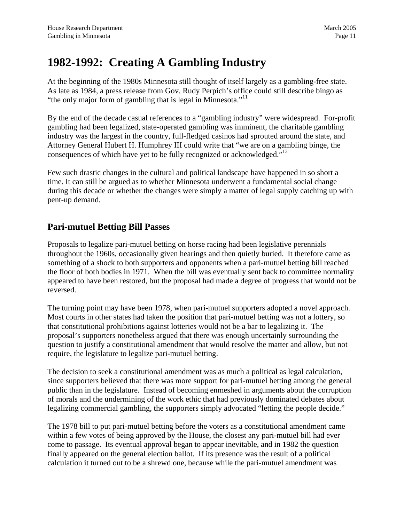### <span id="page-14-0"></span>**1982-1992: Creating A Gambling Industry**

At the beginning of the 1980s Minnesota still thought of itself largely as a gambling-free state. As late as 1984, a press release from Gov. Rudy Perpich's office could still describe bingo as "the only major form of gambling that is legal in Minnesota."<sup>[11](#page-95-10)</sup>

By the end of the decade casual references to a "gambling industry" were widespread. For-profit gambling had been legalized, state-operated gambling was imminent, the charitable gambling industry was the largest in the country, full-fledged casinos had sprouted around the state, and Attorney General Hubert H. Humphrey III could write that "we are on a gambling binge, the consequences of which have yet to be fully recognized or acknowledged."<sup>12</sup>

Few such drastic changes in the cultural and political landscape have happened in so short a time. It can still be argued as to whether Minnesota underwent a fundamental social change during this decade or whether the changes were simply a matter of legal supply catching up with pent-up demand.

#### **Pari-mutuel Betting Bill Passes**

Proposals to legalize pari-mutuel betting on horse racing had been legislative perennials throughout the 1960s, occasionally given hearings and then quietly buried. It therefore came as something of a shock to both supporters and opponents when a pari-mutuel betting bill reached the floor of both bodies in 1971. When the bill was eventually sent back to committee normality appeared to have been restored, but the proposal had made a degree of progress that would not be reversed.

The turning point may have been 1978, when pari-mutuel supporters adopted a novel approach. Most courts in other states had taken the position that pari-mutuel betting was not a lottery, so that constitutional prohibitions against lotteries would not be a bar to legalizing it. The proposal's supporters nonetheless argued that there was enough uncertainly surrounding the question to justify a constitutional amendment that would resolve the matter and allow, but not require, the legislature to legalize pari-mutuel betting.

The decision to seek a constitutional amendment was as much a political as legal calculation, since supporters believed that there was more support for pari-mutuel betting among the general public than in the legislature. Instead of becoming enmeshed in arguments about the corruption of morals and the undermining of the work ethic that had previously dominated debates about legalizing commercial gambling, the supporters simply advocated "letting the people decide."

The 1978 bill to put pari-mutuel betting before the voters as a constitutional amendment came within a few votes of being approved by the House, the closest any pari-mutuel bill had ever come to passage. Its eventual approval began to appear inevitable, and in 1982 the question finally appeared on the general election ballot. If its presence was the result of a political calculation it turned out to be a shrewd one, because while the pari-mutuel amendment was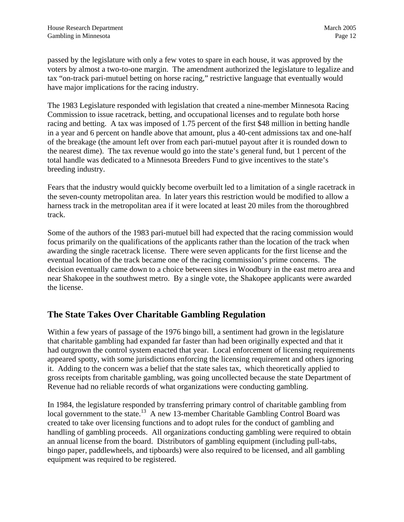<span id="page-15-0"></span>passed by the legislature with only a few votes to spare in each house, it was approved by the voters by almost a two-to-one margin. The amendment authorized the legislature to legalize and tax "on-track pari-mutuel betting on horse racing," restrictive language that eventually would have major implications for the racing industry.

The 1983 Legislature responded with legislation that created a nine-member Minnesota Racing Commission to issue racetrack, betting, and occupational licenses and to regulate both horse racing and betting. A tax was imposed of 1.75 percent of the first \$48 million in betting handle in a year and 6 percent on handle above that amount, plus a 40-cent admissions tax and one-half of the breakage (the amount left over from each pari-mutuel payout after it is rounded down to the nearest dime). The tax revenue would go into the state's general fund, but 1 percent of the total handle was dedicated to a Minnesota Breeders Fund to give incentives to the state's breeding industry.

Fears that the industry would quickly become overbuilt led to a limitation of a single racetrack in the seven-county metropolitan area. In later years this restriction would be modified to allow a harness track in the metropolitan area if it were located at least 20 miles from the thoroughbred track.

Some of the authors of the 1983 pari-mutuel bill had expected that the racing commission would focus primarily on the qualifications of the applicants rather than the location of the track when awarding the single racetrack license. There were seven applicants for the first license and the eventual location of the track became one of the racing commission's prime concerns. The decision eventually came down to a choice between sites in Woodbury in the east metro area and near Shakopee in the southwest metro. By a single vote, the Shakopee applicants were awarded the license.

#### **The State Takes Over Charitable Gambling Regulation**

Within a few years of passage of the 1976 bingo bill, a sentiment had grown in the legislature that charitable gambling had expanded far faster than had been originally expected and that it had outgrown the control system enacted that year. Local enforcement of licensing requirements appeared spotty, with some jurisdictions enforcing the licensing requirement and others ignoring it. Adding to the concern was a belief that the state sales tax, which theoretically applied to gross receipts from charitable gambling, was going uncollected because the state Department of Revenue had no reliable records of what organizations were conducting gambling.

In 1984, the legislature responded by transferring primary control of charitable gambling from local government to the state.<sup>13</sup> A new 13-member Charitable Gambling Control Board was created to take over licensing functions and to adopt rules for the conduct of gambling and handling of gambling proceeds. All organizations conducting gambling were required to obtain an annual license from the board. Distributors of gambling equipment (including pull-tabs, bingo paper, paddlewheels, and tipboards) were also required to be licensed, and all gambling equipment was required to be registered.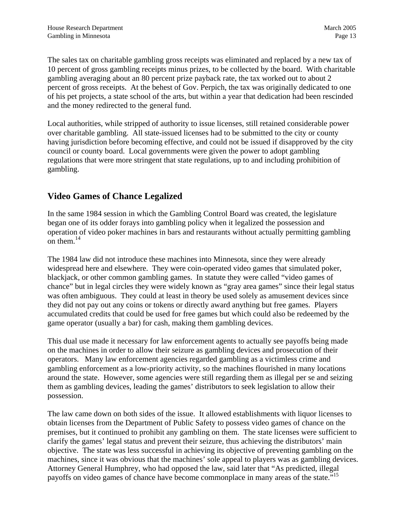<span id="page-16-0"></span>The sales tax on charitable gambling gross receipts was eliminated and replaced by a new tax of 10 percent of gross gambling receipts minus prizes, to be collected by the board. With charitable gambling averaging about an 80 percent prize payback rate, the tax worked out to about 2 percent of gross receipts. At the behest of Gov. Perpich, the tax was originally dedicated to one of his pet projects, a state school of the arts, but within a year that dedication had been rescinded and the money redirected to the general fund.

Local authorities, while stripped of authority to issue licenses, still retained considerable power over charitable gambling. All state-issued licenses had to be submitted to the city or county having jurisdiction before becoming effective, and could not be issued if disapproved by the city council or county board. Local governments were given the power to adopt gambling regulations that were more stringent that state regulations, up to and including prohibition of gambling.

#### **Video Games of Chance Legalized**

In the same 1984 session in which the Gambling Control Board was created, the legislature began one of its odder forays into gambling policy when it legalized the possession and operation of video poker machines in bars and restaurants without actually permitting gambling on them. $^{14}$  $^{14}$  $^{14}$ 

The 1984 law did not introduce these machines into Minnesota, since they were already widespread here and elsewhere. They were coin-operated video games that simulated poker, blackjack, or other common gambling games. In statute they were called "video games of chance" but in legal circles they were widely known as "gray area games" since their legal status was often ambiguous. They could at least in theory be used solely as amusement devices since they did not pay out any coins or tokens or directly award anything but free games. Players accumulated credits that could be used for free games but which could also be redeemed by the game operator (usually a bar) for cash, making them gambling devices.

This dual use made it necessary for law enforcement agents to actually see payoffs being made on the machines in order to allow their seizure as gambling devices and prosecution of their operators. Many law enforcement agencies regarded gambling as a victimless crime and gambling enforcement as a low-priority activity, so the machines flourished in many locations around the state. However, some agencies were still regarding them as illegal per se and seizing them as gambling devices, leading the games' distributors to seek legislation to allow their possession.

The law came down on both sides of the issue. It allowed establishments with liquor licenses to obtain licenses from the Department of Public Safety to possess video games of chance on the premises, but it continued to prohibit any gambling on them. The state licenses were sufficient to clarify the games' legal status and prevent their seizure, thus achieving the distributors' main objective. The state was less successful in achieving its objective of preventing gambling on the machines, since it was obvious that the machines' sole appeal to players was as gambling devices. Attorney General Humphrey, who had opposed the law, said later that "As predicted, illegal payoffs on video games of chance have become commonplace in many areas of the state."<sup>[15](#page-95-14)</sup>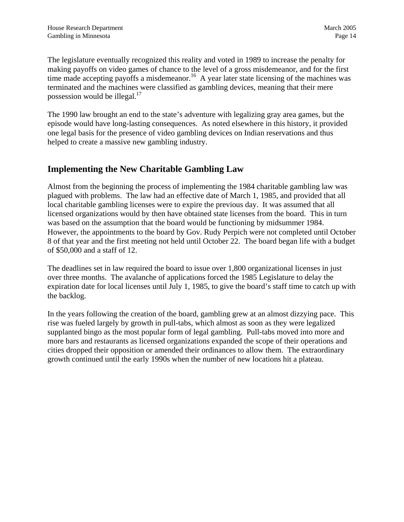<span id="page-17-0"></span>The legislature eventually recognized this reality and voted in 1989 to increase the penalty for making payoffs on video games of chance to the level of a gross misdemeanor, and for the first time made accepting payoffs a misdemeanor.<sup>16</sup> A year later state licensing of the machines was terminated and the machines were classified as gambling devices, meaning that their mere possession would be illegal.<sup>17</sup>

The 1990 law brought an end to the state's adventure with legalizing gray area games, but the episode would have long-lasting consequences. As noted elsewhere in this history, it provided one legal basis for the presence of video gambling devices on Indian reservations and thus helped to create a massive new gambling industry.

#### **Implementing the New Charitable Gambling Law**

Almost from the beginning the process of implementing the 1984 charitable gambling law was plagued with problems. The law had an effective date of March 1, 1985, and provided that all local charitable gambling licenses were to expire the previous day. It was assumed that all licensed organizations would by then have obtained state licenses from the board. This in turn was based on the assumption that the board would be functioning by midsummer 1984. However, the appointments to the board by Gov. Rudy Perpich were not completed until October 8 of that year and the first meeting not held until October 22. The board began life with a budget of \$50,000 and a staff of 12.

The deadlines set in law required the board to issue over 1,800 organizational licenses in just over three months. The avalanche of applications forced the 1985 Legislature to delay the expiration date for local licenses until July 1, 1985, to give the board's staff time to catch up with the backlog.

In the years following the creation of the board, gambling grew at an almost dizzying pace. This rise was fueled largely by growth in pull-tabs, which almost as soon as they were legalized supplanted bingo as the most popular form of legal gambling. Pull-tabs moved into more and more bars and restaurants as licensed organizations expanded the scope of their operations and cities dropped their opposition or amended their ordinances to allow them. The extraordinary growth continued until the early 1990s when the number of new locations hit a plateau.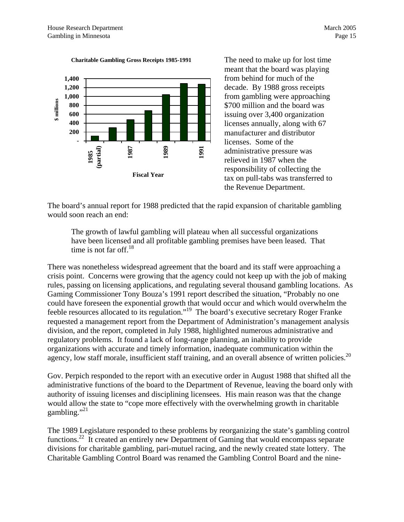



The need to make up for lost time meant that the board was playing from behind for much of the decade. By 1988 gross receipts from gambling were approaching \$700 million and the board was issuing over 3,400 organization licenses annually, along with 67 manufacturer and distributor licenses. Some of the administrative pressure was relieved in 1987 when the responsibility of collecting the tax on pull-tabs was transferred to the Revenue Department.

The board's annual report for 1988 predicted that the rapid expansion of charitable gambling would soon reach an end:

The growth of lawful gambling will plateau when all successful organizations have been licensed and all profitable gambling premises have been leased. That time is not far off.<sup>18</sup>

There was nonetheless widespread agreement that the board and its staff were approaching a crisis point. Concerns were growing that the agency could not keep up with the job of making rules, passing on licensing applications, and regulating several thousand gambling locations. As Gaming Commissioner Tony Bouza's 1991 report described the situation, "Probably no one could have foreseen the exponential growth that would occur and which would overwhelm the feeble resources allocated to its regulation."[19](#page-95-17) The board's executive secretary Roger Franke requested a management report from the Department of Administration's management analysis division, and the report, completed in July 1988, highlighted numerous administrative and regulatory problems. It found a lack of long-range planning, an inability to provide organizations with accurate and timely information, inadequate communication within the agency, low staff morale, insufficient staff training, and an overall absence of written policies.<sup>20</sup>

Gov. Perpich responded to the report with an executive order in August 1988 that shifted all the administrative functions of the board to the Department of Revenue, leaving the board only with authority of issuing licenses and disciplining licensees. His main reason was that the change would allow the state to "cope more effectively with the overwhelming growth in charitable gambling." $^{21}$  $^{21}$  $^{21}$ 

The 1989 Legislature responded to these problems by reorganizing the state's gambling control functions.<sup>22</sup> It created an entirely new Department of Gaming that would encompass separate divisions for charitable gambling, pari-mutuel racing, and the newly created state lottery. The Charitable Gambling Control Board was renamed the Gambling Control Board and the nine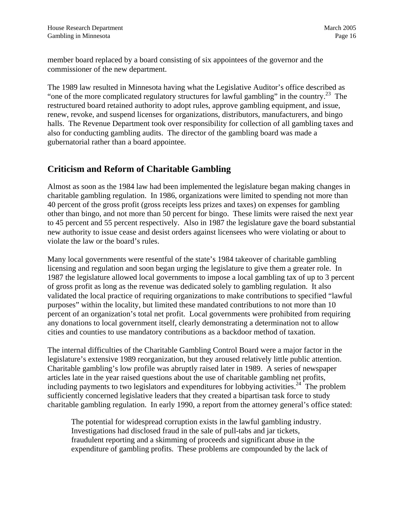<span id="page-19-0"></span>member board replaced by a board consisting of six appointees of the governor and the commissioner of the new department.

The 1989 law resulted in Minnesota having what the Legislative Auditor's office described as "one of the more complicated regulatory structures for lawful gambling" in the country.<sup>23</sup> The restructured board retained authority to adopt rules, approve gambling equipment, and issue, renew, revoke, and suspend licenses for organizations, distributors, manufacturers, and bingo halls. The Revenue Department took over responsibility for collection of all gambling taxes and also for conducting gambling audits. The director of the gambling board was made a gubernatorial rather than a board appointee.

#### **Criticism and Reform of Charitable Gambling**

Almost as soon as the 1984 law had been implemented the legislature began making changes in charitable gambling regulation. In 1986, organizations were limited to spending not more than 40 percent of the gross profit (gross receipts less prizes and taxes) on expenses for gambling other than bingo, and not more than 50 percent for bingo. These limits were raised the next year to 45 percent and 55 percent respectively. Also in 1987 the legislature gave the board substantial new authority to issue cease and desist orders against licensees who were violating or about to violate the law or the board's rules.

Many local governments were resentful of the state's 1984 takeover of charitable gambling licensing and regulation and soon began urging the legislature to give them a greater role. In 1987 the legislature allowed local governments to impose a local gambling tax of up to 3 percent of gross profit as long as the revenue was dedicated solely to gambling regulation. It also validated the local practice of requiring organizations to make contributions to specified "lawful purposes" within the locality, but limited these mandated contributions to not more than 10 percent of an organization's total net profit. Local governments were prohibited from requiring any donations to local government itself, clearly demonstrating a determination not to allow cities and counties to use mandatory contributions as a backdoor method of taxation.

The internal difficulties of the Charitable Gambling Control Board were a major factor in the legislature's extensive 1989 reorganization, but they aroused relatively little public attention. Charitable gambling's low profile was abruptly raised later in 1989. A series of newspaper articles late in the year raised questions about the use of charitable gambling net profits, including payments to two legislators and expenditures for lobbying activities.<sup>24</sup> The problem sufficiently concerned legislative leaders that they created a bipartisan task force to study charitable gambling regulation. In early 1990, a report from the attorney general's office stated:

The potential for widespread corruption exists in the lawful gambling industry. Investigations had disclosed fraud in the sale of pull-tabs and jar tickets, fraudulent reporting and a skimming of proceeds and significant abuse in the expenditure of gambling profits. These problems are compounded by the lack of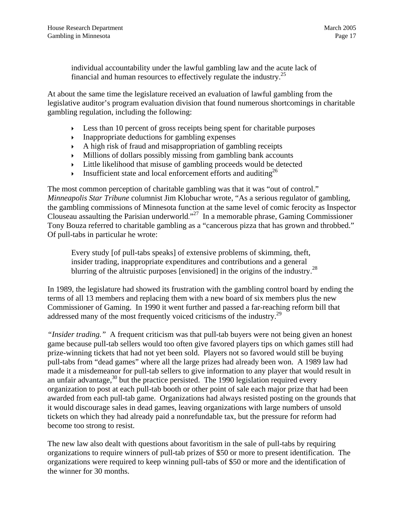individual accountability under the lawful gambling law and the acute lack of financial and human resources to effectively regulate the industry.<sup>25</sup>

At about the same time the legislature received an evaluation of lawful gambling from the legislative auditor's program evaluation division that found numerous shortcomings in charitable gambling regulation, including the following:

- $\blacktriangleright$  Less than 10 percent of gross receipts being spent for charitable purposes
- $\triangleright$  Inappropriate deductions for gambling expenses
- $\blacktriangleright$  A high risk of fraud and misappropriation of gambling receipts
- $\blacktriangleright$  Millions of dollars possibly missing from gambling bank accounts
- $\rightarrow$  Little likelihood that misuse of gambling proceeds would be detected
- $\triangleright$  Insufficient state and local enforcement efforts and auditing<sup>26</sup>

The most common perception of charitable gambling was that it was "out of control." *Minneapolis Star Tribune* columnist Jim Klobuchar wrote, "As a serious regulator of gambling, the gambling commissions of Minnesota function at the same level of comic ferocity as Inspector Clouseau assaulting the Parisian underworld."<sup>27</sup> In a memorable phrase, Gaming Commissioner Tony Bouza referred to charitable gambling as a "cancerous pizza that has grown and throbbed." Of pull-tabs in particular he wrote:

Every study [of pull-tabs speaks] of extensive problems of skimming, theft, insider trading, inappropriate expenditures and contributions and a general blurring of the altruistic purposes [envisioned] in the origins of the industry.<sup>28</sup>

In 1989, the legislature had showed its frustration with the gambling control board by ending the terms of all 13 members and replacing them with a new board of six members plus the new Commissioner of Gaming. In 1990 it went further and passed a far-reaching reform bill that addressed many of the most frequently voiced criticisms of the industry.<sup>29</sup>

*"Insider trading."* A frequent criticism was that pull-tab buyers were not being given an honest game because pull-tab sellers would too often give favored players tips on which games still had prize-winning tickets that had not yet been sold. Players not so favored would still be buying pull-tabs from "dead games" where all the large prizes had already been won. A 1989 law had made it a misdemeanor for pull-tab sellers to give information to any player that would result in an unfair advantage, $30$  but the practice persisted. The 1990 legislation required every organization to post at each pull-tab booth or other point of sale each major prize that had been awarded from each pull-tab game. Organizations had always resisted posting on the grounds that it would discourage sales in dead games, leaving organizations with large numbers of unsold tickets on which they had already paid a nonrefundable tax, but the pressure for reform had become too strong to resist.

The new law also dealt with questions about favoritism in the sale of pull-tabs by requiring organizations to require winners of pull-tab prizes of \$50 or more to present identification. The organizations were required to keep winning pull-tabs of \$50 or more and the identification of the winner for 30 months.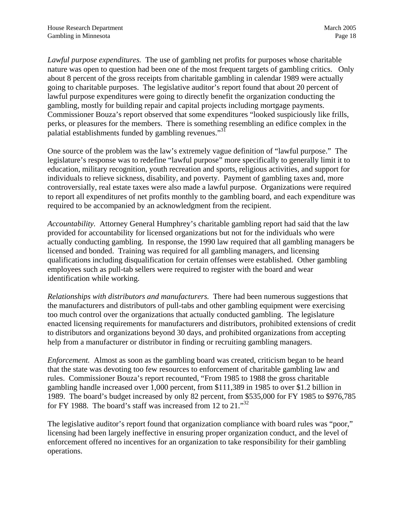*Lawful purpose expenditures.* The use of gambling net profits for purposes whose charitable nature was open to question had been one of the most frequent targets of gambling critics. Only about 8 percent of the gross receipts from charitable gambling in calendar 1989 were actually going to charitable purposes. The legislative auditor's report found that about 20 percent of lawful purpose expenditures were going to directly benefit the organization conducting the gambling, mostly for building repair and capital projects including mortgage payments. Commissioner Bouza's report observed that some expenditures "looked suspiciously like frills, perks, or pleasures for the members. There is something resembling an edifice complex in the palatial establishments funded by gambling revenues."<sup>[31](#page-95-28)</sup>

One source of the problem was the law's extremely vague definition of "lawful purpose." The legislature's response was to redefine "lawful purpose" more specifically to generally limit it to education, military recognition, youth recreation and sports, religious activities, and support for individuals to relieve sickness, disability, and poverty. Payment of gambling taxes and, more controversially, real estate taxes were also made a lawful purpose. Organizations were required to report all expenditures of net profits monthly to the gambling board, and each expenditure was required to be accompanied by an acknowledgment from the recipient.

*Accountability.* Attorney General Humphrey's charitable gambling report had said that the law provided for accountability for licensed organizations but not for the individuals who were actually conducting gambling. In response, the 1990 law required that all gambling managers be licensed and bonded. Training was required for all gambling managers, and licensing qualifications including disqualification for certain offenses were established. Other gambling employees such as pull-tab sellers were required to register with the board and wear identification while working.

*Relationships with distributors and manufacturers.* There had been numerous suggestions that the manufacturers and distributors of pull-tabs and other gambling equipment were exercising too much control over the organizations that actually conducted gambling. The legislature enacted licensing requirements for manufacturers and distributors, prohibited extensions of credit to distributors and organizations beyond 30 days, and prohibited organizations from accepting help from a manufacturer or distributor in finding or recruiting gambling managers.

*Enforcement.* Almost as soon as the gambling board was created, criticism began to be heard that the state was devoting too few resources to enforcement of charitable gambling law and rules. Commissioner Bouza's report recounted, "From 1985 to 1988 the gross charitable gambling handle increased over 1,000 percent, from \$111,389 in 1985 to over \$1.2 billion in 1989. The board's budget increased by only 82 percent, from \$535,000 for FY 1985 to \$976,785 for FY 1988. The board's staff was increased from 12 to  $21.^{32}$  $21.^{32}$  $21.^{32}$ .

The legislative auditor's report found that organization compliance with board rules was "poor," licensing had been largely ineffective in ensuring proper organization conduct, and the level of enforcement offered no incentives for an organization to take responsibility for their gambling operations.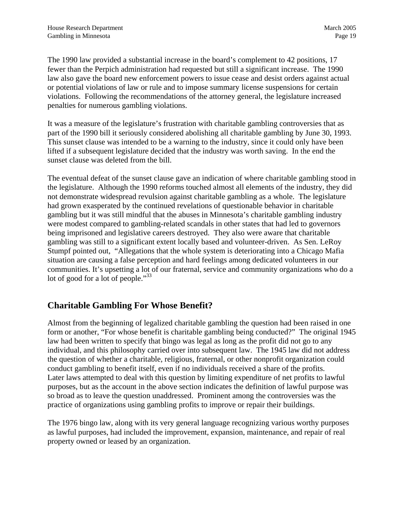<span id="page-22-0"></span>The 1990 law provided a substantial increase in the board's complement to 42 positions, 17 fewer than the Perpich administration had requested but still a significant increase. The 1990 law also gave the board new enforcement powers to issue cease and desist orders against actual or potential violations of law or rule and to impose summary license suspensions for certain violations. Following the recommendations of the attorney general, the legislature increased penalties for numerous gambling violations.

It was a measure of the legislature's frustration with charitable gambling controversies that as part of the 1990 bill it seriously considered abolishing all charitable gambling by June 30, 1993. This sunset clause was intended to be a warning to the industry, since it could only have been lifted if a subsequent legislature decided that the industry was worth saving. In the end the sunset clause was deleted from the bill.

The eventual defeat of the sunset clause gave an indication of where charitable gambling stood in the legislature. Although the 1990 reforms touched almost all elements of the industry, they did not demonstrate widespread revulsion against charitable gambling as a whole. The legislature had grown exasperated by the continued revelations of questionable behavior in charitable gambling but it was still mindful that the abuses in Minnesota's charitable gambling industry were modest compared to gambling-related scandals in other states that had led to governors being imprisoned and legislative careers destroyed. They also were aware that charitable gambling was still to a significant extent locally based and volunteer-driven. As Sen. LeRoy Stumpf pointed out, "Allegations that the whole system is deteriorating into a Chicago Mafia situation are causing a false perception and hard feelings among dedicated volunteers in our communities. It's upsetting a lot of our fraternal, service and community organizations who do a lot of good for a lot of people."<sup>33</sup>

#### **Charitable Gambling For Whose Benefit?**

Almost from the beginning of legalized charitable gambling the question had been raised in one form or another, "For whose benefit is charitable gambling being conducted?" The original 1945 law had been written to specify that bingo was legal as long as the profit did not go to any individual, and this philosophy carried over into subsequent law. The 1945 law did not address the question of whether a charitable, religious, fraternal, or other nonprofit organization could conduct gambling to benefit itself, even if no individuals received a share of the profits. Later laws attempted to deal with this question by limiting expenditure of net profits to lawful purposes, but as the account in the above section indicates the definition of lawful purpose was so broad as to leave the question unaddressed. Prominent among the controversies was the practice of organizations using gambling profits to improve or repair their buildings.

The 1976 bingo law, along with its very general language recognizing various worthy purposes as lawful purposes, had included the improvement, expansion, maintenance, and repair of real property owned or leased by an organization.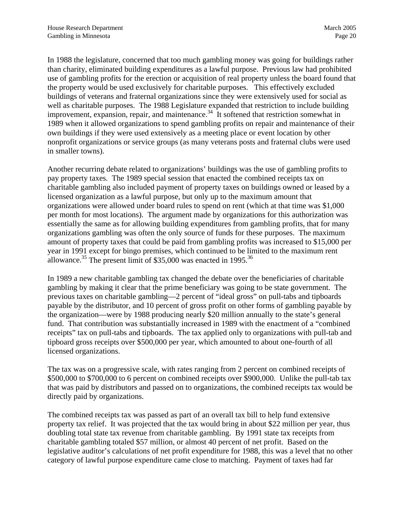In 1988 the legislature, concerned that too much gambling money was going for buildings rather than charity, eliminated building expenditures as a lawful purpose. Previous law had prohibited use of gambling profits for the erection or acquisition of real property unless the board found that the property would be used exclusively for charitable purposes. This effectively excluded buildings of veterans and fraternal organizations since they were extensively used for social as well as charitable purposes. The 1988 Legislature expanded that restriction to include building improvement, expansion, repair, and maintenance.<sup>34</sup> It softened that restriction somewhat in 1989 when it allowed organizations to spend gambling profits on repair and maintenance of their own buildings if they were used extensively as a meeting place or event location by other nonprofit organizations or service groups (as many veterans posts and fraternal clubs were used in smaller towns).

Another recurring debate related to organizations' buildings was the use of gambling profits to pay property taxes. The 1989 special session that enacted the combined receipts tax on charitable gambling also included payment of property taxes on buildings owned or leased by a licensed organization as a lawful purpose, but only up to the maximum amount that organizations were allowed under board rules to spend on rent (which at that time was \$1,000 per month for most locations). The argument made by organizations for this authorization was essentially the same as for allowing building expenditures from gambling profits, that for many organizations gambling was often the only source of funds for these purposes. The maximum amount of property taxes that could be paid from gambling profits was increased to \$15,000 per year in 1991 except for bingo premises, which continued to be limited to the maximum rent allowance.<sup>35</sup> The present limit of  $$35,000$  was enacted in 1995.<sup>[36](#page-95-32)</sup>

In 1989 a new charitable gambling tax changed the debate over the beneficiaries of charitable gambling by making it clear that the prime beneficiary was going to be state government. The previous taxes on charitable gambling—2 percent of "ideal gross" on pull-tabs and tipboards payable by the distributor, and 10 percent of gross profit on other forms of gambling payable by the organization—were by 1988 producing nearly \$20 million annually to the state's general fund. That contribution was substantially increased in 1989 with the enactment of a "combined receipts" tax on pull-tabs and tipboards. The tax applied only to organizations with pull-tab and tipboard gross receipts over \$500,000 per year, which amounted to about one-fourth of all licensed organizations.

The tax was on a progressive scale, with rates ranging from 2 percent on combined receipts of \$500,000 to \$700,000 to 6 percent on combined receipts over \$900,000. Unlike the pull-tab tax that was paid by distributors and passed on to organizations, the combined receipts tax would be directly paid by organizations.

The combined receipts tax was passed as part of an overall tax bill to help fund extensive property tax relief. It was projected that the tax would bring in about \$22 million per year, thus doubling total state tax revenue from charitable gambling. By 1991 state tax receipts from charitable gambling totaled \$57 million, or almost 40 percent of net profit. Based on the legislative auditor's calculations of net profit expenditure for 1988, this was a level that no other category of lawful purpose expenditure came close to matching. Payment of taxes had far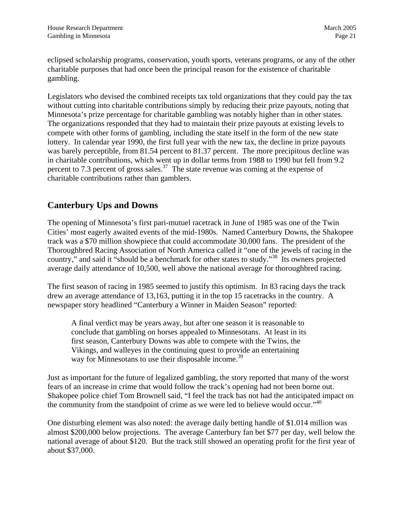<span id="page-24-0"></span>eclipsed scholarship programs, conservation, youth sports, veterans programs, or any of the other charitable purposes that had once been the principal reason for the existence of charitable gambling.

Legislators who devised the combined receipts tax told organizations that they could pay the tax without cutting into charitable contributions simply by reducing their prize payouts, noting that Minnesota's prize percentage for charitable gambling was notably higher than in other states. The organizations responded that they had to maintain their prize payouts at existing levels to compete with other forms of gambling, including the state itself in the form of the new state lottery. In calendar year 1990, the first full year with the new tax, the decline in prize payouts was barely perceptible, from 81.54 percent to 81.37 percent. The more precipitous decline was in charitable contributions, which went up in dollar terms from 1988 to 1990 but fell from 9.2 percent to 7.3 percent of gross sales.<sup>37</sup> The state revenue was coming at the expense of charitable contributions rather than gamblers.

#### **Canterbury Ups and Downs**

The opening of Minnesota's first pari-mutuel racetrack in June of 1985 was one of the Twin Cities' most eagerly awaited events of the mid-1980s. Named Canterbury Downs, the Shakopee track was a \$70 million showpiece that could accommodate 30,000 fans. The president of the Thoroughbred Racing Association of North America called it "one of the jewels of racing in the country," and said it "should be a benchmark for other states to study."<sup>38</sup> Its owners projected average daily attendance of 10,500, well above the national average for thoroughbred racing.

The first season of racing in 1985 seemed to justify this optimism. In 83 racing days the track drew an average attendance of 13,163, putting it in the top 15 racetracks in the country. A newspaper story headlined "Canterbury a Winner in Maiden Season" reported:

A final verdict may be years away, but after one season it is reasonable to conclude that gambling on horses appealed to Minnesotans. At least in its first season, Canterbury Downs was able to compete with the Twins, the Vikings, and walleyes in the continuing quest to provide an entertaining way for Minnesotans to use their disposable income.<sup>39</sup>

Just as important for the future of legalized gambling, the story reported that many of the worst fears of an increase in crime that would follow the track's opening had not been borne out. Shakopee police chief Tom Brownell said, "I feel the track has not had the anticipated impact on the community from the standpoint of crime as we were led to believe would occur." $40$ 

One disturbing element was also noted: the average daily betting handle of \$1.014 million was almost \$200,000 below projections. The average Canterbury fan bet \$77 per day, well below the national average of about \$120. But the track still showed an operating profit for the first year of about \$37,000.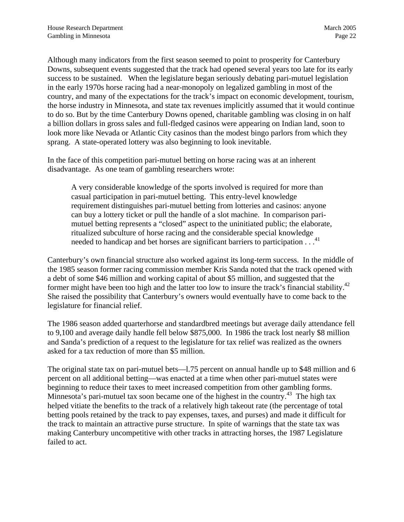Although many indicators from the first season seemed to point to prosperity for Canterbury Downs, subsequent events suggested that the track had opened several years too late for its early success to be sustained. When the legislature began seriously debating pari-mutuel legislation in the early 1970s horse racing had a near-monopoly on legalized gambling in most of the country, and many of the expectations for the track's impact on economic development, tourism, the horse industry in Minnesota, and state tax revenues implicitly assumed that it would continue to do so. But by the time Canterbury Downs opened, charitable gambling was closing in on half a billion dollars in gross sales and full-fledged casinos were appearing on Indian land, soon to look more like Nevada or Atlantic City casinos than the modest bingo parlors from which they sprang. A state-operated lottery was also beginning to look inevitable.

In the face of this competition pari-mutuel betting on horse racing was at an inherent disadvantage. As one team of gambling researchers wrote:

A very considerable knowledge of the sports involved is required for more than casual participation in pari-mutuel betting. This entry-level knowledge requirement distinguishes pari-mutuel betting from lotteries and casinos: anyone can buy a lottery ticket or pull the handle of a slot machine. In comparison parimutuel betting represents a "closed" aspect to the uninitiated public; the elaborate, ritualized subculture of horse racing and the considerable special knowledge needed to handicap and bet horses are significant barriers to participation . . .<sup>[41](#page-95-37)</sup>

Canterbury's own financial structure also worked against its long-term success. In the middle of the 1985 season former racing commission member Kris Sanda noted that the track opened with a debt of some \$46 million and working capital of about \$5 million, and suggested that the former might have been too high and the latter too low to insure the track's financial stability.<sup>42</sup> She raised the possibility that Canterbury's owners would eventually have to come back to the legislature for financial relief.

The 1986 season added quarterhorse and standardbred meetings but average daily attendance fell to 9,100 and average daily handle fell below \$875,000. In 1986 the track lost nearly \$8 million and Sanda's prediction of a request to the legislature for tax relief was realized as the owners asked for a tax reduction of more than \$5 million.

The original state tax on pari-mutuel bets—1.75 percent on annual handle up to \$48 million and 6 percent on all additional betting—was enacted at a time when other pari-mutuel states were beginning to reduce their taxes to meet increased competition from other gambling forms. Minnesota's pari-mutuel tax soon became one of the highest in the country.<sup>43</sup> The high tax helped vitiate the benefits to the track of a relatively high takeout rate (the percentage of total betting pools retained by the track to pay expenses, taxes, and purses) and made it difficult for the track to maintain an attractive purse structure. In spite of warnings that the state tax was making Canterbury uncompetitive with other tracks in attracting horses, the 1987 Legislature failed to act.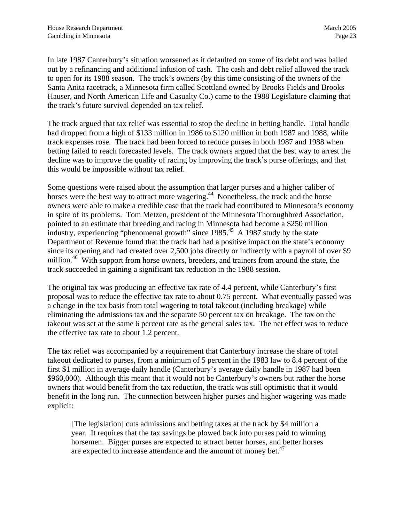In late 1987 Canterbury's situation worsened as it defaulted on some of its debt and was bailed out by a refinancing and additional infusion of cash. The cash and debt relief allowed the track to open for its 1988 season. The track's owners (by this time consisting of the owners of the Santa Anita racetrack, a Minnesota firm called Scottland owned by Brooks Fields and Brooks Hauser, and North American Life and Casualty Co.) came to the 1988 Legislature claiming that the track's future survival depended on tax relief.

The track argued that tax relief was essential to stop the decline in betting handle. Total handle had dropped from a high of \$133 million in 1986 to \$120 million in both 1987 and 1988, while track expenses rose. The track had been forced to reduce purses in both 1987 and 1988 when betting failed to reach forecasted levels. The track owners argued that the best way to arrest the decline was to improve the quality of racing by improving the track's purse offerings, and that this would be impossible without tax relief.

Some questions were raised about the assumption that larger purses and a higher caliber of horses were the best way to attract more wagering.<sup>44</sup> Nonetheless, the track and the horse owners were able to make a credible case that the track had contributed to Minnesota's economy in spite of its problems. Tom Metzen, president of the Minnesota Thoroughbred Association, pointed to an estimate that breeding and racing in Minnesota had become a \$250 million industry, experiencing "phenomenal growth" since 1985.<sup>45</sup> A 1987 study by the state Department of Revenue found that the track had had a positive impact on the state's economy since its opening and had created over 2,500 jobs directly or indirectly with a payroll of over \$9 million.<sup>46</sup> With support from horse owners, breeders, and trainers from around the state, the track succeeded in gaining a significant tax reduction in the 1988 session.

The original tax was producing an effective tax rate of 4.4 percent, while Canterbury's first proposal was to reduce the effective tax rate to about 0.75 percent. What eventually passed was a change in the tax basis from total wagering to total takeout (including breakage) while eliminating the admissions tax and the separate 50 percent tax on breakage. The tax on the takeout was set at the same 6 percent rate as the general sales tax. The net effect was to reduce the effective tax rate to about 1.2 percent.

The tax relief was accompanied by a requirement that Canterbury increase the share of total takeout dedicated to purses, from a minimum of 5 percent in the 1983 law to 8.4 percent of the first \$1 million in average daily handle (Canterbury's average daily handle in 1987 had been \$960,000). Although this meant that it would not be Canterbury's owners but rather the horse owners that would benefit from the tax reduction, the track was still optimistic that it would benefit in the long run. The connection between higher purses and higher wagering was made explicit:

[The legislation] cuts admissions and betting taxes at the track by \$4 million a year. It requires that the tax savings be plowed back into purses paid to winning horsemen. Bigger purses are expected to attract better horses, and better horses are expected to increase attendance and the amount of money bet. $47$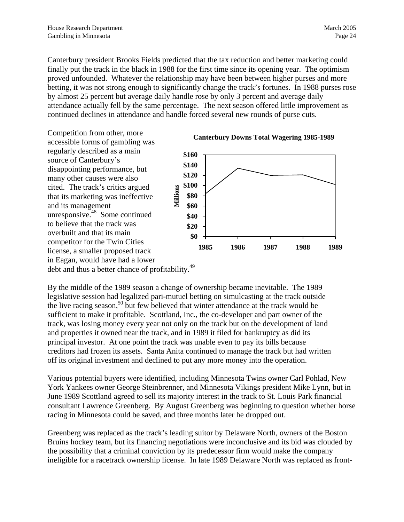Canterbury president Brooks Fields predicted that the tax reduction and better marketing could finally put the track in the black in 1988 for the first time since its opening year. The optimism proved unfounded. Whatever the relationship may have been between higher purses and more betting, it was not strong enough to significantly change the track's fortunes. In 1988 purses rose by almost 25 percent but average daily handle rose by only 3 percent and average daily attendance actually fell by the same percentage. The next season offered little improvement as continued declines in attendance and handle forced several new rounds of purse cuts.

Competition from other, more accessible forms of gambling was regularly described as a main source of Canterbury's disappointing performance, but many other causes were also cited. The track's critics argued that its marketing was ineffective and its management unresponsive[.48](#page-95-41) Some continued to believe that the track was overbuilt and that its main competitor for the Twin Cities license, a smaller proposed track in Eagan, would have had a lower debt and thus a better chance of profitability.<sup>49</sup> **\$0 \$20 \$40 \$60 \$80 \$100 \$120 \$140 \$160 1985 1986 1987 1988 1989 Millions**



By the middle of the 1989 season a change of ownership became inevitable. The 1989 legislative session had legalized pari-mutuel betting on simulcasting at the track outside the live racing season,<sup>50</sup> but few believed that winter attendance at the track would be sufficient to make it profitable. Scottland, Inc., the co-developer and part owner of the track, was losing money every year not only on the track but on the development of land and properties it owned near the track, and in 1989 it filed for bankruptcy as did its principal investor. At one point the track was unable even to pay its bills because creditors had frozen its assets. Santa Anita continued to manage the track but had written off its original investment and declined to put any more money into the operation.

Various potential buyers were identified, including Minnesota Twins owner Carl Pohlad, New York Yankees owner George Steinbrenner, and Minnesota Vikings president Mike Lynn, but in June 1989 Scottland agreed to sell its majority interest in the track to St. Louis Park financial consultant Lawrence Greenberg. By August Greenberg was beginning to question whether horse racing in Minnesota could be saved, and three months later he dropped out.

Greenberg was replaced as the track's leading suitor by Delaware North, owners of the Boston Bruins hockey team, but its financing negotiations were inconclusive and its bid was clouded by the possibility that a criminal conviction by its predecessor firm would make the company ineligible for a racetrack ownership license. In late 1989 Delaware North was replaced as front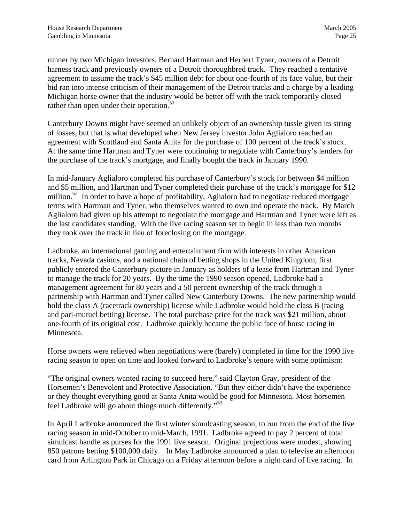runner by two Michigan investors, Bernard Hartman and Herbert Tyner, owners of a Detroit harness track and previously owners of a Detroit thoroughbred track. They reached a tentative agreement to assume the track's \$45 million debt for about one-fourth of its face value, but their bid ran into intense criticism of their management of the Detroit tracks and a charge by a leading Michigan horse owner that the industry would be better off with the track temporarily closed rather than open under their operation.<sup>[51](#page-95-44)</sup>

Canterbury Downs might have seemed an unlikely object of an ownership tussle given its string of losses, but that is what developed when New Jersey investor John Aglialoro reached an agreement with Scottland and Santa Anita for the purchase of 100 percent of the track's stock. At the same time Hartman and Tyner were continuing to negotiate with Canterbury's lenders for the purchase of the track's mortgage, and finally bought the track in January 1990.

In mid-January Aglialoro completed his purchase of Canterbury's stock for between \$4 million and \$5 million, and Hartman and Tyner completed their purchase of the track's mortgage for \$12 million.<sup>52</sup> In order to have a hope of profitability, Aglialoro had to negotiate reduced mortgage terms with Hartman and Tyner, who themselves wanted to own and operate the track. By March Aglialoro had given up his attempt to negotiate the mortgage and Hartman and Tyner were left as the last candidates standing. With the live racing season set to begin in less than two months they took over the track in lieu of foreclosing on the mortgage.

Ladbroke, an international gaming and entertainment firm with interests in other American tracks, Nevada casinos, and a national chain of betting shops in the United Kingdom, first publicly entered the Canterbury picture in January as holders of a lease from Hartman and Tyner to manage the track for 20 years. By the time the 1990 season opened, Ladbroke had a management agreement for 80 years and a 50 percent ownership of the track through a partnership with Hartman and Tyner called New Canterbury Downs. The new partnership would hold the class A (racetrack ownership) license while Ladbroke would hold the class B (racing and pari-mutuel betting) license. The total purchase price for the track was \$21 million, about one-fourth of its original cost. Ladbroke quickly became the public face of horse racing in Minnesota.

Horse owners were relieved when negotiations were (barely) completed in time for the 1990 live racing season to open on time and looked forward to Ladbroke's tenure with some optimism:

"The original owners wanted racing to succeed here," said Clayton Gray, president of the Horsemen's Benevolent and Protective Association. "But they either didn't have the experience or they thought everything good at Santa Anita would be good for Minnesota. Most horsemen feel Ladbroke will go about things much differently.["53](#page-95-29)

In April Ladbroke announced the first winter simulcasting season, to run from the end of the live racing season in mid-October to mid-March, 1991. Ladbroke agreed to pay 2 percent of total simulcast handle as purses for the 1991 live season. Original projections were modest, showing 850 patrons betting \$100,000 daily. In May Ladbroke announced a plan to televise an afternoon card from Arlington Park in Chicago on a Friday afternoon before a night card of live racing. In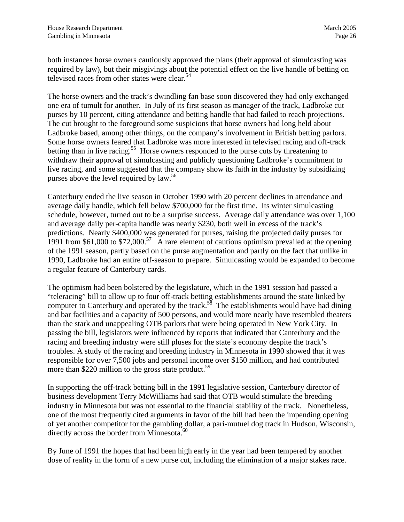both instances horse owners cautiously approved the plans (their approval of simulcasting was required by law), but their misgivings about the potential effect on the live handle of betting on televised races from other states were clear.<sup>[54](#page-95-15)</sup>

The horse owners and the track's dwindling fan base soon discovered they had only exchanged one era of tumult for another. In July of its first season as manager of the track, Ladbroke cut purses by 10 percent, citing attendance and betting handle that had failed to reach projections. The cut brought to the foreground some suspicions that horse owners had long held about Ladbroke based, among other things, on the company's involvement in British betting parlors. Some horse owners feared that Ladbroke was more interested in televised racing and off-track betting than in live racing.<sup>55</sup> Horse owners responded to the purse cuts by threatening to withdraw their approval of simulcasting and publicly questioning Ladbroke's commitment to live racing, and some suggested that the company show its faith in the industry by subsidizing purses above the level required by  $law<sup>56</sup>$  $law<sup>56</sup>$  $law<sup>56</sup>$ .

Canterbury ended the live season in October 1990 with 20 percent declines in attendance and average daily handle, which fell below \$700,000 for the first time. Its winter simulcasting schedule, however, turned out to be a surprise success. Average daily attendance was over 1,100 and average daily per-capita handle was nearly \$230, both well in excess of the track's predictions. Nearly \$400,000 was generated for purses, raising the projected daily purses for 1991 from \$61,000 to \$72,000.<sup>57</sup> A rare element of cautious optimism prevailed at the opening of the 1991 season, partly based on the purse augmentation and partly on the fact that unlike in 1990, Ladbroke had an entire off-season to prepare. Simulcasting would be expanded to become a regular feature of Canterbury cards.

The optimism had been bolstered by the legislature, which in the 1991 session had passed a "teleracing" bill to allow up to four off-track betting establishments around the state linked by computer to Canterbury and operated by the track.<sup>58</sup> The establishments would have had dining and bar facilities and a capacity of 500 persons, and would more nearly have resembled theaters than the stark and unappealing OTB parlors that were being operated in New York City. In passing the bill, legislators were influenced by reports that indicated that Canterbury and the racing and breeding industry were still pluses for the state's economy despite the track's troubles. A study of the racing and breeding industry in Minnesota in 1990 showed that it was responsible for over 7,500 jobs and personal income over \$150 million, and had contributed more than \$220 million to the gross state product.<sup>59</sup>

In supporting the off-track betting bill in the 1991 legislative session, Canterbury director of business development Terry McWilliams had said that OTB would stimulate the breeding industry in Minnesota but was not essential to the financial stability of the track. Nonetheless, one of the most frequently cited arguments in favor of the bill had been the impending opening of yet another competitor for the gambling dollar, a pari-mutuel dog track in Hudson, Wisconsin, directly across the border from Minnesota.<sup>[60](#page-95-48)</sup>

By June of 1991 the hopes that had been high early in the year had been tempered by another dose of reality in the form of a new purse cut, including the elimination of a major stakes race.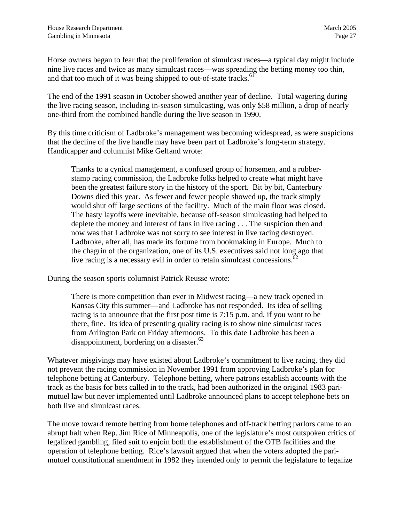Horse owners began to fear that the proliferation of simulcast races—a typical day might include nine live races and twice as many simulcast races—was spreading the betting money too thin, and that too much of it was being shipped to out-of-state tracks. $61$ 

The end of the 1991 season in October showed another year of decline. Total wagering during the live racing season, including in-season simulcasting, was only \$58 million, a drop of nearly one-third from the combined handle during the live season in 1990.

By this time criticism of Ladbroke's management was becoming widespread, as were suspicions that the decline of the live handle may have been part of Ladbroke's long-term strategy. Handicapper and columnist Mike Gelfand wrote:

Thanks to a cynical management, a confused group of horsemen, and a rubberstamp racing commission, the Ladbroke folks helped to create what might have been the greatest failure story in the history of the sport. Bit by bit, Canterbury Downs died this year. As fewer and fewer people showed up, the track simply would shut off large sections of the facility. Much of the main floor was closed. The hasty layoffs were inevitable, because off-season simulcasting had helped to deplete the money and interest of fans in live racing . . . The suspicion then and now was that Ladbroke was not sorry to see interest in live racing destroyed. Ladbroke, after all, has made its fortune from bookmaking in Europe. Much to the chagrin of the organization, one of its U.S. executives said not long ago that live racing is a necessary evil in order to retain simulcast concessions.<sup>[62](#page-95-32)</sup>

During the season sports columnist Patrick Reusse wrote:

There is more competition than ever in Midwest racing—a new track opened in Kansas City this summer—and Ladbroke has not responded. Its idea of selling racing is to announce that the first post time is 7:15 p.m. and, if you want to be there, fine. Its idea of presenting quality racing is to show nine simulcast races from Arlington Park on Friday afternoons. To this date Ladbroke has been a disappointment, bordering on a disaster. $^{63}$  $^{63}$  $^{63}$ 

Whatever misgivings may have existed about Ladbroke's commitment to live racing, they did not prevent the racing commission in November 1991 from approving Ladbroke's plan for telephone betting at Canterbury. Telephone betting, where patrons establish accounts with the track as the basis for bets called in to the track, had been authorized in the original 1983 parimutuel law but never implemented until Ladbroke announced plans to accept telephone bets on both live and simulcast races.

The move toward remote betting from home telephones and off-track betting parlors came to an abrupt halt when Rep. Jim Rice of Minneapolis, one of the legislature's most outspoken critics of legalized gambling, filed suit to enjoin both the establishment of the OTB facilities and the operation of telephone betting. Rice's lawsuit argued that when the voters adopted the parimutuel constitutional amendment in 1982 they intended only to permit the legislature to legalize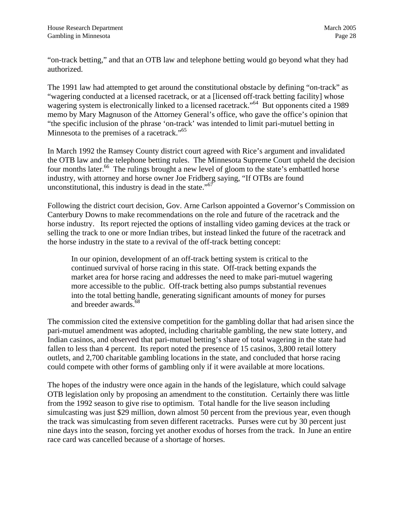"on-track betting," and that an OTB law and telephone betting would go beyond what they had authorized.

The 1991 law had attempted to get around the constitutional obstacle by defining "on-track" as "wagering conducted at a licensed racetrack, or at a [licensed off-track betting facility] whose wagering system is electronically linked to a licensed racetrack."<sup>64</sup> But opponents cited a 1989 memo by Mary Magnuson of the Attorney General's office, who gave the office's opinion that "the specific inclusion of the phrase 'on-track' was intended to limit pari-mutuel betting in Minnesota to the premises of a racetrack."<sup>65</sup>

In March 1992 the Ramsey County district court agreed with Rice's argument and invalidated the OTB law and the telephone betting rules. The Minnesota Supreme Court upheld the decision four months later.<sup>66</sup> The rulings brought a new level of gloom to the state's embattled horse industry, with attorney and horse owner Joe Fridberg saying, "If OTBs are found unconstitutional, this industry is dead in the state." $67$ 

Following the district court decision, Gov. Arne Carlson appointed a Governor's Commission on Canterbury Downs to make recommendations on the role and future of the racetrack and the horse industry. Its report rejected the options of installing video gaming devices at the track or selling the track to one or more Indian tribes, but instead linked the future of the racetrack and the horse industry in the state to a revival of the off-track betting concept:

In our opinion, development of an off-track betting system is critical to the continued survival of horse racing in this state. Off-track betting expands the market area for horse racing and addresses the need to make pari-mutuel wagering more accessible to the public. Off-track betting also pumps substantial revenues into the total betting handle, generating significant amounts of money for purses and breeder awards[.](#page-95-17)<sup>68</sup>

The commission cited the extensive competition for the gambling dollar that had arisen since the pari-mutuel amendment was adopted, including charitable gambling, the new state lottery, and Indian casinos, and observed that pari-mutuel betting's share of total wagering in the state had fallen to less than 4 percent. Its report noted the presence of 15 casinos, 3,800 retail lottery outlets, and 2,700 charitable gambling locations in the state, and concluded that horse racing could compete with other forms of gambling only if it were available at more locations.

The hopes of the industry were once again in the hands of the legislature, which could salvage OTB legislation only by proposing an amendment to the constitution. Certainly there was little from the 1992 season to give rise to optimism. Total handle for the live season including simulcasting was just \$29 million, down almost 50 percent from the previous year, even though the track was simulcasting from seven different racetracks. Purses were cut by 30 percent just nine days into the season, forcing yet another exodus of horses from the track. In June an entire race card was cancelled because of a shortage of horses.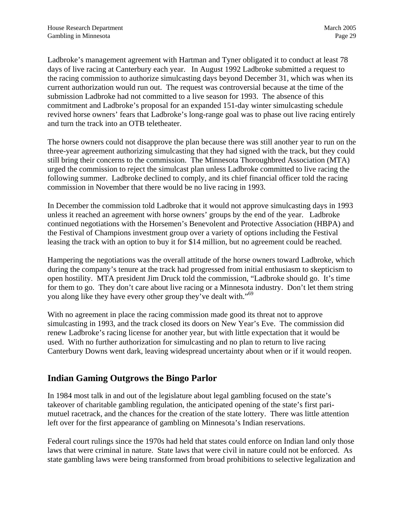<span id="page-32-0"></span>Ladbroke's management agreement with Hartman and Tyner obligated it to conduct at least 78 days of live racing at Canterbury each year. In August 1992 Ladbroke submitted a request to the racing commission to authorize simulcasting days beyond December 31, which was when its current authorization would run out. The request was controversial because at the time of the submission Ladbroke had not committed to a live season for 1993. The absence of this commitment and Ladbroke's proposal for an expanded 151-day winter simulcasting schedule revived horse owners' fears that Ladbroke's long-range goal was to phase out live racing entirely and turn the track into an OTB teletheater.

The horse owners could not disapprove the plan because there was still another year to run on the three-year agreement authorizing simulcasting that they had signed with the track, but they could still bring their concerns to the commission. The Minnesota Thoroughbred Association (MTA) urged the commission to reject the simulcast plan unless Ladbroke committed to live racing the following summer. Ladbroke declined to comply, and its chief financial officer told the racing commission in November that there would be no live racing in 1993.

In December the commission told Ladbroke that it would not approve simulcasting days in 1993 unless it reached an agreement with horse owners' groups by the end of the year. Ladbroke continued negotiations with the Horsemen's Benevolent and Protective Association (HBPA) and the Festival of Champions investment group over a variety of options including the Festival leasing the track with an option to buy it for \$14 million, but no agreement could be reached.

Hampering the negotiations was the overall attitude of the horse owners toward Ladbroke, which during the company's tenure at the track had progressed from initial enthusiasm to skepticism to open hostility. MTA president Jim Druck told the commission, "Ladbroke should go. It's time for them to go. They don't care about live racing or a Minnesota industry. Don't let them string you along like they have every other group they've dealt with."<sup>[69](#page-95-50)</sup>

With no agreement in place the racing commission made good its threat not to approve simulcasting in 1993, and the track closed its doors on New Year's Eve. The commission did renew Ladbroke's racing license for another year, but with little expectation that it would be used. With no further authorization for simulcasting and no plan to return to live racing Canterbury Downs went dark, leaving widespread uncertainty about when or if it would reopen.

#### **Indian Gaming Outgrows the Bingo Parlor**

In 1984 most talk in and out of the legislature about legal gambling focused on the state's takeover of charitable gambling regulation, the anticipated opening of the state's first parimutuel racetrack, and the chances for the creation of the state lottery. There was little attention left over for the first appearance of gambling on Minnesota's Indian reservations.

Federal court rulings since the 1970s had held that states could enforce on Indian land only those laws that were criminal in nature. State laws that were civil in nature could not be enforced. As state gambling laws were being transformed from broad prohibitions to selective legalization and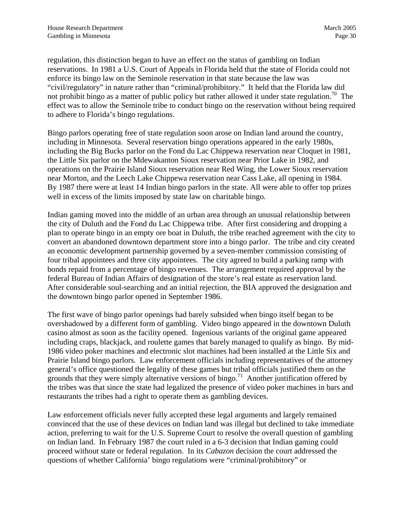regulation, this distinction began to have an effect on the status of gambling on Indian reservations. In 1981 a U.S. Court of Appeals in Florida held that the state of Florida could not enforce its bingo law on the Seminole reservation in that state because the law was "civil/regulatory" in nature rather than "criminal/prohibitory." It held that the Florida law did not prohibit bingo as a matter of public policy but rather allowed it under state regulation.<sup>70</sup> The effect was to allow the Seminole tribe to conduct bingo on the reservation without being required to adhere to Florida's bingo regulations.

Bingo parlors operating free of state regulation soon arose on Indian land around the country, including in Minnesota. Several reservation bingo operations appeared in the early 1980s, including the Big Bucks parlor on the Fond du Lac Chippewa reservation near Cloquet in 1981, the Little Six parlor on the Mdewakanton Sioux reservation near Prior Lake in 1982, and operations on the Prairie Island Sioux reservation near Red Wing, the Lower Sioux reservation near Morton, and the Leech Lake Chippewa reservation near Cass Lake, all opening in 1984. By 1987 there were at least 14 Indian bingo parlors in the state. All were able to offer top prizes well in excess of the limits imposed by state law on charitable bingo.

Indian gaming moved into the middle of an urban area through an unusual relationship between the city of Duluth and the Fond du Lac Chippewa tribe. After first considering and dropping a plan to operate bingo in an empty ore boat in Duluth, the tribe reached agreement with the city to convert an abandoned downtown department store into a bingo parlor. The tribe and city created an economic development partnership governed by a seven-member commission consisting of four tribal appointees and three city appointees. The city agreed to build a parking ramp with bonds repaid from a percentage of bingo revenues. The arrangement required approval by the federal Bureau of Indian Affairs of designation of the store's real estate as reservation land. After considerable soul-searching and an initial rejection, the BIA approved the designation and the downtown bingo parlor opened in September 1986.

The first wave of bingo parlor openings had barely subsided when bingo itself began to be overshadowed by a different form of gambling. Video bingo appeared in the downtown Duluth casino almost as soon as the facility opened. Ingenious variants of the original game appeared including craps, blackjack, and roulette games that barely managed to qualify as bingo. By mid-1986 video poker machines and electronic slot machines had been installed at the Little Six and Prairie Island bingo parlors. Law enforcement officials including representatives of the attorney general's office questioned the legality of these games but tribal officials justified them on the grounds that they were simply alternative versions of bingo.<sup>71</sup> Another justification offered by the tribes was that since the state had legalized the presence of video poker machines in bars and restaurants the tribes had a right to operate them as gambling devices.

Law enforcement officials never fully accepted these legal arguments and largely remained convinced that the use of these devices on Indian land was illegal but declined to take immediate action, preferring to wait for the U.S. Supreme Court to resolve the overall question of gambling on Indian land. In February 1987 the court ruled in a 6-3 decision that Indian gaming could proceed without state or federal regulation. In its *Cabazon* decision the court addressed the questions of whether California' bingo regulations were "criminal/prohibitory" or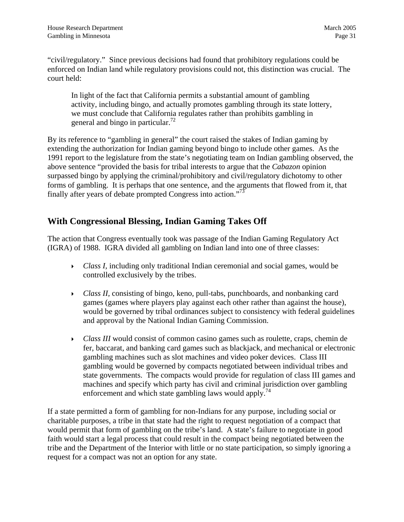<span id="page-34-0"></span>"civil/regulatory." Since previous decisions had found that prohibitory regulations could be enforced on Indian land while regulatory provisions could not, this distinction was crucial. The court held:

In light of the fact that California permits a substantial amount of gambling activity, including bingo, and actually promotes gambling through its state lottery, we must conclude that California regulates rather than prohibits gambling in general and bingo in particular[.](#page-95-52)<sup>72</sup>

By its reference to "gambling in general" the court raised the stakes of Indian gaming by extending the authorization for Indian gaming beyond bingo to include other games. As the 1991 report to the legislature from the state's negotiating team on Indian gambling observed, the above sentence "provided the basis for tribal interests to argue that the *Cabazon* opinion surpassed bingo by applying the criminal/prohibitory and civil/regulatory dichotomy to other forms of gambling. It is perhaps that one sentence, and the arguments that flowed from it, that finally after years of debate prompted Congress into action."[73](#page-95-53)

#### **With Congressional Blessing, Indian Gaming Takes Off**

The action that Congress eventually took was passage of the Indian Gaming Regulatory Act (IGRA) of 1988. IGRA divided all gambling on Indian land into one of three classes:

- ` *Class I,* including only traditional Indian ceremonial and social games, would be controlled exclusively by the tribes.
- ` *Class II,* consisting of bingo, keno, pull-tabs, punchboards, and nonbanking card games (games where players play against each other rather than against the house), would be governed by tribal ordinances subject to consistency with federal guidelines and approval by the National Indian Gaming Commission.
- ` *Class III* would consist of common casino games such as roulette, craps, chemin de fer, baccarat, and banking card games such as blackjack, and mechanical or electronic gambling machines such as slot machines and video poker devices. Class III gambling would be governed by compacts negotiated between individual tribes and state governments. The compacts would provide for regulation of class III games and machines and specify which party has civil and criminal jurisdiction over gambling enforcement and which state gambling laws would apply.<sup>[74](#page-95-54)</sup>

If a state permitted a form of gambling for non-Indians for any purpose, including social or charitable purposes, a tribe in that state had the right to request negotiation of a compact that would permit that form of gambling on the tribe's land. A state's failure to negotiate in good faith would start a legal process that could result in the compact being negotiated between the tribe and the Department of the Interior with little or no state participation, so simply ignoring a request for a compact was not an option for any state.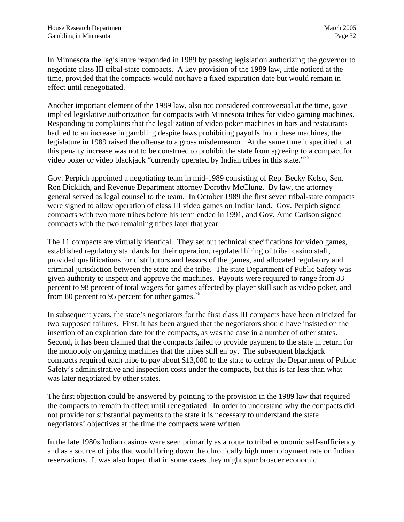In Minnesota the legislature responded in 1989 by passing legislation authorizing the governor to negotiate class III tribal-state compacts. A key provision of the 1989 law, little noticed at the time, provided that the compacts would not have a fixed expiration date but would remain in effect until renegotiated.

Another important element of the 1989 law, also not considered controversial at the time, gave implied legislative authorization for compacts with Minnesota tribes for video gaming machines. Responding to complaints that the legalization of video poker machines in bars and restaurants had led to an increase in gambling despite laws prohibiting payoffs from these machines, the legislature in 1989 raised the offense to a gross misdemeanor. At the same time it specified that this penalty increase was not to be construed to prohibit the state from agreeing to a compact for video poker or video blackjack "currently operated by Indian tribes in this state."[75](#page-95-55)

Gov. Perpich appointed a negotiating team in mid-1989 consisting of Rep. Becky Kelso, Sen. Ron Dicklich, and Revenue Department attorney Dorothy McClung. By law, the attorney general served as legal counsel to the team. In October 1989 the first seven tribal-state compacts were signed to allow operation of class III video games on Indian land. Gov. Perpich signed compacts with two more tribes before his term ended in 1991, and Gov. Arne Carlson signed compacts with the two remaining tribes later that year.

The 11 compacts are virtually identical. They set out technical specifications for video games, established regulatory standards for their operation, regulated hiring of tribal casino staff, provided qualifications for distributors and lessors of the games, and allocated regulatory and criminal jurisdiction between the state and the tribe. The state Department of Public Safety was given authority to inspect and approve the machines. Payouts were required to range from 83 percent to 98 percent of total wagers for games affected by player skill such as video poker, and from 80 percent to 95 percent for other games.<sup>[76](#page-95-50)</sup>

In subsequent years, the state's negotiators for the first class III compacts have been criticized for two supposed failures. First, it has been argued that the negotiators should have insisted on the insertion of an expiration date for the compacts, as was the case in a number of other states. Second, it has been claimed that the compacts failed to provide payment to the state in return for the monopoly on gaming machines that the tribes still enjoy. The subsequent blackjack compacts required each tribe to pay about \$13,000 to the state to defray the Department of Public Safety's administrative and inspection costs under the compacts, but this is far less than what was later negotiated by other states.

The first objection could be answered by pointing to the provision in the 1989 law that required the compacts to remain in effect until renegotiated. In order to understand why the compacts did not provide for substantial payments to the state it is necessary to understand the state negotiators' objectives at the time the compacts were written.

In the late 1980s Indian casinos were seen primarily as a route to tribal economic self-sufficiency and as a source of jobs that would bring down the chronically high unemployment rate on Indian reservations. It was also hoped that in some cases they might spur broader economic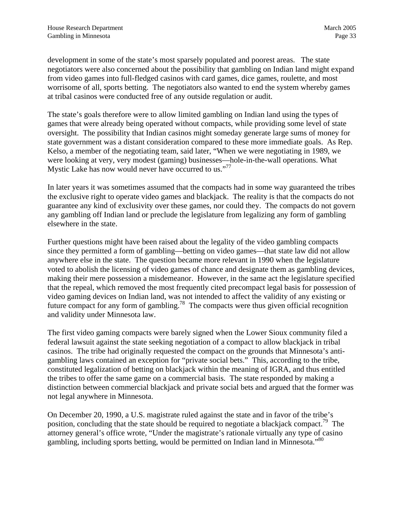development in some of the state's most sparsely populated and poorest areas. The state negotiators were also concerned about the possibility that gambling on Indian land might expand from video games into full-fledged casinos with card games, dice games, roulette, and most worrisome of all, sports betting. The negotiators also wanted to end the system whereby games at tribal casinos were conducted free of any outside regulation or audit.

The state's goals therefore were to allow limited gambling on Indian land using the types of games that were already being operated without compacts, while providing some level of state oversight. The possibility that Indian casinos might someday generate large sums of money for state government was a distant consideration compared to these more immediate goals. As Rep. Kelso, a member of the negotiating team, said later, "When we were negotiating in 1989, we were looking at very, very modest (gaming) businesses—hole-in-the-wall operations. What Mystic Lake has now would never have occurred to us."<sup>[77](#page-95-0)</sup>

In later years it was sometimes assumed that the compacts had in some way guaranteed the tribes the exclusive right to operate video games and blackjack. The reality is that the compacts do not guarantee any kind of exclusivity over these games, nor could they. The compacts do not govern any gambling off Indian land or preclude the legislature from legalizing any form of gambling elsewhere in the state.

Further questions might have been raised about the legality of the video gambling compacts since they permitted a form of gambling—betting on video games—that state law did not allow anywhere else in the state. The question became more relevant in 1990 when the legislature voted to abolish the licensing of video games of chance and designate them as gambling devices, making their mere possession a misdemeanor. However, in the same act the legislature specified that the repeal, which removed the most frequently cited precompact legal basis for possession of video gaming devices on Indian land, was not intended to affect the validity of any existing or future compact for any form of gambling.<sup>78</sup> The compacts were thus given official recognition and validity under Minnesota law.

The first video gaming compacts were barely signed when the Lower Sioux community filed a federal lawsuit against the state seeking negotiation of a compact to allow blackjack in tribal casinos. The tribe had originally requested the compact on the grounds that Minnesota's antigambling laws contained an exception for "private social bets." This, according to the tribe, constituted legalization of betting on blackjack within the meaning of IGRA, and thus entitled the tribes to offer the same game on a commercial basis. The state responded by making a distinction between commercial blackjack and private social bets and argued that the former was not legal anywhere in Minnesota.

On December 20, 1990, a U.S. magistrate ruled against the state and in favor of the tribe's position, concluding that the state should be required to negotiate a blackjack compact.<sup>79</sup> The attorney general's office wrote, "Under the magistrate's rationale virtually any type of casino gambling, including sports betting, would be permitted on Indian land in Minnesota."<sup>[80](#page-95-3)</sup>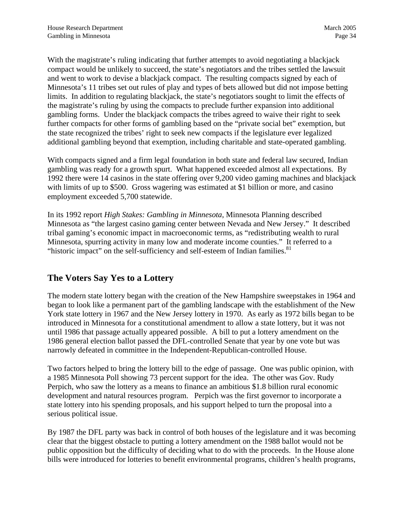With the magistrate's ruling indicating that further attempts to avoid negotiating a blackjack compact would be unlikely to succeed, the state's negotiators and the tribes settled the lawsuit and went to work to devise a blackjack compact. The resulting compacts signed by each of Minnesota's 11 tribes set out rules of play and types of bets allowed but did not impose betting limits. In addition to regulating blackjack, the state's negotiators sought to limit the effects of the magistrate's ruling by using the compacts to preclude further expansion into additional gambling forms. Under the blackjack compacts the tribes agreed to waive their right to seek further compacts for other forms of gambling based on the "private social bet" exemption, but the state recognized the tribes' right to seek new compacts if the legislature ever legalized additional gambling beyond that exemption, including charitable and state-operated gambling.

With compacts signed and a firm legal foundation in both state and federal law secured, Indian gambling was ready for a growth spurt. What happened exceeded almost all expectations. By 1992 there were 14 casinos in the state offering over 9,200 video gaming machines and blackjack with limits of up to \$500. Gross wagering was estimated at \$1 billion or more, and casino employment exceeded 5,700 statewide.

In its 1992 report *High Stakes: Gambling in Minnesota*, Minnesota Planning described Minnesota as "the largest casino gaming center between Nevada and New Jersey." It described tribal gaming's economic impact in macroeconomic terms, as "redistributing wealth to rural Minnesota, spurring activity in many low and moderate income counties." It referred to a "historic impact" on the self-sufficiency and self-esteem of Indian families. $81$ 

## **The Voters Say Yes to a Lottery**

The modern state lottery began with the creation of the New Hampshire sweepstakes in 1964 and began to look like a permanent part of the gambling landscape with the establishment of the New York state lottery in 1967 and the New Jersey lottery in 1970. As early as 1972 bills began to be introduced in Minnesota for a constitutional amendment to allow a state lottery, but it was not until 1986 that passage actually appeared possible. A bill to put a lottery amendment on the 1986 general election ballot passed the DFL-controlled Senate that year by one vote but was narrowly defeated in committee in the Independent-Republican-controlled House.

Two factors helped to bring the lottery bill to the edge of passage. One was public opinion, with a 1985 Minnesota Poll showing 73 percent support for the idea. The other was Gov. Rudy Perpich, who saw the lottery as a means to finance an ambitious \$1.8 billion rural economic development and natural resources program. Perpich was the first governor to incorporate a state lottery into his spending proposals, and his support helped to turn the proposal into a serious political issue.

By 1987 the DFL party was back in control of both houses of the legislature and it was becoming clear that the biggest obstacle to putting a lottery amendment on the 1988 ballot would not be public opposition but the difficulty of deciding what to do with the proceeds. In the House alone bills were introduced for lotteries to benefit environmental programs, children's health programs,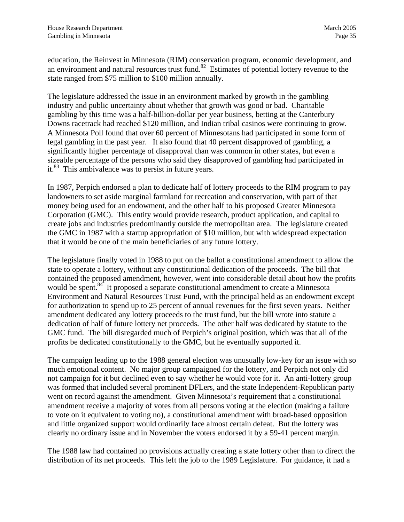education, the Reinvest in Minnesota (RIM) conservation program, economic development, and an environment and natural resources trust fund.[82](#page-95-5) Estimates of potential lottery revenue to the state ranged from \$75 million to \$100 million annually.

The legislature addressed the issue in an environment marked by growth in the gambling industry and public uncertainty about whether that growth was good or bad. Charitable gambling by this time was a half-billion-dollar per year business, betting at the Canterbury Downs racetrack had reached \$120 million, and Indian tribal casinos were continuing to grow. A Minnesota Poll found that over 60 percent of Minnesotans had participated in some form of legal gambling in the past year. It also found that 40 percent disapproved of gambling, a significantly higher percentage of disapproval than was common in other states, but even a sizeable percentage of the persons who said they disapproved of gambling had participated in it.[83](#page-95-0) This ambivalence was to persist in future years.

In 1987, Perpich endorsed a plan to dedicate half of lottery proceeds to the RIM program to pay landowners to set aside marginal farmland for recreation and conservation, with part of that money being used for an endowment, and the other half to his proposed Greater Minnesota Corporation (GMC). This entity would provide research, product application, and capital to create jobs and industries predominantly outside the metropolitan area. The legislature created the GMC in 1987 with a startup appropriation of \$10 million, but with widespread expectation that it would be one of the main beneficiaries of any future lottery.

The legislature finally voted in 1988 to put on the ballot a constitutional amendment to allow the state to operate a lottery, without any constitutional dedication of the proceeds. The bill that contained the proposed amendment, however, went into considerable detail about how the profits would be spent.<sup>84</sup> It proposed a separate constitutional amendment to create a Minnesota Environment and Natural Resources Trust Fund, with the principal held as an endowment except for authorization to spend up to 25 percent of annual revenues for the first seven years. Neither amendment dedicated any lottery proceeds to the trust fund, but the bill wrote into statute a dedication of half of future lottery net proceeds. The other half was dedicated by statute to the GMC fund. The bill disregarded much of Perpich's original position, which was that all of the profits be dedicated constitutionally to the GMC, but he eventually supported it.

The campaign leading up to the 1988 general election was unusually low-key for an issue with so much emotional content. No major group campaigned for the lottery, and Perpich not only did not campaign for it but declined even to say whether he would vote for it. An anti-lottery group was formed that included several prominent DFLers, and the state Independent-Republican party went on record against the amendment. Given Minnesota's requirement that a constitutional amendment receive a majority of votes from all persons voting at the election (making a failure to vote on it equivalent to voting no), a constitutional amendment with broad-based opposition and little organized support would ordinarily face almost certain defeat. But the lottery was clearly no ordinary issue and in November the voters endorsed it by a 59-41 percent margin.

The 1988 law had contained no provisions actually creating a state lottery other than to direct the distribution of its net proceeds. This left the job to the 1989 Legislature. For guidance, it had a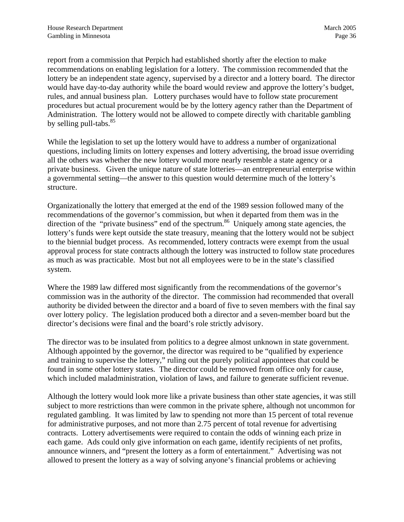report from a commission that Perpich had established shortly after the election to make recommendations on enabling legislation for a lottery. The commission recommended that the lottery be an independent state agency, supervised by a director and a lottery board. The director would have day-to-day authority while the board would review and approve the lottery's budget, rules, and annual business plan. Lottery purchases would have to follow state procurement procedures but actual procurement would be by the lottery agency rather than the Department of Administration. The lottery would not be allowed to compete directly with charitable gambling by selling pull-tabs. $85$ 

While the legislation to set up the lottery would have to address a number of organizational questions, including limits on lottery expenses and lottery advertising, the broad issue overriding all the others was whether the new lottery would more nearly resemble a state agency or a private business. Given the unique nature of state lotteries—an entrepreneurial enterprise within a governmental setting—the answer to this question would determine much of the lottery's structure.

Organizationally the lottery that emerged at the end of the 1989 session followed many of the recommendations of the governor's commission, but when it departed from them was in the direction of the "private business" end of the spectrum.<sup>86</sup> Uniquely among state agencies, the lottery's funds were kept outside the state treasury, meaning that the lottery would not be subject to the biennial budget process. As recommended, lottery contracts were exempt from the usual approval process for state contracts although the lottery was instructed to follow state procedures as much as was practicable. Most but not all employees were to be in the state's classified system.

Where the 1989 law differed most significantly from the recommendations of the governor's commission was in the authority of the director. The commission had recommended that overall authority be divided between the director and a board of five to seven members with the final say over lottery policy. The legislation produced both a director and a seven-member board but the director's decisions were final and the board's role strictly advisory.

The director was to be insulated from politics to a degree almost unknown in state government. Although appointed by the governor, the director was required to be "qualified by experience and training to supervise the lottery," ruling out the purely political appointees that could be found in some other lottery states. The director could be removed from office only for cause, which included maladministration, violation of laws, and failure to generate sufficient revenue.

Although the lottery would look more like a private business than other state agencies, it was still subject to more restrictions than were common in the private sphere, although not uncommon for regulated gambling. It was limited by law to spending not more than 15 percent of total revenue for administrative purposes, and not more than 2.75 percent of total revenue for advertising contracts. Lottery advertisements were required to contain the odds of winning each prize in each game. Ads could only give information on each game, identify recipients of net profits, announce winners, and "present the lottery as a form of entertainment." Advertising was not allowed to present the lottery as a way of solving anyone's financial problems or achieving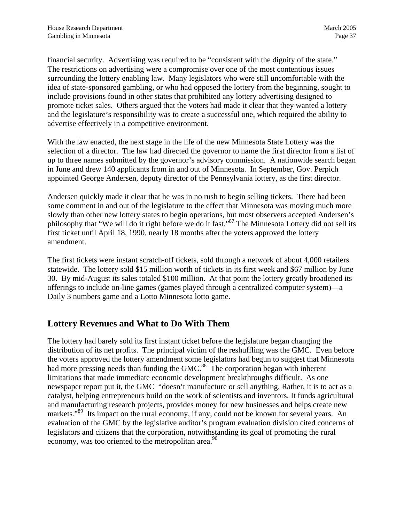financial security. Advertising was required to be "consistent with the dignity of the state." The restrictions on advertising were a compromise over one of the most contentious issues surrounding the lottery enabling law. Many legislators who were still uncomfortable with the idea of state-sponsored gambling, or who had opposed the lottery from the beginning, sought to include provisions found in other states that prohibited any lottery advertising designed to promote ticket sales. Others argued that the voters had made it clear that they wanted a lottery and the legislature's responsibility was to create a successful one, which required the ability to advertise effectively in a competitive environment.

With the law enacted, the next stage in the life of the new Minnesota State Lottery was the selection of a director. The law had directed the governor to name the first director from a list of up to three names submitted by the governor's advisory commission. A nationwide search began in June and drew 140 applicants from in and out of Minnesota. In September, Gov. Perpich appointed George Andersen, deputy director of the Pennsylvania lottery, as the first director.

Andersen quickly made it clear that he was in no rush to begin selling tickets. There had been some comment in and out of the legislature to the effect that Minnesota was moving much more slowly than other new lottery states to begin operations, but most observers accepted Andersen's philosophy that "We will do it right before we do it fast.["87](#page-95-8) The Minnesota Lottery did not sell its first ticket until April 18, 1990, nearly 18 months after the voters approved the lottery amendment.

The first tickets were instant scratch-off tickets, sold through a network of about 4,000 retailers statewide. The lottery sold \$15 million worth of tickets in its first week and \$67 million by June 30. By mid-August its sales totaled \$100 million. At that point the lottery greatly broadened its offerings to include on-line games (games played through a centralized computer system)—a Daily 3 numbers game and a Lotto Minnesota lotto game.

## **Lottery Revenues and What to Do With Them**

The lottery had barely sold its first instant ticket before the legislature began changing the distribution of its net profits. The principal victim of the reshuffling was the GMC. Even before the voters approved the lottery amendment some legislators had begun to suggest that Minnesota had more pressing needs than funding the GMC.<sup>88</sup> The corporation began with inherent limitations that made immediate economic development breakthroughs difficult. As one newspaper report put it, the GMC "doesn't manufacture or sell anything. Rather, it is to act as a catalyst, helping entrepreneurs build on the work of scientists and inventors. It funds agricultural and manufacturing research projects, provides money for new businesses and helps create new markets."<sup>89</sup> Its impact on the rural economy, if any, could not be known for several years. An evaluation of the GMC by the legislative auditor's program evaluation division cited concerns of legislators and citizens that the corporation, notwithstanding its goal of promoting the rural economy, was too oriented to the metropolitan area.<sup>[90](#page-95-11)</sup>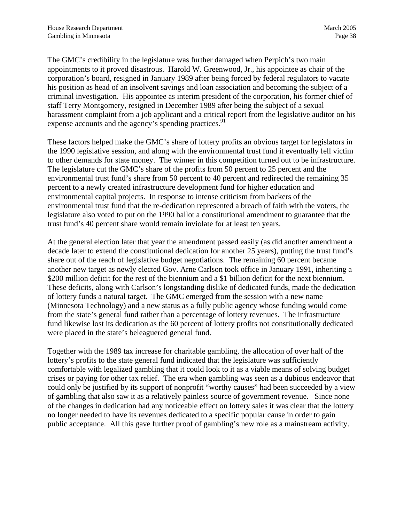The GMC's credibility in the legislature was further damaged when Perpich's two main appointments to it proved disastrous. Harold W. Greenwood, Jr., his appointee as chair of the corporation's board, resigned in January 1989 after being forced by federal regulators to vacate his position as head of an insolvent savings and loan association and becoming the subject of a criminal investigation. His appointee as interim president of the corporation, his former chief of staff Terry Montgomery, resigned in December 1989 after being the subject of a sexual harassment complaint from a job applicant and a critical report from the legislative auditor on his expense accounts and the agency's spending practices.<sup>91</sup>

These factors helped make the GMC's share of lottery profits an obvious target for legislators in the 1990 legislative session, and along with the environmental trust fund it eventually fell victim to other demands for state money. The winner in this competition turned out to be infrastructure. The legislature cut the GMC's share of the profits from 50 percent to 25 percent and the environmental trust fund's share from 50 percent to 40 percent and redirected the remaining 35 percent to a newly created infrastructure development fund for higher education and environmental capital projects. In response to intense criticism from backers of the environmental trust fund that the re-dedication represented a breach of faith with the voters, the legislature also voted to put on the 1990 ballot a constitutional amendment to guarantee that the trust fund's 40 percent share would remain inviolate for at least ten years.

At the general election later that year the amendment passed easily (as did another amendment a decade later to extend the constitutional dedication for another 25 years), putting the trust fund's share out of the reach of legislative budget negotiations. The remaining 60 percent became another new target as newly elected Gov. Arne Carlson took office in January 1991, inheriting a \$200 million deficit for the rest of the biennium and a \$1 billion deficit for the next biennium. These deficits, along with Carlson's longstanding dislike of dedicated funds, made the dedication of lottery funds a natural target. The GMC emerged from the session with a new name (Minnesota Technology) and a new status as a fully public agency whose funding would come from the state's general fund rather than a percentage of lottery revenues. The infrastructure fund likewise lost its dedication as the 60 percent of lottery profits not constitutionally dedicated were placed in the state's beleaguered general fund.

Together with the 1989 tax increase for charitable gambling, the allocation of over half of the lottery's profits to the state general fund indicated that the legislature was sufficiently comfortable with legalized gambling that it could look to it as a viable means of solving budget crises or paying for other tax relief. The era when gambling was seen as a dubious endeavor that could only be justified by its support of nonprofit "worthy causes" had been succeeded by a view of gambling that also saw it as a relatively painless source of government revenue. Since none of the changes in dedication had any noticeable effect on lottery sales it was clear that the lottery no longer needed to have its revenues dedicated to a specific popular cause in order to gain public acceptance. All this gave further proof of gambling's new role as a mainstream activity.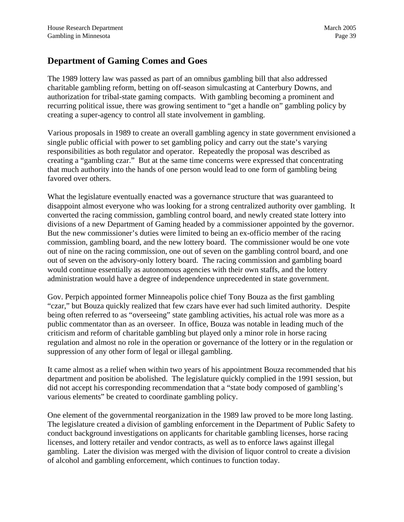#### **Department of Gaming Comes and Goes**

The 1989 lottery law was passed as part of an omnibus gambling bill that also addressed charitable gambling reform, betting on off-season simulcasting at Canterbury Downs, and authorization for tribal-state gaming compacts. With gambling becoming a prominent and recurring political issue, there was growing sentiment to "get a handle on" gambling policy by creating a super-agency to control all state involvement in gambling.

Various proposals in 1989 to create an overall gambling agency in state government envisioned a single public official with power to set gambling policy and carry out the state's varying responsibilities as both regulator and operator. Repeatedly the proposal was described as creating a "gambling czar." But at the same time concerns were expressed that concentrating that much authority into the hands of one person would lead to one form of gambling being favored over others.

What the legislature eventually enacted was a governance structure that was guaranteed to disappoint almost everyone who was looking for a strong centralized authority over gambling. It converted the racing commission, gambling control board, and newly created state lottery into divisions of a new Department of Gaming headed by a commissioner appointed by the governor. But the new commissioner's duties were limited to being an ex-officio member of the racing commission, gambling board, and the new lottery board. The commissioner would be one vote out of nine on the racing commission, one out of seven on the gambling control board, and one out of seven on the advisory-only lottery board. The racing commission and gambling board would continue essentially as autonomous agencies with their own staffs, and the lottery administration would have a degree of independence unprecedented in state government.

Gov. Perpich appointed former Minneapolis police chief Tony Bouza as the first gambling "czar," but Bouza quickly realized that few czars have ever had such limited authority. Despite being often referred to as "overseeing" state gambling activities, his actual role was more as a public commentator than as an overseer. In office, Bouza was notable in leading much of the criticism and reform of charitable gambling but played only a minor role in horse racing regulation and almost no role in the operation or governance of the lottery or in the regulation or suppression of any other form of legal or illegal gambling.

It came almost as a relief when within two years of his appointment Bouza recommended that his department and position be abolished. The legislature quickly complied in the 1991 session, but did not accept his corresponding recommendation that a "state body composed of gambling's various elements" be created to coordinate gambling policy.

One element of the governmental reorganization in the 1989 law proved to be more long lasting. The legislature created a division of gambling enforcement in the Department of Public Safety to conduct background investigations on applicants for charitable gambling licenses, horse racing licenses, and lottery retailer and vendor contracts, as well as to enforce laws against illegal gambling. Later the division was merged with the division of liquor control to create a division of alcohol and gambling enforcement, which continues to function today.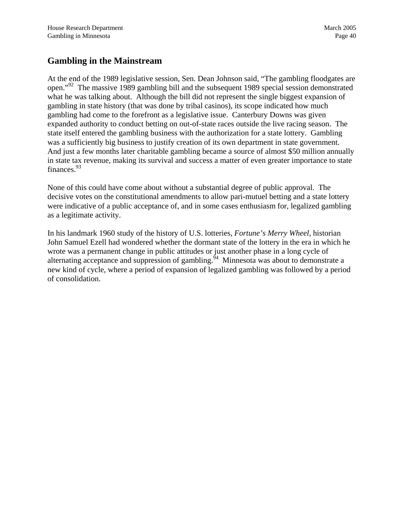## **Gambling in the Mainstream**

At the end of the 1989 legislative session, Sen. Dean Johnson said, "The gambling floodgates are open."[92](#page-95-12) The massive 1989 gambling bill and the subsequent 1989 special session demonstrated what he was talking about. Although the bill did not represent the single biggest expansion of gambling in state history (that was done by tribal casinos), its scope indicated how much gambling had come to the forefront as a legislative issue. Canterbury Downs was given expanded authority to conduct betting on out-of-state races outside the live racing season. The state itself entered the gambling business with the authorization for a state lottery. Gambling was a sufficiently big business to justify creation of its own department in state government. And just a few months later charitable gambling became a source of almost \$50 million annually in state tax revenue, making its survival and success a matter of even greater importance to state finances.<sup>93</sup>

None of this could have come about without a substantial degree of public approval. The decisive votes on the constitutional amendments to allow pari-mutuel betting and a state lottery were indicative of a public acceptance of, and in some cases enthusiasm for, legalized gambling as a legitimate activity.

In his landmark 1960 study of the history of U.S. lotteries, *Fortune's Merry Wheel*, historian John Samuel Ezell had wondered whether the dormant state of the lottery in the era in which he wrote was a permanent change in public attitudes or just another phase in a long cycle of alternating acceptance and suppression of gambling.<sup>54</sup> Minnesota was about to demonstrate a new kind of cycle, where a period of expansion of legalized gambling was followed by a period of consolidation.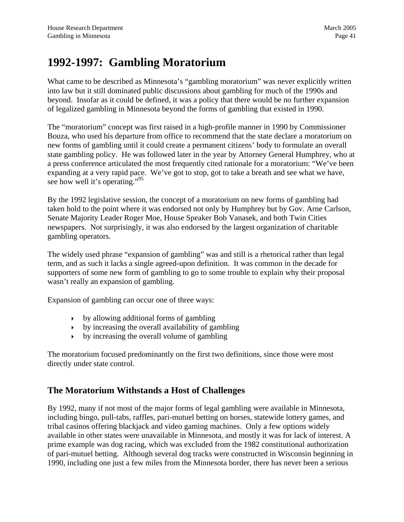# **1992-1997: Gambling Moratorium**

What came to be described as Minnesota's "gambling moratorium" was never explicitly written into law but it still dominated public discussions about gambling for much of the 1990s and beyond. Insofar as it could be defined, it was a policy that there would be no further expansion of legalized gambling in Minnesota beyond the forms of gambling that existed in 1990.

The "moratorium" concept was first raised in a high-profile manner in 1990 by Commissioner Bouza, who used his departure from office to recommend that the state declare a moratorium on new forms of gambling until it could create a permanent citizens' body to formulate an overall state gambling policy. He was followed later in the year by Attorney General Humphrey, who at a press conference articulated the most frequently cited rationale for a moratorium: "We've been expanding at a very rapid pace. We've got to stop, got to take a breath and see what we have, see how well it's operating."<sup>[95](#page-95-14)</sup>

By the 1992 legislative session, the concept of a moratorium on new forms of gambling had taken hold to the point where it was endorsed not only by Humphrey but by Gov. Arne Carlson, Senate Majority Leader Roger Moe, House Speaker Bob Vanasek, and both Twin Cities newspapers. Not surprisingly, it was also endorsed by the largest organization of charitable gambling operators.

The widely used phrase "expansion of gambling" was and still is a rhetorical rather than legal term, and as such it lacks a single agreed-upon definition. It was common in the decade for supporters of some new form of gambling to go to some trouble to explain why their proposal wasn't really an expansion of gambling.

Expansion of gambling can occur one of three ways:

- $\rightarrow$  by allowing additional forms of gambling
- $\rightarrow$  by increasing the overall availability of gambling
- $\rightarrow$  by increasing the overall volume of gambling

The moratorium focused predominantly on the first two definitions, since those were most directly under state control.

#### **The Moratorium Withstands a Host of Challenges**

By 1992, many if not most of the major forms of legal gambling were available in Minnesota, including bingo, pull-tabs, raffles, pari-mutuel betting on horses, statewide lottery games, and tribal casinos offering blackjack and video gaming machines. Only a few options widely available in other states were unavailable in Minnesota, and mostly it was for lack of interest. A prime example was dog racing, which was excluded from the 1982 constitutional authorization of pari-mutuel betting. Although several dog tracks were constructed in Wisconsin beginning in 1990, including one just a few miles from the Minnesota border, there has never been a serious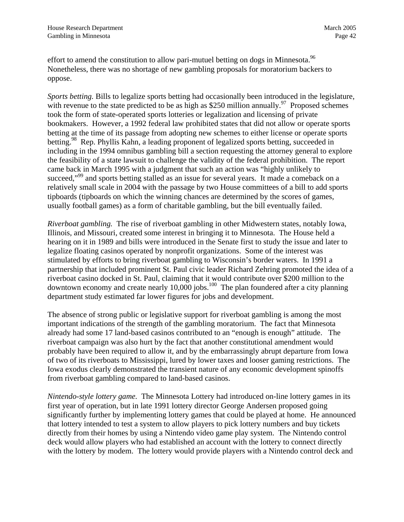effort to amend the constitution to allow pari-mutuel betting on dogs in Minnesota.<sup>96</sup> Nonetheless, there was no shortage of new gambling proposals for moratorium backers to oppose.

*Sports betting.* Bills to legalize sports betting had occasionally been introduced in the legislature, with revenue to the state predicted to be as high as \$250 million annually.<sup>97</sup> Proposed schemes took the form of state-operated sports lotteries or legalization and licensing of private bookmakers. However, a 1992 federal law prohibited states that did not allow or operate sports betting at the time of its passage from adopting new schemes to either license or operate sports betting.<sup>98</sup> Rep. Phyllis Kahn, a leading proponent of legalized sports betting, succeeded in including in the 1994 omnibus gambling bill a section requesting the attorney general to explore the feasibility of a state lawsuit to challenge the validity of the federal prohibition. The report came back in March 1995 with a judgment that such an action was "highly unlikely to succeed,"<sup>99</sup> and sports betting stalled as an issue for several years. It made a comeback on a relatively small scale in 2004 with the passage by two House committees of a bill to add sports tipboards (tipboards on which the winning chances are determined by the scores of games, usually football games) as a form of charitable gambling, but the bill eventually failed.

*Riverboat gambling.* The rise of riverboat gambling in other Midwestern states, notably Iowa, Illinois, and Missouri, created some interest in bringing it to Minnesota. The House held a hearing on it in 1989 and bills were introduced in the Senate first to study the issue and later to legalize floating casinos operated by nonprofit organizations. Some of the interest was stimulated by efforts to bring riverboat gambling to Wisconsin's border waters. In 1991 a partnership that included prominent St. Paul civic leader Richard Zehring promoted the idea of a riverboat casino docked in St. Paul, claiming that it would contribute over \$200 million to the downtown economy and create nearly  $10,000$  jobs.<sup>100</sup> The plan foundered after a city planning department study estimated far lower figures for jobs and development.

The absence of strong public or legislative support for riverboat gambling is among the most important indications of the strength of the gambling moratorium. The fact that Minnesota already had some 17 land-based casinos contributed to an "enough is enough" attitude. The riverboat campaign was also hurt by the fact that another constitutional amendment would probably have been required to allow it, and by the embarrassingly abrupt departure from Iowa of two of its riverboats to Mississippi, lured by lower taxes and looser gaming restrictions. The Iowa exodus clearly demonstrated the transient nature of any economic development spinoffs from riverboat gambling compared to land-based casinos.

*Nintendo-style lottery game.* The Minnesota Lottery had introduced on-line lottery games in its first year of operation, but in late 1991 lottery director George Andersen proposed going significantly further by implementing lottery games that could be played at home. He announced that lottery intended to test a system to allow players to pick lottery numbers and buy tickets directly from their homes by using a Nintendo video game play system. The Nintendo control deck would allow players who had established an account with the lottery to connect directly with the lottery by modem. The lottery would provide players with a Nintendo control deck and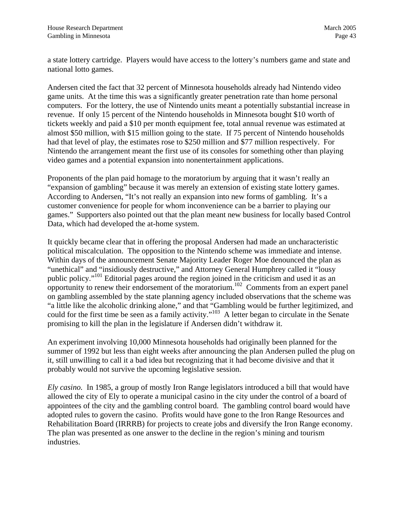a state lottery cartridge. Players would have access to the lottery's numbers game and state and national lotto games.

Andersen cited the fact that 32 percent of Minnesota households already had Nintendo video game units. At the time this was a significantly greater penetration rate than home personal computers. For the lottery, the use of Nintendo units meant a potentially substantial increase in revenue. If only 15 percent of the Nintendo households in Minnesota bought \$10 worth of tickets weekly and paid a \$10 per month equipment fee, total annual revenue was estimated at almost \$50 million, with \$15 million going to the state. If 75 percent of Nintendo households had that level of play, the estimates rose to \$250 million and \$77 million respectively. For Nintendo the arrangement meant the first use of its consoles for something other than playing video games and a potential expansion into nonentertainment applications.

Proponents of the plan paid homage to the moratorium by arguing that it wasn't really an "expansion of gambling" because it was merely an extension of existing state lottery games. According to Andersen, "It's not really an expansion into new forms of gambling. It's a customer convenience for people for whom inconvenience can be a barrier to playing our games." Supporters also pointed out that the plan meant new business for locally based Control Data, which had developed the at-home system.

It quickly became clear that in offering the proposal Andersen had made an uncharacteristic political miscalculation. The opposition to the Nintendo scheme was immediate and intense. Within days of the announcement Senate Majority Leader Roger Moe denounced the plan as "unethical" and "insidiously destructive," and Attorney General Humphrey called it "lousy public policy.["101 E](#page-95-19)ditorial pages around the region joined in the criticism and used it as an opportunity to renew their endorsement of the moratorium.<sup>102</sup> Comments from an expert panel on gambling assembled by the state planning agency included observations that the scheme was "a little like the alcoholic drinking alone," and that "Gambling would be further legitimized, and could for the first time be seen as a family activity."<sup>103</sup> A letter began to circulate in the Senate promising to kill the plan in the legislature if Andersen didn't withdraw it.

An experiment involving 10,000 Minnesota households had originally been planned for the summer of 1992 but less than eight weeks after announcing the plan Andersen pulled the plug on it, still unwilling to call it a bad idea but recognizing that it had become divisive and that it probably would not survive the upcoming legislative session.

*Ely casino.* In 1985, a group of mostly Iron Range legislators introduced a bill that would have allowed the city of Ely to operate a municipal casino in the city under the control of a board of appointees of the city and the gambling control board. The gambling control board would have adopted rules to govern the casino. Profits would have gone to the Iron Range Resources and Rehabilitation Board (IRRRB) for projects to create jobs and diversify the Iron Range economy. The plan was presented as one answer to the decline in the region's mining and tourism industries.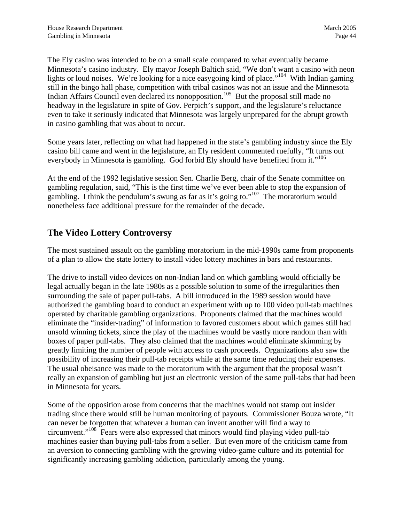The Ely casino was intended to be on a small scale compared to what eventually became Minnesota's casino industry. Ely mayor Joseph Baltich said, "We don't want a casino with neon lights or loud noises. We're looking for a nice easygoing kind of place."<sup>104</sup> With Indian gaming still in the bingo hall phase, competition with tribal casinos was not an issue and the Minnesota Indian Affairs Council even declared its nonopposition.<sup>105</sup> But the proposal still made no headway in the legislature in spite of Gov. Perpich's support, and the legislature's reluctance even to take it seriously indicated that Minnesota was largely unprepared for the abrupt growth in casino gambling that was about to occur.

Some years later, reflecting on what had happened in the state's gambling industry since the Ely casino bill came and went in the legislature, an Ely resident commented ruefully, "It turns out everybody in Minnesota is gambling. God forbid Ely should have benefited from it."<sup>[106](#page-95-23)</sup>

At the end of the 1992 legislative session Sen. Charlie Berg, chair of the Senate committee on gambling regulation, said, "This is the first time we've ever been able to stop the expansion of gambling. I think the pendulum's swung as far as it's going to."[107](#page-95-24) The moratorium would nonetheless face additional pressure for the remainder of the decade.

## **The Video Lottery Controversy**

The most sustained assault on the gambling moratorium in the mid-1990s came from proponents of a plan to allow the state lottery to install video lottery machines in bars and restaurants.

The drive to install video devices on non-Indian land on which gambling would officially be legal actually began in the late 1980s as a possible solution to some of the irregularities then surrounding the sale of paper pull-tabs. A bill introduced in the 1989 session would have authorized the gambling board to conduct an experiment with up to 100 video pull-tab machines operated by charitable gambling organizations. Proponents claimed that the machines would eliminate the "insider-trading" of information to favored customers about which games still had unsold winning tickets, since the play of the machines would be vastly more random than with boxes of paper pull-tabs. They also claimed that the machines would eliminate skimming by greatly limiting the number of people with access to cash proceeds. Organizations also saw the possibility of increasing their pull-tab receipts while at the same time reducing their expenses. The usual obeisance was made to the moratorium with the argument that the proposal wasn't really an expansion of gambling but just an electronic version of the same pull-tabs that had been in Minnesota for years.

Some of the opposition arose from concerns that the machines would not stamp out insider trading since there would still be human monitoring of payouts. Commissioner Bouza wrote, "It can never be forgotten that whatever a human can invent another will find a way to circumvent."[108](#page-95-25) Fears were also expressed that minors would find playing video pull-tab machines easier than buying pull-tabs from a seller. But even more of the criticism came from an aversion to connecting gambling with the growing video-game culture and its potential for significantly increasing gambling addiction, particularly among the young.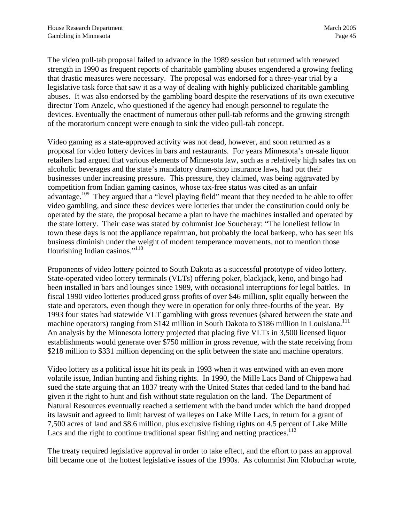The video pull-tab proposal failed to advance in the 1989 session but returned with renewed strength in 1990 as frequent reports of charitable gambling abuses engendered a growing feeling that drastic measures were necessary. The proposal was endorsed for a three-year trial by a legislative task force that saw it as a way of dealing with highly publicized charitable gambling abuses. It was also endorsed by the gambling board despite the reservations of its own executive director Tom Anzelc, who questioned if the agency had enough personnel to regulate the devices. Eventually the enactment of numerous other pull-tab reforms and the growing strength of the moratorium concept were enough to sink the video pull-tab concept.

Video gaming as a state-approved activity was not dead, however, and soon returned as a proposal for video lottery devices in bars and restaurants. For years Minnesota's on-sale liquor retailers had argued that various elements of Minnesota law, such as a relatively high sales tax on alcoholic beverages and the state's mandatory dram-shop insurance laws, had put their businesses under increasing pressure. This pressure, they claimed, was being aggravated by competition from Indian gaming casinos, whose tax-free status was cited as an unfair advantage.<sup>109</sup> They argued that a "level playing field" meant that they needed to be able to offer video gambling, and since these devices were lotteries that under the constitution could only be operated by the state, the proposal became a plan to have the machines installed and operated by the state lottery. Their case was stated by columnist Joe Soucheray: "The loneliest fellow in town these days is not the appliance repairman, but probably the local barkeep, who has seen his business diminish under the weight of modern temperance movements, not to mention those flourishing Indian casinos."<sup>[110](#page-95-4)</sup>

Proponents of video lottery pointed to South Dakota as a successful prototype of video lottery. State-operated video lottery terminals (VLTs) offering poker, blackjack, keno, and bingo had been installed in bars and lounges since 1989, with occasional interruptions for legal battles. In fiscal 1990 video lotteries produced gross profits of over \$46 million, split equally between the state and operators, even though they were in operation for only three-fourths of the year. By 1993 four states had statewide VLT gambling with gross revenues (shared between the state and machine operators) ranging from \$142 million in South Dakota to \$186 million in Louisiana.<sup>111</sup> An analysis by the Minnesota lottery projected that placing five VLTs in 3,500 licensed liquor establishments would generate over \$750 million in gross revenue, with the state receiving from \$218 million to \$331 million depending on the split between the state and machine operators.

Video lottery as a political issue hit its peak in 1993 when it was entwined with an even more volatile issue, Indian hunting and fishing rights. In 1990, the Mille Lacs Band of Chippewa had sued the state arguing that an 1837 treaty with the United States that ceded land to the band had given it the right to hunt and fish without state regulation on the land. The Department of Natural Resources eventually reached a settlement with the band under which the band dropped its lawsuit and agreed to limit harvest of walleyes on Lake Mille Lacs, in return for a grant of 7,500 acres of land and \$8.6 million, plus exclusive fishing rights on 4.5 percent of Lake Mille Lacs and the right to continue traditional spear fishing and netting practices.<sup>112</sup>

The treaty required legislative approval in order to take effect, and the effort to pass an approval bill became one of the hottest legislative issues of the 1990s. As columnist Jim Klobuchar wrote,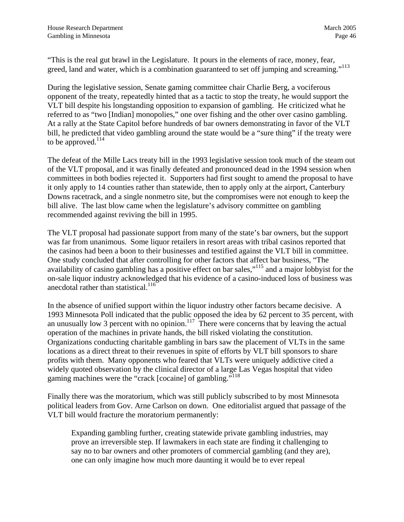"This is the real gut brawl in the Legislature. It pours in the elements of race, money, fear, greed, land and water, which is a combination guaranteed to set off jumping and screaming."<sup>113</sup>

During the legislative session, Senate gaming committee chair Charlie Berg, a vociferous opponent of the treaty, repeatedly hinted that as a tactic to stop the treaty, he would support the VLT bill despite his longstanding opposition to expansion of gambling. He criticized what he referred to as "two [Indian] monopolies," one over fishing and the other over casino gambling. At a rally at the State Capitol before hundreds of bar owners demonstrating in favor of the VLT bill, he predicted that video gambling around the state would be a "sure thing" if the treaty were to be approved. $114$ 

The defeat of the Mille Lacs treaty bill in the 1993 legislative session took much of the steam out of the VLT proposal, and it was finally defeated and pronounced dead in the 1994 session when committees in both bodies rejected it. Supporters had first sought to amend the proposal to have it only apply to 14 counties rather than statewide, then to apply only at the airport, Canterbury Downs racetrack, and a single nonmetro site, but the compromises were not enough to keep the bill alive. The last blow came when the legislature's advisory committee on gambling recommended against reviving the bill in 1995.

The VLT proposal had passionate support from many of the state's bar owners, but the support was far from unanimous. Some liquor retailers in resort areas with tribal casinos reported that the casinos had been a boon to their businesses and testified against the VLT bill in committee. One study concluded that after controlling for other factors that affect bar business, "The availability of casino gambling has a positive effect on bar sales,"[115 a](#page-95-28)nd a major lobbyist for the on-sale liquor industry acknowledged that his evidence of a casino-induced loss of business was anecdotal rather than statistical.<sup>116</sup>

In the absence of unified support within the liquor industry other factors became decisive. A 1993 Minnesota Poll indicated that the public opposed the idea by 62 percent to 35 percent, with an unusually low 3 percent with no opinion.<sup>117</sup> There were concerns that by leaving the actual operation of the machines in private hands, the bill risked violating the constitution. Organizations conducting charitable gambling in bars saw the placement of VLTs in the same locations as a direct threat to their revenues in spite of efforts by VLT bill sponsors to share profits with them. Many opponents who feared that VLTs were uniquely addictive cited a widely quoted observation by the clinical director of a large Las Vegas hospital that video gaming machines were the "crack [cocaine] of gambling."<sup>[118](#page-95-29)</sup>

Finally there was the moratorium, which was still publicly subscribed to by most Minnesota political leaders from Gov. Arne Carlson on down. One editorialist argued that passage of the VLT bill would fracture the moratorium permanently:

Expanding gambling further, creating statewide private gambling industries, may prove an irreversible step. If lawmakers in each state are finding it challenging to say no to bar owners and other promoters of commercial gambling (and they are), one can only imagine how much more daunting it would be to ever repeal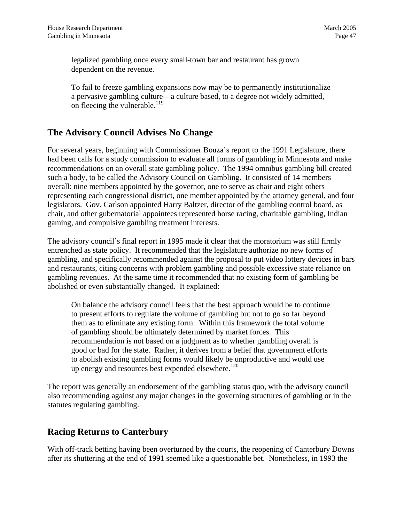legalized gambling once every small-town bar and restaurant has grown dependent on the revenue.

To fail to freeze gambling expansions now may be to permanently institutionalize a pervasive gambling culture—a culture based, to a degree not widely admitted, on fleecing the vulnerable.<sup>119</sup>

#### **The Advisory Council Advises No Change**

For several years, beginning with Commissioner Bouza's report to the 1991 Legislature, there had been calls for a study commission to evaluate all forms of gambling in Minnesota and make recommendations on an overall state gambling policy. The 1994 omnibus gambling bill created such a body, to be called the Advisory Council on Gambling. It consisted of 14 members overall: nine members appointed by the governor, one to serve as chair and eight others representing each congressional district, one member appointed by the attorney general, and four legislators. Gov. Carlson appointed Harry Baltzer, director of the gambling control board, as chair, and other gubernatorial appointees represented horse racing, charitable gambling, Indian gaming, and compulsive gambling treatment interests.

The advisory council's final report in 1995 made it clear that the moratorium was still firmly entrenched as state policy. It recommended that the legislature authorize no new forms of gambling, and specifically recommended against the proposal to put video lottery devices in bars and restaurants, citing concerns with problem gambling and possible excessive state reliance on gambling revenues. At the same time it recommended that no existing form of gambling be abolished or even substantially changed. It explained:

On balance the advisory council feels that the best approach would be to continue to present efforts to regulate the volume of gambling but not to go so far beyond them as to eliminate any existing form. Within this framework the total volume of gambling should be ultimately determined by market forces. This recommendation is not based on a judgment as to whether gambling overall is good or bad for the state. Rather, it derives from a belief that government efforts to abolish existing gambling forms would likely be unproductive and would use up energy and resources best expended elsewhere. $120$ 

The report was generally an endorsement of the gambling status quo, with the advisory council also recommending against any major changes in the governing structures of gambling or in the statutes regulating gambling.

#### **Racing Returns to Canterbury**

With off-track betting having been overturned by the courts, the reopening of Canterbury Downs after its shuttering at the end of 1991 seemed like a questionable bet. Nonetheless, in 1993 the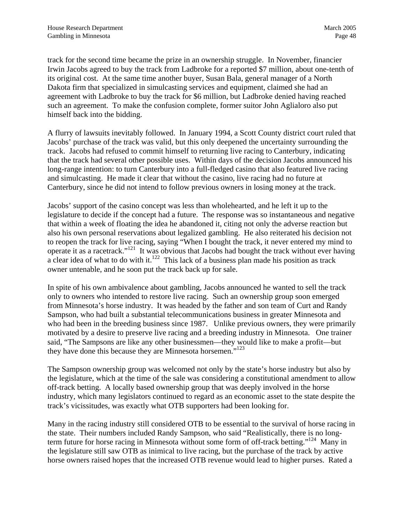track for the second time became the prize in an ownership struggle. In November, financier Irwin Jacobs agreed to buy the track from Ladbroke for a reported \$7 million, about one-tenth of its original cost. At the same time another buyer, Susan Bala, general manager of a North Dakota firm that specialized in simulcasting services and equipment, claimed she had an agreement with Ladbroke to buy the track for \$6 million, but Ladbroke denied having reached such an agreement. To make the confusion complete, former suitor John Aglialoro also put himself back into the bidding.

A flurry of lawsuits inevitably followed. In January 1994, a Scott County district court ruled that Jacobs' purchase of the track was valid, but this only deepened the uncertainty surrounding the track. Jacobs had refused to commit himself to returning live racing to Canterbury, indicating that the track had several other possible uses. Within days of the decision Jacobs announced his long-range intention: to turn Canterbury into a full-fledged casino that also featured live racing and simulcasting. He made it clear that without the casino, live racing had no future at Canterbury, since he did not intend to follow previous owners in losing money at the track.

Jacobs' support of the casino concept was less than wholehearted, and he left it up to the legislature to decide if the concept had a future. The response was so instantaneous and negative that within a week of floating the idea he abandoned it, citing not only the adverse reaction but also his own personal reservations about legalized gambling. He also reiterated his decision not to reopen the track for live racing, saying "When I bought the track, it never entered my mind to operate it as a racetrack."[121](#page-95-4) It was obvious that Jacobs had bought the track without ever having a clear idea of what to do with it.<sup>122</sup> This lack of a business plan made his position as track owner untenable, and he soon put the track back up for sale.

In spite of his own ambivalence about gambling, Jacobs announced he wanted to sell the track only to owners who intended to restore live racing. Such an ownership group soon emerged from Minnesota's horse industry. It was headed by the father and son team of Curt and Randy Sampson, who had built a substantial telecommunications business in greater Minnesota and who had been in the breeding business since 1987. Unlike previous owners, they were primarily motivated by a desire to preserve live racing and a breeding industry in Minnesota. One trainer said, "The Sampsons are like any other businessmen—they would like to make a profit—but they have done this because they are Minnesota horsemen."<sup>[123](#page-95-30)</sup>

The Sampson ownership group was welcomed not only by the state's horse industry but also by the legislature, which at the time of the sale was considering a constitutional amendment to allow off-track betting. A locally based ownership group that was deeply involved in the horse industry, which many legislators continued to regard as an economic asset to the state despite the track's vicissitudes, was exactly what OTB supporters had been looking for.

Many in the racing industry still considered OTB to be essential to the survival of horse racing in the state. Their numbers included Randy Sampson, who said "Realistically, there is no longterm future for horse racing in Minnesota without some form of off-track betting."<sup>124</sup> Many in the legislature still saw OTB as inimical to live racing, but the purchase of the track by active horse owners raised hopes that the increased OTB revenue would lead to higher purses. Rated a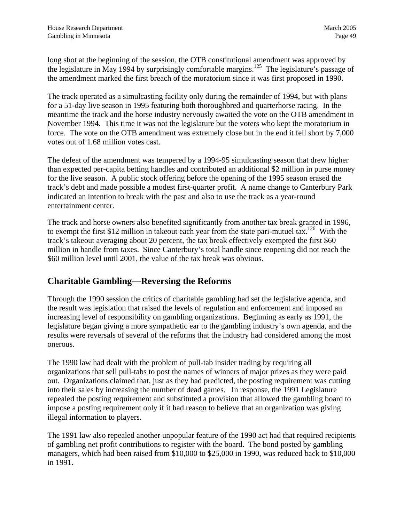long shot at the beginning of the session, the OTB constitutional amendment was approved by the legislature in May 1994 by surprisingly comfortable margins.<sup>125</sup> The legislature's passage of the amendment marked the first breach of the moratorium since it was first proposed in 1990.

The track operated as a simulcasting facility only during the remainder of 1994, but with plans for a 51-day live season in 1995 featuring both thoroughbred and quarterhorse racing. In the meantime the track and the horse industry nervously awaited the vote on the OTB amendment in November 1994. This time it was not the legislature but the voters who kept the moratorium in force. The vote on the OTB amendment was extremely close but in the end it fell short by 7,000 votes out of 1.68 million votes cast.

The defeat of the amendment was tempered by a 1994-95 simulcasting season that drew higher than expected per-capita betting handles and contributed an additional \$2 million in purse money for the live season. A public stock offering before the opening of the 1995 season erased the track's debt and made possible a modest first-quarter profit. A name change to Canterbury Park indicated an intention to break with the past and also to use the track as a year-round entertainment center.

The track and horse owners also benefited significantly from another tax break granted in 1996, to exempt the first \$12 million in takeout each year from the state pari-mutuel tax.<sup>126</sup> With the track's takeout averaging about 20 percent, the tax break effectively exempted the first \$60 million in handle from taxes. Since Canterbury's total handle since reopening did not reach the \$60 million level until 2001, the value of the tax break was obvious.

#### **Charitable Gambling—Reversing the Reforms**

Through the 1990 session the critics of charitable gambling had set the legislative agenda, and the result was legislation that raised the levels of regulation and enforcement and imposed an increasing level of responsibility on gambling organizations. Beginning as early as 1991, the legislature began giving a more sympathetic ear to the gambling industry's own agenda, and the results were reversals of several of the reforms that the industry had considered among the most onerous.

The 1990 law had dealt with the problem of pull-tab insider trading by requiring all organizations that sell pull-tabs to post the names of winners of major prizes as they were paid out. Organizations claimed that, just as they had predicted, the posting requirement was cutting into their sales by increasing the number of dead games. In response, the 1991 Legislature repealed the posting requirement and substituted a provision that allowed the gambling board to impose a posting requirement only if it had reason to believe that an organization was giving illegal information to players.

The 1991 law also repealed another unpopular feature of the 1990 act had that required recipients of gambling net profit contributions to register with the board. The bond posted by gambling managers, which had been raised from \$10,000 to \$25,000 in 1990, was reduced back to \$10,000 in 1991.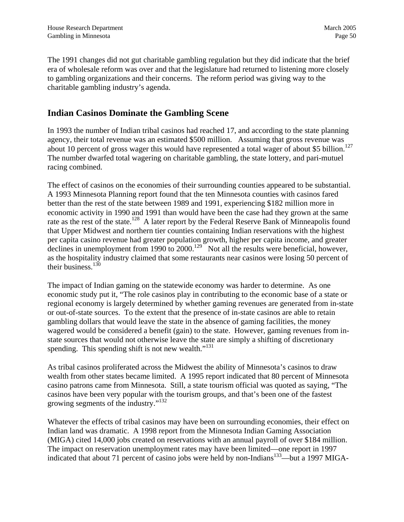The 1991 changes did not gut charitable gambling regulation but they did indicate that the brief era of wholesale reform was over and that the legislature had returned to listening more closely to gambling organizations and their concerns. The reform period was giving way to the charitable gambling industry's agenda.

## **Indian Casinos Dominate the Gambling Scene**

In 1993 the number of Indian tribal casinos had reached 17, and according to the state planning agency, their total revenue was an estimated \$500 million. Assuming that gross revenue was about 10 percent of gross wager this would have represented a total wager of about \$5 billion.<sup>127</sup> The number dwarfed total wagering on charitable gambling, the state lottery, and pari-mutuel racing combined.

The effect of casinos on the economies of their surrounding counties appeared to be substantial. A 1993 Minnesota Planning report found that the ten Minnesota counties with casinos fared better than the rest of the state between 1989 and 1991, experiencing \$182 million more in economic activity in 1990 and 1991 than would have been the case had they grown at the same rate as the rest of the state.<sup>128</sup> A later report by the Federal Reserve Bank of Minneapolis found that Upper Midwest and northern tier counties containing Indian reservations with the highest per capita casino revenue had greater population growth, higher per capita income, and greater declines in unemployment from 1990 to 2000.<sup>129</sup> Not all the results were beneficial, however, as the hospitality industry claimed that some restaurants near casinos were losing 50 percent of their business. $130$ 

The impact of Indian gaming on the statewide economy was harder to determine. As one economic study put it, "The role casinos play in contributing to the economic base of a state or regional economy is largely determined by whether gaming revenues are generated from in-state or out-of-state sources. To the extent that the presence of in-state casinos are able to retain gambling dollars that would leave the state in the absence of gaming facilities, the money wagered would be considered a benefit (gain) to the state. However, gaming revenues from instate sources that would not otherwise leave the state are simply a shifting of discretionary spending. This spending shift is not new wealth. $"^{131}$ 

As tribal casinos proliferated across the Midwest the ability of Minnesota's casinos to draw wealth from other states became limited. A 1995 report indicated that 80 percent of Minnesota casino patrons came from Minnesota. Still, a state tourism official was quoted as saying, "The casinos have been very popular with the tourism groups, and that's been one of the fastest growing segments of the industry."<sup>[132](#page-95-37)</sup>

Whatever the effects of tribal casinos may have been on surrounding economies, their effect on Indian land was dramatic. A 1998 report from the Minnesota Indian Gaming Association (MIGA) cited 14,000 jobs created on reservations with an annual payroll of over \$184 million. The impact on reservation unemployment rates may have been limited—one report in 1997 indicated that about 71 percent of casino jobs were held by non-Indians<sup>133</sup>—but a 1997 MIGA-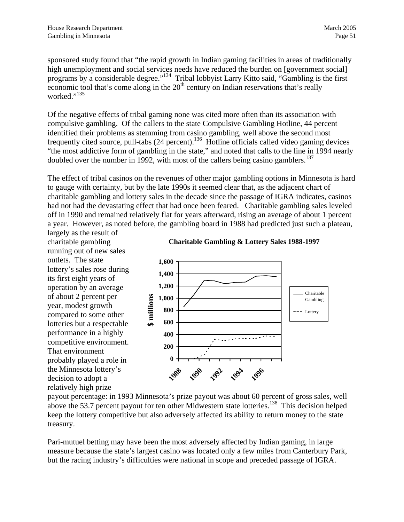sponsored study found that "the rapid growth in Indian gaming facilities in areas of traditionally high unemployment and social services needs have reduced the burden on [government social] programs by a considerable degree."<sup>134</sup> Tribal lobbyist Larry Kitto said, "Gambling is the first economic tool that's come along in the  $20<sup>th</sup>$  century on Indian reservations that's really worked."<sup>[135](#page-95-22)</sup>

Of the negative effects of tribal gaming none was cited more often than its association with compulsive gambling. Of the callers to the state Compulsive Gambling Hotline, 44 percent identified their problems as stemming from casino gambling, well above the second most frequently cited source, pull-tabs  $(24 \text{ percent})$ .<sup>136</sup> Hotline officials called video gaming devices "the most addictive form of gambling in the state," and noted that calls to the line in 1994 nearly doubled over the number in 1992, with most of the callers being casino gamblers.<sup>[137](#page-95-23)</sup>

The effect of tribal casinos on the revenues of other major gambling options in Minnesota is hard to gauge with certainty, but by the late 1990s it seemed clear that, as the adjacent chart of charitable gambling and lottery sales in the decade since the passage of IGRA indicates, casinos had not had the devastating effect that had once been feared. Charitable gambling sales leveled off in 1990 and remained relatively flat for years afterward, rising an average of about 1 percent a year. However, as noted before, the gambling board in 1988 had predicted just such a plateau,

largely as the result of charitable gambling running out of new sales outlets. The state lottery's sales rose during its first eight years of operation by an average of about 2 percent per year, modest growth compared to some other lotteries but a respectable performance in a highly competitive environment. That environment probably played a role in the Minnesota lottery's decision to adopt a relatively high prize





payout percentage: in 1993 Minnesota's prize payout was about 60 percent of gross sales, well above the 53.7 percent payout for ten other Midwestern state lotteries.<sup>138</sup> This decision helped keep the lottery competitive but also adversely affected its ability to return money to the state treasury.

Pari-mutuel betting may have been the most adversely affected by Indian gaming, in large measure because the state's largest casino was located only a few miles from Canterbury Park, but the racing industry's difficulties were national in scope and preceded passage of IGRA.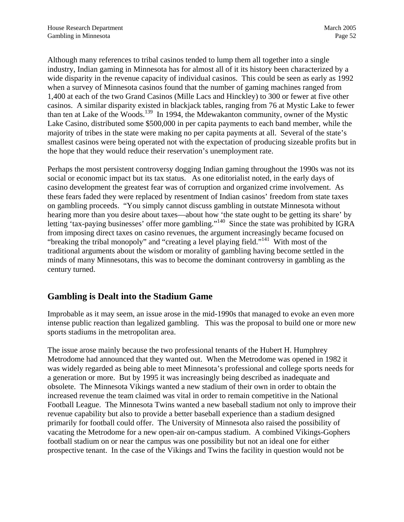Although many references to tribal casinos tended to lump them all together into a single industry, Indian gaming in Minnesota has for almost all of it its history been characterized by a wide disparity in the revenue capacity of individual casinos. This could be seen as early as 1992 when a survey of Minnesota casinos found that the number of gaming machines ranged from 1,400 at each of the two Grand Casinos (Mille Lacs and Hinckley) to 300 or fewer at five other casinos. A similar disparity existed in blackjack tables, ranging from 76 at Mystic Lake to fewer than ten at Lake of the Woods.<sup>139</sup> In 1994, the Mdewakanton community, owner of the Mystic Lake Casino, distributed some \$500,000 in per capita payments to each band member, while the majority of tribes in the state were making no per capita payments at all. Several of the state's smallest casinos were being operated not with the expectation of producing sizeable profits but in the hope that they would reduce their reservation's unemployment rate.

Perhaps the most persistent controversy dogging Indian gaming throughout the 1990s was not its social or economic impact but its tax status. As one editorialist noted, in the early days of casino development the greatest fear was of corruption and organized crime involvement. As these fears faded they were replaced by resentment of Indian casinos' freedom from state taxes on gambling proceeds. "You simply cannot discuss gambling in outstate Minnesota without hearing more than you desire about taxes—about how 'the state ought to be getting its share' by letting 'tax-paying businesses' offer more gambling."<sup>140</sup> Since the state was prohibited by IGRA from imposing direct taxes on casino revenues, the argument increasingly became focused on "breaking the tribal monopoly" and "creating a level playing field."[141](#page-95-41) With most of the traditional arguments about the wisdom or morality of gambling having become settled in the minds of many Minnesotans, this was to become the dominant controversy in gambling as the century turned.

## **Gambling is Dealt into the Stadium Game**

Improbable as it may seem, an issue arose in the mid-1990s that managed to evoke an even more intense public reaction than legalized gambling. This was the proposal to build one or more new sports stadiums in the metropolitan area.

The issue arose mainly because the two professional tenants of the Hubert H. Humphrey Metrodome had announced that they wanted out. When the Metrodome was opened in 1982 it was widely regarded as being able to meet Minnesota's professional and college sports needs for a generation or more. But by 1995 it was increasingly being described as inadequate and obsolete. The Minnesota Vikings wanted a new stadium of their own in order to obtain the increased revenue the team claimed was vital in order to remain competitive in the National Football League. The Minnesota Twins wanted a new baseball stadium not only to improve their revenue capability but also to provide a better baseball experience than a stadium designed primarily for football could offer. The University of Minnesota also raised the possibility of vacating the Metrodome for a new open-air on-campus stadium. A combined Vikings-Gophers football stadium on or near the campus was one possibility but not an ideal one for either prospective tenant. In the case of the Vikings and Twins the facility in question would not be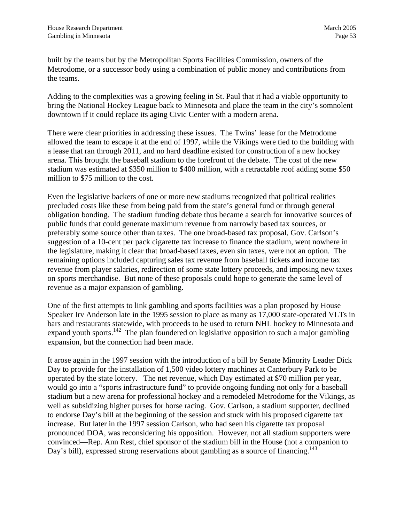built by the teams but by the Metropolitan Sports Facilities Commission, owners of the Metrodome, or a successor body using a combination of public money and contributions from the teams.

Adding to the complexities was a growing feeling in St. Paul that it had a viable opportunity to bring the National Hockey League back to Minnesota and place the team in the city's somnolent downtown if it could replace its aging Civic Center with a modern arena.

There were clear priorities in addressing these issues. The Twins' lease for the Metrodome allowed the team to escape it at the end of 1997, while the Vikings were tied to the building with a lease that ran through 2011, and no hard deadline existed for construction of a new hockey arena. This brought the baseball stadium to the forefront of the debate. The cost of the new stadium was estimated at \$350 million to \$400 million, with a retractable roof adding some \$50 million to \$75 million to the cost.

Even the legislative backers of one or more new stadiums recognized that political realities precluded costs like these from being paid from the state's general fund or through general obligation bonding. The stadium funding debate thus became a search for innovative sources of public funds that could generate maximum revenue from narrowly based tax sources, or preferably some source other than taxes. The one broad-based tax proposal, Gov. Carlson's suggestion of a 10-cent per pack cigarette tax increase to finance the stadium, went nowhere in the legislature, making it clear that broad-based taxes, even sin taxes, were not an option. The remaining options included capturing sales tax revenue from baseball tickets and income tax revenue from player salaries, redirection of some state lottery proceeds, and imposing new taxes on sports merchandise. But none of these proposals could hope to generate the same level of revenue as a major expansion of gambling.

One of the first attempts to link gambling and sports facilities was a plan proposed by House Speaker Irv Anderson late in the 1995 session to place as many as 17,000 state-operated VLTs in bars and restaurants statewide, with proceeds to be used to return NHL hockey to Minnesota and expand youth sports.<sup>142</sup> The plan foundered on legislative opposition to such a major gambling expansion, but the connection had been made.

It arose again in the 1997 session with the introduction of a bill by Senate Minority Leader Dick Day to provide for the installation of 1,500 video lottery machines at Canterbury Park to be operated by the state lottery. The net revenue, which Day estimated at \$70 million per year, would go into a "sports infrastructure fund" to provide ongoing funding not only for a baseball stadium but a new arena for professional hockey and a remodeled Metrodome for the Vikings, as well as subsidizing higher purses for horse racing. Gov. Carlson, a stadium supporter, declined to endorse Day's bill at the beginning of the session and stuck with his proposed cigarette tax increase. But later in the 1997 session Carlson, who had seen his cigarette tax proposal pronounced DOA, was reconsidering his opposition. However, not all stadium supporters were convinced—Rep. Ann Rest, chief sponsor of the stadium bill in the House (not a companion to Day's bill), expressed strong reservations about gambling as a source of financing.<sup>[143](#page-95-43)</sup>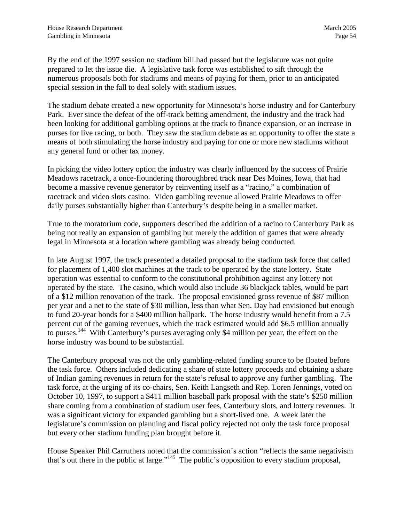By the end of the 1997 session no stadium bill had passed but the legislature was not quite prepared to let the issue die. A legislative task force was established to sift through the numerous proposals both for stadiums and means of paying for them, prior to an anticipated special session in the fall to deal solely with stadium issues.

The stadium debate created a new opportunity for Minnesota's horse industry and for Canterbury Park. Ever since the defeat of the off-track betting amendment, the industry and the track had been looking for additional gambling options at the track to finance expansion, or an increase in purses for live racing, or both. They saw the stadium debate as an opportunity to offer the state a means of both stimulating the horse industry and paying for one or more new stadiums without any general fund or other tax money.

In picking the video lottery option the industry was clearly influenced by the success of Prairie Meadows racetrack, a once-floundering thoroughbred track near Des Moines, Iowa, that had become a massive revenue generator by reinventing itself as a "racino," a combination of racetrack and video slots casino. Video gambling revenue allowed Prairie Meadows to offer daily purses substantially higher than Canterbury's despite being in a smaller market.

True to the moratorium code, supporters described the addition of a racino to Canterbury Park as being not really an expansion of gambling but merely the addition of games that were already legal in Minnesota at a location where gambling was already being conducted.

In late August 1997, the track presented a detailed proposal to the stadium task force that called for placement of 1,400 slot machines at the track to be operated by the state lottery. State operation was essential to conform to the constitutional prohibition against any lottery not operated by the state. The casino, which would also include 36 blackjack tables, would be part of a \$12 million renovation of the track. The proposal envisioned gross revenue of \$87 million per year and a net to the state of \$30 million, less than what Sen. Day had envisioned but enough to fund 20-year bonds for a \$400 million ballpark. The horse industry would benefit from a 7.5 percent cut of the gaming revenues, which the track estimated would add \$6.5 million annually to purses[.144](#page-95-42) With Canterbury's purses averaging only \$4 million per year, the effect on the horse industry was bound to be substantial.

The Canterbury proposal was not the only gambling-related funding source to be floated before the task force. Others included dedicating a share of state lottery proceeds and obtaining a share of Indian gaming revenues in return for the state's refusal to approve any further gambling. The task force, at the urging of its co-chairs, Sen. Keith Langseth and Rep. Loren Jennings, voted on October 10, 1997, to support a \$411 million baseball park proposal with the state's \$250 million share coming from a combination of stadium user fees, Canterbury slots, and lottery revenues. It was a significant victory for expanded gambling but a short-lived one. A week later the legislature's commission on planning and fiscal policy rejected not only the task force proposal but every other stadium funding plan brought before it.

House Speaker Phil Carruthers noted that the commission's action "reflects the same negativism that's out there in the public at large."[145](#page-95-44) The public's opposition to every stadium proposal,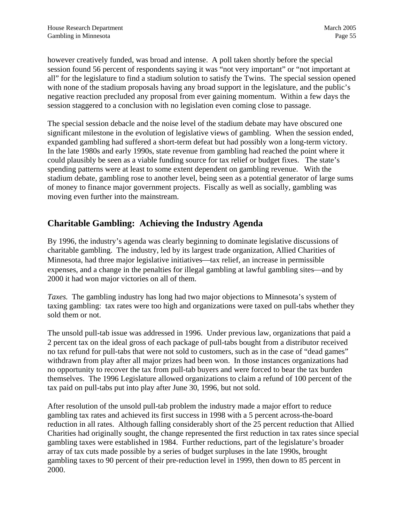however creatively funded, was broad and intense. A poll taken shortly before the special session found 56 percent of respondents saying it was "not very important" or "not important at all" for the legislature to find a stadium solution to satisfy the Twins. The special session opened with none of the stadium proposals having any broad support in the legislature, and the public's negative reaction precluded any proposal from ever gaining momentum. Within a few days the session staggered to a conclusion with no legislation even coming close to passage.

The special session debacle and the noise level of the stadium debate may have obscured one significant milestone in the evolution of legislative views of gambling. When the session ended, expanded gambling had suffered a short-term defeat but had possibly won a long-term victory. In the late 1980s and early 1990s, state revenue from gambling had reached the point where it could plausibly be seen as a viable funding source for tax relief or budget fixes. The state's spending patterns were at least to some extent dependent on gambling revenue. With the stadium debate, gambling rose to another level, being seen as a potential generator of large sums of money to finance major government projects. Fiscally as well as socially, gambling was moving even further into the mainstream.

#### **Charitable Gambling: Achieving the Industry Agenda**

By 1996, the industry's agenda was clearly beginning to dominate legislative discussions of charitable gambling. The industry, led by its largest trade organization, Allied Charities of Minnesota, had three major legislative initiatives—tax relief, an increase in permissible expenses, and a change in the penalties for illegal gambling at lawful gambling sites—and by 2000 it had won major victories on all of them.

*Taxes.* The gambling industry has long had two major objections to Minnesota's system of taxing gambling: tax rates were too high and organizations were taxed on pull-tabs whether they sold them or not.

The unsold pull-tab issue was addressed in 1996. Under previous law, organizations that paid a 2 percent tax on the ideal gross of each package of pull-tabs bought from a distributor received no tax refund for pull-tabs that were not sold to customers, such as in the case of "dead games" withdrawn from play after all major prizes had been won. In those instances organizations had no opportunity to recover the tax from pull-tab buyers and were forced to bear the tax burden themselves. The 1996 Legislature allowed organizations to claim a refund of 100 percent of the tax paid on pull-tabs put into play after June 30, 1996, but not sold.

After resolution of the unsold pull-tab problem the industry made a major effort to reduce gambling tax rates and achieved its first success in 1998 with a 5 percent across-the-board reduction in all rates. Although falling considerably short of the 25 percent reduction that Allied Charities had originally sought, the change represented the first reduction in tax rates since special gambling taxes were established in 1984. Further reductions, part of the legislature's broader array of tax cuts made possible by a series of budget surpluses in the late 1990s, brought gambling taxes to 90 percent of their pre-reduction level in 1999, then down to 85 percent in 2000.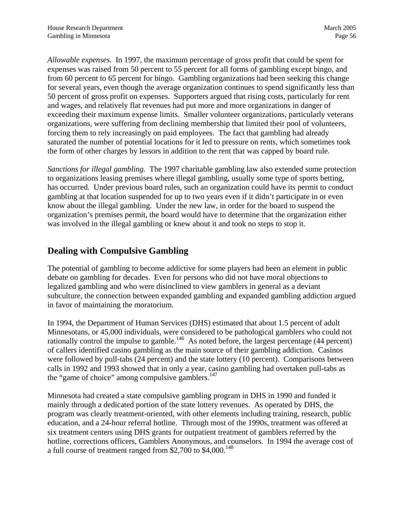*Allowable expenses.* In 1997, the maximum percentage of gross profit that could be spent for expenses was raised from 50 percent to 55 percent for all forms of gambling except bingo, and from 60 percent to 65 percent for bingo. Gambling organizations had been seeking this change for several years, even though the average organization continues to spend significantly less than 50 percent of gross profit on expenses. Supporters argued that rising costs, particularly for rent and wages, and relatively flat revenues had put more and more organizations in danger of exceeding their maximum expense limits. Smaller volunteer organizations, particularly veterans organizations, were suffering from declining membership that limited their pool of volunteers, forcing them to rely increasingly on paid employees. The fact that gambling had already saturated the number of potential locations for it led to pressure on rents, which sometimes took the form of other charges by lessors in addition to the rent that was capped by board rule.

*Sanctions for illegal gambling.* The 1997 charitable gambling law also extended some protection to organizations leasing premises where illegal gambling, usually some type of sports betting, has occurred. Under previous board rules, such an organization could have its permit to conduct gambling at that location suspended for up to two years even if it didn't participate in or even know about the illegal gambling. Under the new law, in order for the board to suspend the organization's premises permit, the board would have to determine that the organization either was involved in the illegal gambling or knew about it and took no steps to stop it.

## **Dealing with Compulsive Gambling**

The potential of gambling to become addictive for some players had been an element in public debate on gambling for decades. Even for persons who did not have moral objections to legalized gambling and who were disinclined to view gamblers in general as a deviant subculture, the connection between expanded gambling and expanded gambling addiction argued in favor of maintaining the moratorium.

In 1994, the Department of Human Services (DHS) estimated that about 1.5 percent of adult Minnesotans, or 45,000 individuals, were considered to be pathological gamblers who could not rationally control the impulse to gamble.<sup>146</sup> As noted before, the largest percentage (44 percent) of callers identified casino gambling as the main source of their gambling addiction. Casinos were followed by pull-tabs (24 percent) and the state lottery (10 percent). Comparisons between calls in 1992 and 1993 showed that in only a year, casino gambling had overtaken pull-tabs as the "game of choice" among compulsive gamblers. $147$ 

Minnesota had created a state compulsive gambling program in DHS in 1990 and funded it mainly through a dedicated portion of the state lottery revenues. As operated by DHS, the program was clearly treatment-oriented, with other elements including training, research, public education, and a 24-hour referral hotline. Through most of the 1990s, treatment was offered at six treatment centers using DHS grants for outpatient treatment of gamblers referred by the hotline, corrections officers, Gamblers Anonymous, and counselors. In 1994 the average cost of a full course of treatment ranged from \$2,700 to  $$4,000$ .<sup>[148](#page-95-47)</sup>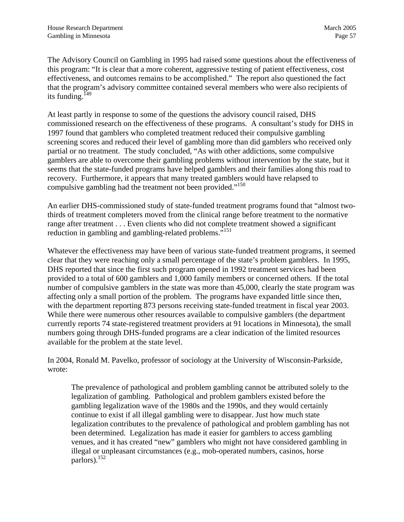The Advisory Council on Gambling in 1995 had raised some questions about the effectiveness of this program: "It is clear that a more coherent, aggressive testing of patient effectiveness, cost effectiveness, and outcomes remains to be accomplished." The report also questioned the fact that the program's advisory committee contained several members who were also recipients of its funding.<sup>149</sup>

At least partly in response to some of the questions the advisory council raised, DHS commissioned research on the effectiveness of these programs. A consultant's study for DHS in 1997 found that gamblers who completed treatment reduced their compulsive gambling screening scores and reduced their level of gambling more than did gamblers who received only partial or no treatment. The study concluded, "As with other addictions, some compulsive gamblers are able to overcome their gambling problems without intervention by the state, but it seems that the state-funded programs have helped gamblers and their families along this road to recovery. Furthermore, it appears that many treated gamblers would have relapsed to compulsive gambling had the treatment not been provided."<sup>150</sup>

An earlier DHS-commissioned study of state-funded treatment programs found that "almost twothirds of treatment completers moved from the clinical range before treatment to the normative range after treatment . . . Even clients who did not complete treatment showed a significant reduction in gambling and gambling-related problems.<sup>5[151](#page-95-49)</sup>

Whatever the effectiveness may have been of various state-funded treatment programs, it seemed clear that they were reaching only a small percentage of the state's problem gamblers. In 1995, DHS reported that since the first such program opened in 1992 treatment services had been provided to a total of 600 gamblers and 1,000 family members or concerned others. If the total number of compulsive gamblers in the state was more than 45,000, clearly the state program was affecting only a small portion of the problem. The programs have expanded little since then, with the department reporting 873 persons receiving state-funded treatment in fiscal year 2003. While there were numerous other resources available to compulsive gamblers (the department currently reports 74 state-registered treatment providers at 91 locations in Minnesota), the small numbers going through DHS-funded programs are a clear indication of the limited resources available for the problem at the state level.

In 2004, Ronald M. Pavelko, professor of sociology at the University of Wisconsin-Parkside, wrote:

The prevalence of pathological and problem gambling cannot be attributed solely to the legalization of gambling. Pathological and problem gamblers existed before the gambling legalization wave of the 1980s and the 1990s, and they would certainly continue to exist if all illegal gambling were to disappear. Just how much state legalization contributes to the prevalence of pathological and problem gambling has not been determined. Legalization has made it easier for gamblers to access gambling venues, and it has created "new" gamblers who might not have considered gambling in illegal or unpleasant circumstances (e.g., mob-operated numbers, casinos, horse parlors).[152](#page-95-44)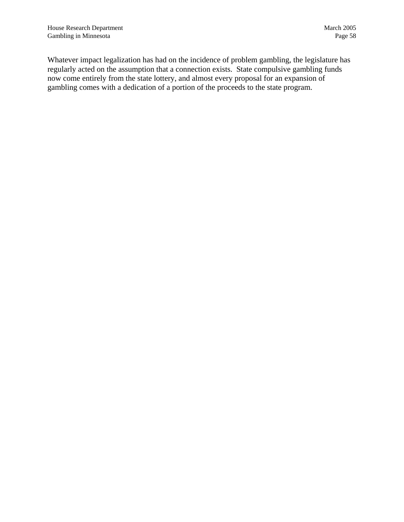Whatever impact legalization has had on the incidence of problem gambling, the legislature has regularly acted on the assumption that a connection exists. State compulsive gambling funds now come entirely from the state lottery, and almost every proposal for an expansion of gambling comes with a dedication of a portion of the proceeds to the state program.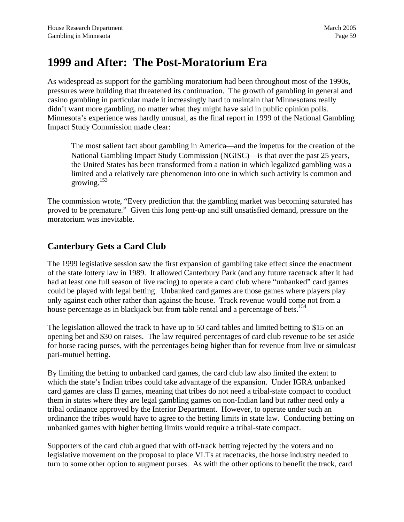## **1999 and After: The Post-Moratorium Era**

As widespread as support for the gambling moratorium had been throughout most of the 1990s, pressures were building that threatened its continuation. The growth of gambling in general and casino gambling in particular made it increasingly hard to maintain that Minnesotans really didn't want more gambling, no matter what they might have said in public opinion polls. Minnesota's experience was hardly unusual, as the final report in 1999 of the National Gambling Impact Study Commission made clear:

The most salient fact about gambling in America—and the impetus for the creation of the National Gambling Impact Study Commission (NGISC)—is that over the past 25 years, the United States has been transformed from a nation in which legalized gambling was a limited and a relatively rare phenomenon into one in which such activity is common and growing[.153](#page-95-50)

The commission wrote, "Every prediction that the gambling market was becoming saturated has proved to be premature." Given this long pent-up and still unsatisfied demand, pressure on the moratorium was inevitable.

## **Canterbury Gets a Card Club**

The 1999 legislative session saw the first expansion of gambling take effect since the enactment of the state lottery law in 1989. It allowed Canterbury Park (and any future racetrack after it had had at least one full season of live racing) to operate a card club where "unbanked" card games could be played with legal betting. Unbanked card games are those games where players play only against each other rather than against the house. Track revenue would come not from a house percentage as in blackjack but from table rental and a percentage of bets.<sup>[154](#page-95-51)</sup>

The legislation allowed the track to have up to 50 card tables and limited betting to \$15 on an opening bet and \$30 on raises. The law required percentages of card club revenue to be set aside for horse racing purses, with the percentages being higher than for revenue from live or simulcast pari-mutuel betting.

By limiting the betting to unbanked card games, the card club law also limited the extent to which the state's Indian tribes could take advantage of the expansion. Under IGRA unbanked card games are class II games, meaning that tribes do not need a tribal-state compact to conduct them in states where they are legal gambling games on non-Indian land but rather need only a tribal ordinance approved by the Interior Department. However, to operate under such an ordinance the tribes would have to agree to the betting limits in state law. Conducting betting on unbanked games with higher betting limits would require a tribal-state compact.

Supporters of the card club argued that with off-track betting rejected by the voters and no legislative movement on the proposal to place VLTs at racetracks, the horse industry needed to turn to some other option to augment purses. As with the other options to benefit the track, card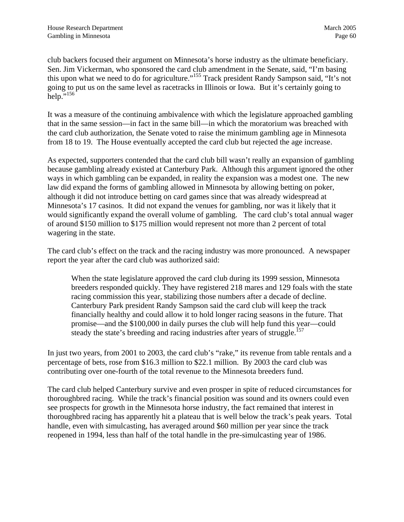club backers focused their argument on Minnesota's horse industry as the ultimate beneficiary. Sen. Jim Vickerman, who sponsored the card club amendment in the Senate, said, "I'm basing this upon what we need to do for agriculture."[155 T](#page-95-21)rack president Randy Sampson said, "It's not going to put us on the same level as racetracks in Illinois or Iowa. But it's certainly going to help.["156](#page-95-22)

It was a measure of the continuing ambivalence with which the legislature approached gambling that in the same session—in fact in the same bill—in which the moratorium was breached with the card club authorization, the Senate voted to raise the minimum gambling age in Minnesota from 18 to 19. The House eventually accepted the card club but rejected the age increase.

As expected, supporters contended that the card club bill wasn't really an expansion of gambling because gambling already existed at Canterbury Park. Although this argument ignored the other ways in which gambling can be expanded, in reality the expansion was a modest one. The new law did expand the forms of gambling allowed in Minnesota by allowing betting on poker, although it did not introduce betting on card games since that was already widespread at Minnesota's 17 casinos. It did not expand the venues for gambling, nor was it likely that it would significantly expand the overall volume of gambling. The card club's total annual wager of around \$150 million to \$175 million would represent not more than 2 percent of total wagering in the state.

The card club's effect on the track and the racing industry was more pronounced. A newspaper report the year after the card club was authorized said:

When the state legislature approved the card club during its 1999 session, Minnesota breeders responded quickly. They have registered 218 mares and 129 foals with the state racing commission this year, stabilizing those numbers after a decade of decline. Canterbury Park president Randy Sampson said the card club will keep the track financially healthy and could allow it to hold longer racing seasons in the future. That promise—and the \$100,000 in daily purses the club will help fund this year—could steady the state's breeding and racing industries after years of struggle.<sup>[157](#page-95-42)</sup>

In just two years, from 2001 to 2003, the card club's "rake," its revenue from table rentals and a percentage of bets, rose from \$16.3 million to \$22.1 million. By 2003 the card club was contributing over one-fourth of the total revenue to the Minnesota breeders fund.

The card club helped Canterbury survive and even prosper in spite of reduced circumstances for thoroughbred racing. While the track's financial position was sound and its owners could even see prospects for growth in the Minnesota horse industry, the fact remained that interest in thoroughbred racing has apparently hit a plateau that is well below the track's peak years. Total handle, even with simulcasting, has averaged around \$60 million per year since the track reopened in 1994, less than half of the total handle in the pre-simulcasting year of 1986.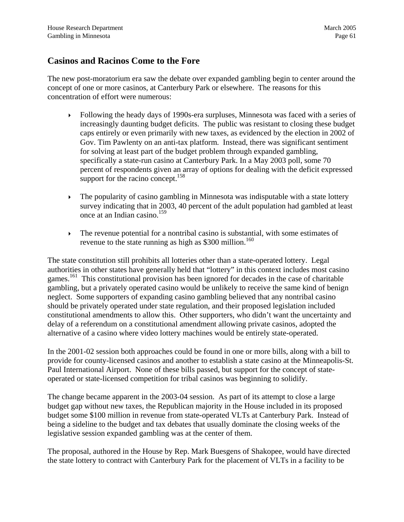#### **Casinos and Racinos Come to the Fore**

The new post-moratorium era saw the debate over expanded gambling begin to center around the concept of one or more casinos, at Canterbury Park or elsewhere. The reasons for this concentration of effort were numerous:

- Following the heady days of 1990s-era surpluses, Minnesota was faced with a series of increasingly daunting budget deficits. The public was resistant to closing these budget caps entirely or even primarily with new taxes, as evidenced by the election in 2002 of Gov. Tim Pawlenty on an anti-tax platform. Instead, there was significant sentiment for solving at least part of the budget problem through expanded gambling, specifically a state-run casino at Canterbury Park. In a May 2003 poll, some 70 percent of respondents given an array of options for dealing with the deficit expressed support for the racino concept.<sup>[158](#page-95-52)</sup>
- $\triangleright$  The popularity of casino gambling in Minnesota was indisputable with a state lottery survey indicating that in 2003, 40 percent of the adult population had gambled at least once at an Indian casino.[159](#page-95-53)
- $\triangleright$  The revenue potential for a nontribal casino is substantial, with some estimates of revenue to the state running as high as  $$300$  million.<sup>[160](#page-95-54)</sup>

The state constitution still prohibits all lotteries other than a state-operated lottery. Legal authorities in other states have generally held that "lottery" in this context includes most casino games.<sup>161</sup> This constitutional provision has been ignored for decades in the case of charitable gambling, but a privately operated casino would be unlikely to receive the same kind of benign neglect. Some supporters of expanding casino gambling believed that any nontribal casino should be privately operated under state regulation, and their proposed legislation included constitutional amendments to allow this. Other supporters, who didn't want the uncertainty and delay of a referendum on a constitutional amendment allowing private casinos, adopted the alternative of a casino where video lottery machines would be entirely state-operated.

In the 2001-02 session both approaches could be found in one or more bills, along with a bill to provide for county-licensed casinos and another to establish a state casino at the Minneapolis-St. Paul International Airport. None of these bills passed, but support for the concept of stateoperated or state-licensed competition for tribal casinos was beginning to solidify.

The change became apparent in the 2003-04 session. As part of its attempt to close a large budget gap without new taxes, the Republican majority in the House included in its proposed budget some \$100 million in revenue from state-operated VLTs at Canterbury Park. Instead of being a sideline to the budget and tax debates that usually dominate the closing weeks of the legislative session expanded gambling was at the center of them.

The proposal, authored in the House by Rep. Mark Buesgens of Shakopee, would have directed the state lottery to contract with Canterbury Park for the placement of VLTs in a facility to be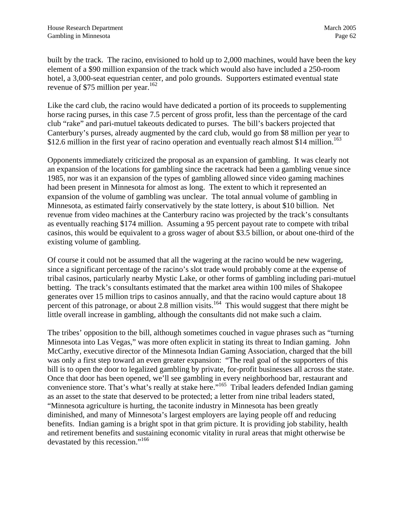built by the track. The racino, envisioned to hold up to 2,000 machines, would have been the key element of a \$90 million expansion of the track which would also have included a 250-room hotel, a 3,000-seat equestrian center, and polo grounds. Supporters estimated eventual state revenue of \$75 million per year.<sup>162</sup>

Like the card club, the racino would have dedicated a portion of its proceeds to supplementing horse racing purses, in this case 7.5 percent of gross profit, less than the percentage of the card club "rake" and pari-mutuel takeouts dedicated to purses. The bill's backers projected that Canterbury's purses, already augmented by the card club, would go from \$8 million per year to \$12.6 million in the first year of racino operation and eventually reach almost \$14 million.<sup>[163](#page-95-17)</sup>

Opponents immediately criticized the proposal as an expansion of gambling. It was clearly not an expansion of the locations for gambling since the racetrack had been a gambling venue since 1985, nor was it an expansion of the types of gambling allowed since video gaming machines had been present in Minnesota for almost as long. The extent to which it represented an expansion of the volume of gambling was unclear. The total annual volume of gambling in Minnesota, as estimated fairly conservatively by the state lottery, is about \$10 billion. Net revenue from video machines at the Canterbury racino was projected by the track's consultants as eventually reaching \$174 million. Assuming a 95 percent payout rate to compete with tribal casinos, this would be equivalent to a gross wager of about \$3.5 billion, or about one-third of the existing volume of gambling.

Of course it could not be assumed that all the wagering at the racino would be new wagering, since a significant percentage of the racino's slot trade would probably come at the expense of tribal casinos, particularly nearby Mystic Lake, or other forms of gambling including pari-mutuel betting. The track's consultants estimated that the market area within 100 miles of Shakopee generates over 15 million trips to casinos annually, and that the racino would capture about 18 percent of this patronage, or about 2.8 million visits.<sup>164</sup> This would suggest that there might be little overall increase in gambling, although the consultants did not make such a claim.

The tribes' opposition to the bill, although sometimes couched in vague phrases such as "turning Minnesota into Las Vegas," was more often explicit in stating its threat to Indian gaming. John McCarthy, executive director of the Minnesota Indian Gaming Association, charged that the bill was only a first step toward an even greater expansion: "The real goal of the supporters of this bill is to open the door to legalized gambling by private, for-profit businesses all across the state. Once that door has been opened, we'll see gambling in every neighborhood bar, restaurant and convenience store. That's what's really at stake here."<sup>165</sup> Tribal leaders defended Indian gaming as an asset to the state that deserved to be protected; a letter from nine tribal leaders stated, "Minnesota agriculture is hurting, the taconite industry in Minnesota has been greatly diminished, and many of Minnesota's largest employers are laying people off and reducing benefits. Indian gaming is a bright spot in that grim picture. It is providing job stability, health and retirement benefits and sustaining economic vitality in rural areas that might otherwise be devastated by this recession."<sup>166</sup>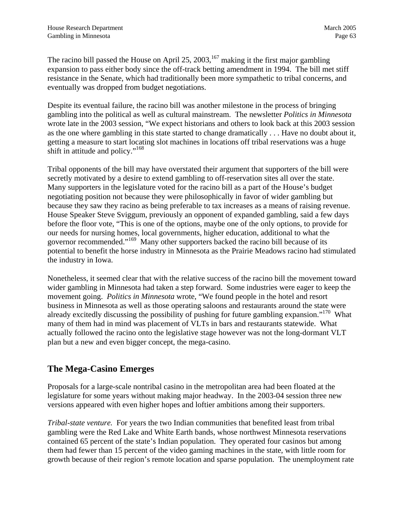The racino bill passed the House on April 25, 2003,<sup>167</sup> making it the first major gambling expansion to pass either body since the off-track betting amendment in 1994. The bill met stiff resistance in the Senate, which had traditionally been more sympathetic to tribal concerns, and eventually was dropped from budget negotiations.

Despite its eventual failure, the racino bill was another milestone in the process of bringing gambling into the political as well as cultural mainstream. The newsletter *Politics in Minnesota*  wrote late in the 2003 session, "We expect historians and others to look back at this 2003 session as the one where gambling in this state started to change dramatically . . . Have no doubt about it, getting a measure to start locating slot machines in locations off tribal reservations was a huge shift in attitude and policy."<sup>168</sup>

Tribal opponents of the bill may have overstated their argument that supporters of the bill were secretly motivated by a desire to extend gambling to off-reservation sites all over the state. Many supporters in the legislature voted for the racino bill as a part of the House's budget negotiating position not because they were philosophically in favor of wider gambling but because they saw they racino as being preferable to tax increases as a means of raising revenue. House Speaker Steve Sviggum, previously an opponent of expanded gambling, said a few days before the floor vote, "This is one of the options, maybe one of the only options, to provide for our needs for nursing homes, local governments, higher education, additional to what the governor recommended."[169](#page-95-41) Many other supporters backed the racino bill because of its potential to benefit the horse industry in Minnesota as the Prairie Meadows racino had stimulated the industry in Iowa.

Nonetheless, it seemed clear that with the relative success of the racino bill the movement toward wider gambling in Minnesota had taken a step forward. Some industries were eager to keep the movement going. *Politics in Minnesota* wrote, "We found people in the hotel and resort business in Minnesota as well as those operating saloons and restaurants around the state were already excitedly discussing the possibility of pushing for future gambling expansion."<sup>170</sup> What many of them had in mind was placement of VLTs in bars and restaurants statewide. What actually followed the racino onto the legislative stage however was not the long-dormant VLT plan but a new and even bigger concept, the mega-casino.

## **The Mega-Casino Emerges**

Proposals for a large-scale nontribal casino in the metropolitan area had been floated at the legislature for some years without making major headway. In the 2003-04 session three new versions appeared with even higher hopes and loftier ambitions among their supporters.

*Tribal-state venture.* For years the two Indian communities that benefited least from tribal gambling were the Red Lake and White Earth bands, whose northwest Minnesota reservations contained 65 percent of the state's Indian population. They operated four casinos but among them had fewer than 15 percent of the video gaming machines in the state, with little room for growth because of their region's remote location and sparse population. The unemployment rate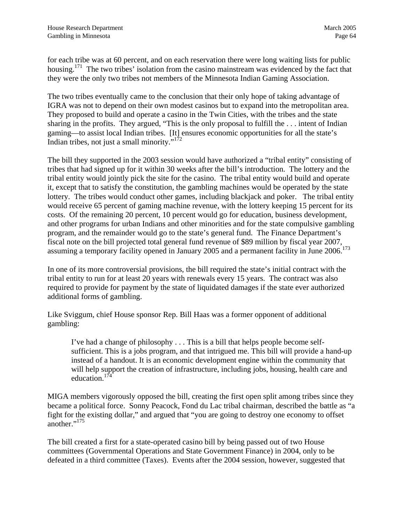for each tribe was at 60 percent, and on each reservation there were long waiting lists for public housing.<sup>171</sup> The two tribes' isolation from the casino mainstream was evidenced by the fact that they were the only two tribes not members of the Minnesota Indian Gaming Association.

The two tribes eventually came to the conclusion that their only hope of taking advantage of IGRA was not to depend on their own modest casinos but to expand into the metropolitan area. They proposed to build and operate a casino in the Twin Cities, with the tribes and the state sharing in the profits. They argued, "This is the only proposal to fulfill the . . . intent of Indian gaming—to assist local Indian tribes. [It] ensures economic opportunities for all the state's Indian tribes, not just a small minority."[172](#page-95-17)

The bill they supported in the 2003 session would have authorized a "tribal entity" consisting of tribes that had signed up for it within 30 weeks after the bill's introduction. The lottery and the tribal entity would jointly pick the site for the casino. The tribal entity would build and operate it, except that to satisfy the constitution, the gambling machines would be operated by the state lottery. The tribes would conduct other games, including blackjack and poker. The tribal entity would receive 65 percent of gaming machine revenue, with the lottery keeping 15 percent for its costs. Of the remaining 20 percent, 10 percent would go for education, business development, and other programs for urban Indians and other minorities and for the state compulsive gambling program, and the remainder would go to the state's general fund. The Finance Department's fiscal note on the bill projected total general fund revenue of \$89 million by fiscal year 2007, assuming a temporary facility opened in January 2005 and a permanent facility in June 2006.<sup>[173](#page-95-4)</sup>

In one of its more controversial provisions, the bill required the state's initial contract with the tribal entity to run for at least 20 years with renewals every 15 years. The contract was also required to provide for payment by the state of liquidated damages if the state ever authorized additional forms of gambling.

Like Sviggum, chief House sponsor Rep. Bill Haas was a former opponent of additional gambling:

I've had a change of philosophy . . . This is a bill that helps people become selfsufficient. This is a jobs program, and that intrigued me. This bill will provide a hand-up instead of a handout. It is an economic development engine within the community that will help support the creation of infrastructure, including jobs, housing, health care and education. $174$ 

MIGA members vigorously opposed the bill, creating the first open split among tribes since they became a political force. Sonny Peacock, Fond du Lac tribal chairman, described the battle as "a fight for the existing dollar," and argued that "you are going to destroy one economy to offset another."<sup>175</sup>

The bill created a first for a state-operated casino bill by being passed out of two House committees (Governmental Operations and State Government Finance) in 2004, only to be defeated in a third committee (Taxes). Events after the 2004 session, however, suggested that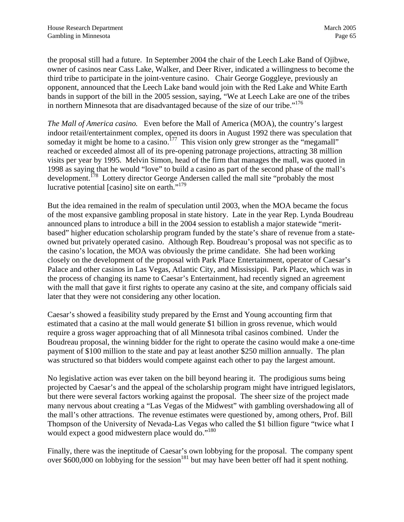the proposal still had a future. In September 2004 the chair of the Leech Lake Band of Ojibwe, owner of casinos near Cass Lake, Walker, and Deer River, indicated a willingness to become the third tribe to participate in the joint-venture casino. Chair George Goggleye, previously an opponent, announced that the Leech Lake band would join with the Red Lake and White Earth bands in support of the bill in the 2005 session, saying, "We at Leech Lake are one of the tribes in northern Minnesota that are disadvantaged because of the size of our tribe."<sup>[176](#page-95-16)</sup>

*The Mall of America casino.* Even before the Mall of America (MOA), the country's largest indoor retail/entertainment complex, opened its doors in August 1992 there was speculation that someday it might be home to a casino.<sup>177</sup> This vision only grew stronger as the "megamall" reached or exceeded almost all of its pre-opening patronage projections, attracting 38 million visits per year by 1995. Melvin Simon, head of the firm that manages the mall, was quoted in 1998 as saying that he would "love" to build a casino as part of the second phase of the mall's development.<sup>178</sup> Lottery director George Andersen called the mall site "probably the most lucrative potential [casino] site on earth. $179$ 

But the idea remained in the realm of speculation until 2003, when the MOA became the focus of the most expansive gambling proposal in state history. Late in the year Rep. Lynda Boudreau announced plans to introduce a bill in the 2004 session to establish a major statewide "meritbased" higher education scholarship program funded by the state's share of revenue from a stateowned but privately operated casino. Although Rep. Boudreau's proposal was not specific as to the casino's location, the MOA was obviously the prime candidate. She had been working closely on the development of the proposal with Park Place Entertainment, operator of Caesar's Palace and other casinos in Las Vegas, Atlantic City, and Mississippi. Park Place, which was in the process of changing its name to Caesar's Entertainment, had recently signed an agreement with the mall that gave it first rights to operate any casino at the site, and company officials said later that they were not considering any other location.

Caesar's showed a feasibility study prepared by the Ernst and Young accounting firm that estimated that a casino at the mall would generate \$1 billion in gross revenue, which would require a gross wager approaching that of all Minnesota tribal casinos combined. Under the Boudreau proposal, the winning bidder for the right to operate the casino would make a one-time payment of \$100 million to the state and pay at least another \$250 million annually. The plan was structured so that bidders would compete against each other to pay the largest amount.

No legislative action was ever taken on the bill beyond hearing it. The prodigious sums being projected by Caesar's and the appeal of the scholarship program might have intrigued legislators, but there were several factors working against the proposal. The sheer size of the project made many nervous about creating a "Las Vegas of the Midwest" with gambling overshadowing all of the mall's other attractions. The revenue estimates were questioned by, among others, Prof. Bill Thompson of the University of Nevada-Las Vegas who called the \$1 billion figure "twice what I would expect a good midwestern place would do."<sup>180</sup>

Finally, there was the ineptitude of Caesar's own lobbying for the proposal. The company spent over  $$600,000$  on lobbying for the session<sup>181</sup> but may have been better off had it spent nothing.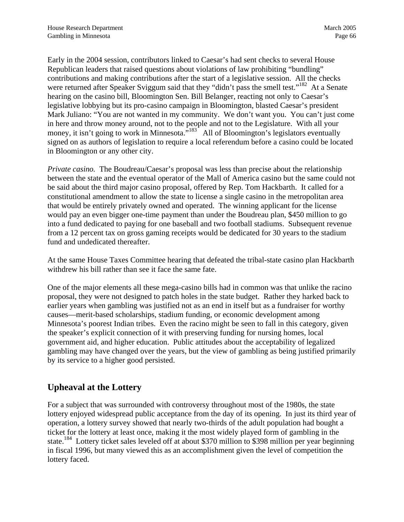Early in the 2004 session, contributors linked to Caesar's had sent checks to several House Republican leaders that raised questions about violations of law prohibiting "bundling" contributions and making contributions after the start of a legislative session. All the checks were returned after Speaker Sviggum said that they "didn't pass the smell test."<sup>182</sup> At a Senate hearing on the casino bill, Bloomington Sen. Bill Belanger, reacting not only to Caesar's legislative lobbying but its pro-casino campaign in Bloomington, blasted Caesar's president Mark Juliano: "You are not wanted in my community. We don't want you. You can't just come in here and throw money around, not to the people and not to the Legislature. With all your money, it isn't going to work in Minnesota. $\frac{183}{183}$  All of Bloomington's legislators eventually signed on as authors of legislation to require a local referendum before a casino could be located in Bloomington or any other city.

*Private casino.* The Boudreau/Caesar's proposal was less than precise about the relationship between the state and the eventual operator of the Mall of America casino but the same could not be said about the third major casino proposal, offered by Rep. Tom Hackbarth. It called for a constitutional amendment to allow the state to license a single casino in the metropolitan area that would be entirely privately owned and operated. The winning applicant for the license would pay an even bigger one-time payment than under the Boudreau plan, \$450 million to go into a fund dedicated to paying for one baseball and two football stadiums. Subsequent revenue from a 12 percent tax on gross gaming receipts would be dedicated for 30 years to the stadium fund and undedicated thereafter.

At the same House Taxes Committee hearing that defeated the tribal-state casino plan Hackbarth withdrew his bill rather than see it face the same fate.

One of the major elements all these mega-casino bills had in common was that unlike the racino proposal, they were not designed to patch holes in the state budget. Rather they harked back to earlier years when gambling was justified not as an end in itself but as a fundraiser for worthy causes—merit-based scholarships, stadium funding, or economic development among Minnesota's poorest Indian tribes. Even the racino might be seen to fall in this category, given the speaker's explicit connection of it with preserving funding for nursing homes, local government aid, and higher education. Public attitudes about the acceptability of legalized gambling may have changed over the years, but the view of gambling as being justified primarily by its service to a higher good persisted.

## **Upheaval at the Lottery**

For a subject that was surrounded with controversy throughout most of the 1980s, the state lottery enjoyed widespread public acceptance from the day of its opening. In just its third year of operation, a lottery survey showed that nearly two-thirds of the adult population had bought a ticket for the lottery at least once, making it the most widely played form of gambling in the state.<sup>184</sup> Lottery ticket sales leveled off at about \$370 million to \$398 million per year beginning in fiscal 1996, but many viewed this as an accomplishment given the level of competition the lottery faced.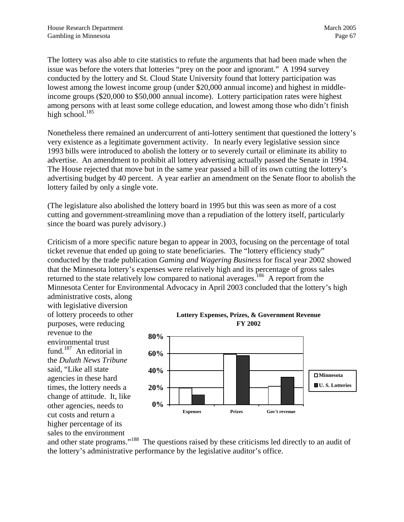The lottery was also able to cite statistics to refute the arguments that had been made when the issue was before the voters that lotteries "prey on the poor and ignorant." A 1994 survey conducted by the lottery and St. Cloud State University found that lottery participation was lowest among the lowest income group (under \$20,000 annual income) and highest in middleincome groups (\$20,000 to \$50,000 annual income). Lottery participation rates were highest among persons with at least some college education, and lowest among those who didn't finish high school. $185$ 

Nonetheless there remained an undercurrent of anti-lottery sentiment that questioned the lottery's very existence as a legitimate government activity. In nearly every legislative session since 1993 bills were introduced to abolish the lottery or to severely curtail or eliminate its ability to advertise. An amendment to prohibit all lottery advertising actually passed the Senate in 1994. The House rejected that move but in the same year passed a bill of its own cutting the lottery's advertising budget by 40 percent. A year earlier an amendment on the Senate floor to abolish the lottery failed by only a single vote.

(The legislature also abolished the lottery board in 1995 but this was seen as more of a cost cutting and government-streamlining move than a repudiation of the lottery itself, particularly since the board was purely advisory.)

Criticism of a more specific nature began to appear in 2003, focusing on the percentage of total ticket revenue that ended up going to state beneficiaries. The "lottery efficiency study" conducted by the trade publication *Gaming and Wagering Business* for fiscal year 2002 showed that the Minnesota lottery's expenses were relatively high and its percentage of gross sales returned to the state relatively low compared to national averages.<sup>186</sup> A report from the Minnesota Center for Environmental Advocacy in April 2003 concluded that the lottery's high

administrative costs, along with legislative diversion of lottery proceeds to other purposes, were reducing revenue to the environmental trust fund.<sup>187</sup> An editorial in the *Duluth News Tribune* said, "Like all state agencies in these hard times, the lottery needs a change of attitude. It, like other agencies, needs to cut costs and return a higher percentage of its sales to the environment





and other state programs."<sup>188</sup> The questions raised by these criticisms led directly to an audit of the lottery's administrative performance by the legislative auditor's office.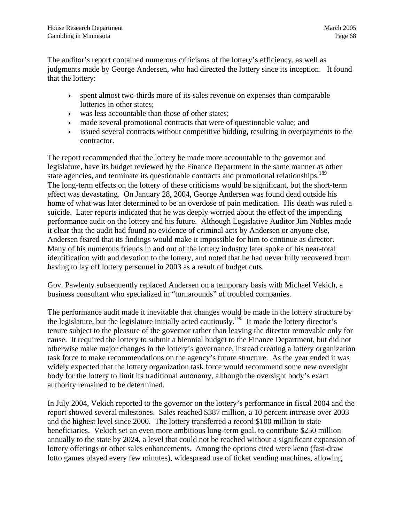The auditor's report contained numerous criticisms of the lottery's efficiency, as well as judgments made by George Andersen, who had directed the lottery since its inception. It found that the lottery:

- $\rightarrow$  spent almost two-thirds more of its sales revenue on expenses than comparable lotteries in other states;
- $\triangleright$  was less accountable than those of other states;
- ` made several promotional contracts that were of questionable value; and
- issued several contracts without competitive bidding, resulting in overpayments to the contractor.

The report recommended that the lottery be made more accountable to the governor and legislature, have its budget reviewed by the Finance Department in the same manner as other state agencies, and terminate its questionable contracts and promotional relationships.<sup>189</sup> The long-term effects on the lottery of these criticisms would be significant, but the s[hort](#page-95-59)-term effect was devastating. On January 28, 2004, George Andersen was found dead outside his home of what was later determined to be an overdose of pain medication. His death was ruled a suicide. Later reports indicated that he was deeply worried about the effect of the impending performance audit on the lottery and his future. Although Legislative Auditor Jim Nobles made it clear that the audit had found no evidence of criminal acts by Andersen or anyone else, Andersen feared that its findings would make it impossible for him to continue as director. Many of his numerous friends in and out of the lottery industry later spoke of his near-total identification with and devotion to the lottery, and noted that he had never fully recovered from having to lay off lottery personnel in 2003 as a result of budget cuts.

Gov. Pawlenty subsequently replaced Andersen on a temporary basis with Michael Vekich, a business consultant who specialized in "turnarounds" of troubled companies.

The performance audit made it inevitable that changes would be made in the lottery structure by the legislature, but the legislature initially acted cautiously.<sup>190</sup> It made the lottery director's tenure subject to the pleasure of the governor rather than leaving the director removable only for cause. It required the lottery to submit a biennial budget to the Finance Department, but did not otherwise make major changes in the lottery's governance, instead creating a lottery organization task force to make recommendations on the agency's future structure. As the year ended it was widely expected that the lottery organization task force would recommend some new oversight body for the lottery to limit its traditional autonomy, although the oversight body's exact authority remained to be determined.

In July 2004, Vekich reported to the governor on the lottery's performance in fiscal 2004 and the report showed several milestones. Sales reached \$387 million, a 10 percent increase over 2003 and the highest level since 2000. The lottery transferred a record \$100 million to state beneficiaries. Vekich set an even more ambitious long-term goal, to contribute \$250 million annually to the state by 2024, a level that could not be reached without a significant expansion of lottery offerings or other sales enhancements. Among the options cited were keno (fast-draw lotto games played every few minutes), widespread use of ticket vending machines, allowing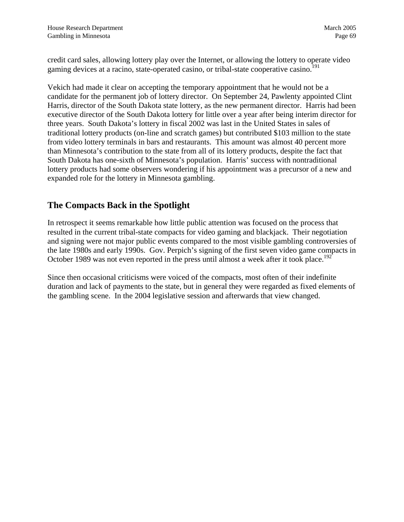<span id="page-72-0"></span>credit card sales, allowing lottery play over the Internet, or allowing the lottery to operate video gaming devices at a racino, state-operated casino, or tribal-state cooperative casino.<sup>[191](#page-95-0)</sup>

Vekich had made it clear on accepting the temporary appointment that he would not be a candidate for the permanent job of lottery director. On September 24, Pawlenty appointed Clint Harris, director of the South Dakota state lottery, as the new permanent director. Harris had been executive director of the South Dakota lottery for little over a year after being interim director for three years. South Dakota's lottery in fiscal 2002 was last in the United States in sales of traditional lottery products (on-line and scratch games) but contributed \$103 million to the state from video lottery terminals in bars and restaurants. This amount was almost 40 percent more than Minnesota's contribution to the state from all of its lottery products, despite the fact that South Dakota has one-sixth of Minnesota's population. Harris' success with nontraditional lottery products had some observers wondering if his appointment was a precursor of a new and expanded role for the lottery in Minnesota gambling.

#### **The Compacts Back in the Spotlight**

In retrospect it seems remarkable how little public attention was focused on the process that resulted in the current tribal-state compacts for video gaming and blackjack. Their negotiation and signing were not major public events compared to the most visible gambling controversies of the late 1980s and early 1990s. Gov. Perpich's signing of the first seven video game compacts in October 1989 was not even reported in the press until almost a week after it took place.<sup>[192](#page-95-1)</sup>

Since then occasional criticisms were voiced of the compacts, most often of their indefinite duration and lack of payments to the state, but in general they were regarded as fixed elements of the gambling scene. In the 2004 legislative session and afterwards that view changed.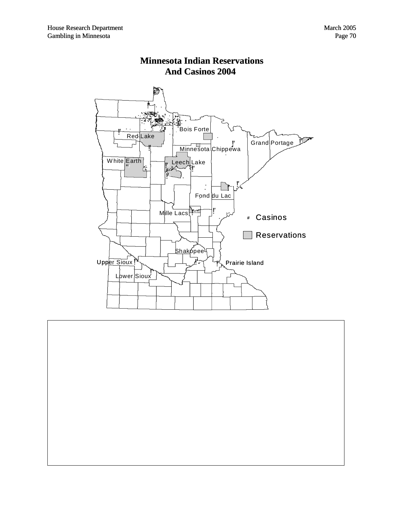



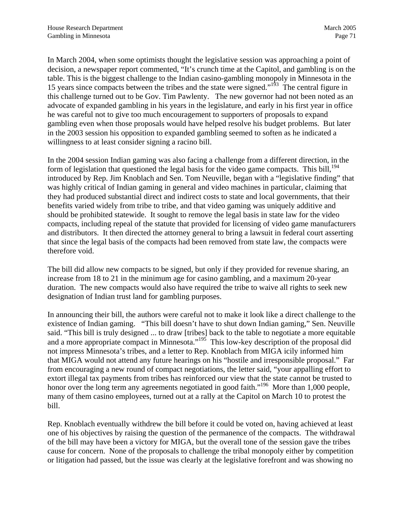<span id="page-74-0"></span>In March 2004, when some optimists thought the legislative session was approaching a point of decision, a newspaper report commented, "It's crunch time at the Capitol, and gambling is on the table. This is the biggest challenge to the Indian casino-gambling monopoly in Minnesota in the 15 years since compacts between the tribes and the state were signed."[193](#page-95-2) The central figure in this challenge turned out to be Gov. Tim Pawlenty. The new governor had not been noted as an advocate of expanded gambling in his years in the legislature, and early in his first year in office he was careful not to give too much encouragement to supporters of proposals to expand gambling even when those proposals would have helped resolve his budget problems. But later in the 2003 session his opposition to expanded gambling seemed to soften as he indicated a willingness to at least consider signing a racino bill.

In the 2004 session Indian gaming was also facing a challenge from a different direction, in the form of legislation that questioned the legal basis for the video game compacts. This bill,  $^{194}$  $^{194}$  $^{194}$ introduced by Rep. Jim Knoblach and Sen. Tom Neuville, began with a "legislative finding" that was highly critical of Indian gaming in general and video machines in particular, claiming that they had produced substantial direct and indirect costs to state and local governments, that their benefits varied widely from tribe to tribe, and that video gaming was uniquely additive and should be prohibited statewide. It sought to remove the legal basis in state law for the video compacts, including repeal of the statute that provided for licensing of video game manufacturers and distributors. It then directed the attorney general to bring a lawsuit in federal court asserting that since the legal basis of the compacts had been removed from state law, the compacts were therefore void.

The bill did allow new compacts to be signed, but only if they provided for revenue sharing, an increase from 18 to 21 in the minimum age for casino gambling, and a maximum 20-year duration. The new compacts would also have required the tribe to waive all rights to seek new designation of Indian trust land for gambling purposes.

In announcing their bill, the authors were careful not to make it look like a direct challenge to the existence of Indian gaming. "This bill doesn't have to shut down Indian gaming," Sen. Neuville said. "This bill is truly designed ... to draw [tribes] back to the table to negotiate a more equitable and a more appropriate compact in Minnesota."<sup>195</sup> This low-key description of the proposal did not impress Minnesota's tribes, and a letter to Rep. Knoblach from MIGA icily informed him that MIGA would not attend any future hearings on his "hostile and irresponsible proposal." Far from encouraging a new round of compact negotiations, the letter said, "your appalling effort to extort illegal tax payments from tribes has reinforced our view that the state cannot be trusted to honor over the long term any agreements negotiated in good faith.<sup> $196$ </sup> More than 1,000 people, many of them casino employees, turned out at a rally at the Capitol on March 10 to protest the bill.

Rep. Knoblach eventually withdrew the bill before it could be voted on, having achieved at least one of his objectives by raising the question of the permanence of the compacts. The withdrawal of the bill may have been a victory for MIGA, but the overall tone of the session gave the tribes cause for concern. None of the proposals to challenge the tribal monopoly either by competition or litigation had passed, but the issue was clearly at the legislative forefront and was showing no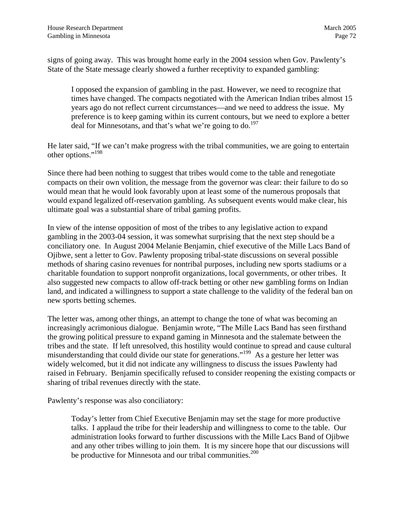<span id="page-75-0"></span>signs of going away. This was brought home early in the 2004 session when Gov. Pawlenty's State of the State message clearly showed a further receptivity to expanded gambling:

I opposed the expansion of gambling in the past. However, we need to recognize that times have changed. The compacts negotiated with the American Indian tribes almost 15 years ago do not reflect current circumstances—and we need to address the issue. My preference is to keep gaming within its current contours, but we need to explore a better deal for Minnesotans, and that's what we're going to do.<sup>197</sup>

He later said, "If we can't make progress with the tribal communities, we are going to entertain other options.["198](#page-95-7)

Since there had been nothing to suggest that tribes would come to the table and renegotiate compacts on their own volition, the message from the governor was clear: their failure to do so would mean that he would look favorably upon at least some of the numerous proposals that would expand legalized off-reservation gambling. As subsequent events would make clear, his ultimate goal was a substantial share of tribal gaming profits.

In view of the intense opposition of most of the tribes to any legislative action to expand gambling in the 2003-04 session, it was somewhat surprising that the next step should be a conciliatory one. In August 2004 Melanie Benjamin, chief executive of the Mille Lacs Band of Ojibwe, sent a letter to Gov. Pawlenty proposing tribal-state discussions on several possible methods of sharing casino revenues for nontribal purposes, including new sports stadiums or a charitable foundation to support nonprofit organizations, local governments, or other tribes. It also suggested new compacts to allow off-track betting or other new gambling forms on Indian land, and indicated a willingness to support a state challenge to the validity of the federal ban on new sports betting schemes.

The letter was, among other things, an attempt to change the tone of what was becoming an increasingly acrimonious dialogue. Benjamin wrote, "The Mille Lacs Band has seen firsthand the growing political pressure to expand gaming in Minnesota and the stalemate between the tribes and the state. If left unresolved, this hostility would continue to spread and cause cultural misunderstanding that could divide our state for generations."[199](#page-95-8) As a gesture her letter was widely welcomed, but it did not indicate any willingness to discuss the issues Pawlenty had raised in February. Benjamin specifically refused to consider reopening the existing compacts or sharing of tribal revenues directly with the state.

Pawlenty's response was also conciliatory:

Today's letter from Chief Executive Benjamin may set the stage for more productive talks. I applaud the tribe for their leadership and willingness to come to the table. Our administration looks forward to further discussions with the Mille Lacs Band of Ojibwe and any other tribes willing to join them. It is my sincere hope that our discussions will be productive for Minnesota and our tribal communities.<sup>[200](#page-95-9)</sup>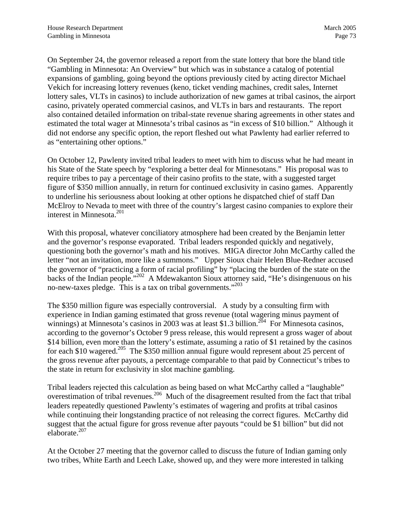<span id="page-76-0"></span>On September 24, the governor released a report from the state lottery that bore the bland title "Gambling in Minnesota: An Overview" but which was in substance a catalog of potential expansions of gambling, going beyond the options previously cited by acting director Michael Vekich for increasing lottery revenues (keno, ticket vending machines, credit sales, Internet lottery sales, VLTs in casinos) to include authorization of new games at tribal casinos, the airport casino, privately operated commercial casinos, and VLTs in bars and restaurants. The report also contained detailed information on tribal-state revenue sharing agreements in other states and estimated the total wager at Minnesota's tribal casinos as "in excess of \$10 billion." Although it did not endorse any specific option, the report fleshed out what Pawlenty had earlier referred to as "entertaining other options."

On October 12, Pawlenty invited tribal leaders to meet with him to discuss what he had meant in his State of the State speech by "exploring a better deal for Minnesotans." His proposal was to require tribes to pay a percentage of their casino profits to the state, with a suggested target figure of \$350 million annually, in return for continued exclusivity in casino games. Apparently to underline his seriousness about looking at other options he dispatched chief of staff Dan McElroy to Nevada to meet with three of the country's largest casino companies to explore their interest in Minnesota.<sup>201</sup>

With this proposal, whatever conciliatory atmosphere had been created by the Benjamin letter and the governor's response evaporated. Tribal leaders responded quickly and negatively, questioning both the governor's math and his motives. MIGA director John McCarthy called the letter "not an invitation, more like a summons." Upper Sioux chair Helen Blue-Redner accused the governor of "practicing a form of racial profiling" by "placing the burden of the state on the backs of the Indian people."[202](#page-95-11) A Mdewakanton Sioux attorney said, "He's disingenuous on his no-new-taxes pledge. This is a tax on tribal governments."[203](#page-95-12)

The \$350 million figure was especially controversial. A study by a consulting firm with experience in Indian gaming estimated that gross revenue (total wagering minus payment of winnings) at Minnesota's casinos in 2003 was at least \$1.3 billion.<sup>204</sup> For Minnesota casinos, according to the governor's October 9 press release, this would represent a gross wager of about \$14 billion, even more than the lottery's estimate, assuming a ratio of \$1 retained by the casinos for each \$10 wagered.<sup>205</sup> The \$350 million annual figure would represent about 25 percent of the gross revenue after payouts, a percentage comparable to that paid by Connecticut's tribes to the state in return for exclusivity in slot machine gambling.

Tribal leaders rejected this calculation as being based on what McCarthy called a "laughable" overestimation of tribal revenues[.206](#page-95-15) Much of the disagreement resulted from the fact that tribal leaders repeatedly questioned Pawlenty's estimates of wagering and profits at tribal casinos while continuing their longstanding practice of not releasing the correct figures.McCarthy did suggest that the actual figure for gross revenue after payouts "could be \$1 billion" but did not elaborate[.207](#page-95-16)

At the October 27 meeting that the governor called to discuss the future of Indian gaming only two tribes, White Earth and Leech Lake, showed up, and they were more interested in talking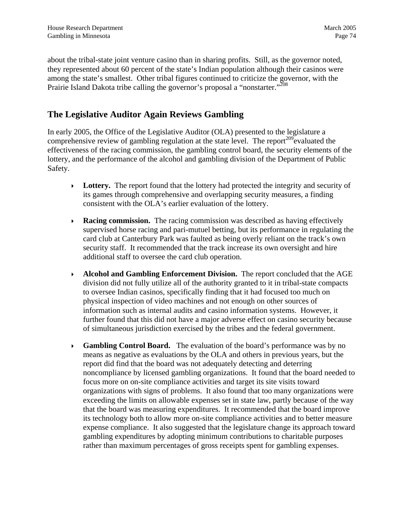<span id="page-77-0"></span>about the tribal-state joint venture casino than in sharing profits. Still, as the governor noted, they represented about 60 percent of the state's Indian population although their casinos were among the state's smallest. Other tribal figures continued to criticize the governor, with the Prairie Island Dakota tribe calling the governor's proposal a "nonstarter."<sup>208</sup>

#### **The Legislative Auditor Again Reviews Gambling**

In early 2005, the Office of the Legislative Auditor (OLA) presented to the legislature a comprehensive review of gambling regulation at the state level. The report<sup>209</sup>evaluated the effectiveness of the racing commission, the gambling control board, the security elements of the lottery, and the performance of the alcohol and gambling division of the Department of Public Safety.

- $\triangleright$  **Lottery.** The report found that the lottery had protected the integrity and security of its games through comprehensive and overlapping security measures, a finding consistent with the OLA's earlier evaluation of the lottery.
- **Racing commission.** The racing commission was described as having effectively supervised horse racing and pari-mutuel betting, but its performance in regulating the card club at Canterbury Park was faulted as being overly reliant on the track's own security staff. It recommended that the track increase its own oversight and hire additional staff to oversee the card club operation.
- ` **Alcohol and Gambling Enforcement Division.** The report concluded that the AGE division did not fully utilize all of the authority granted to it in tribal-state compacts to oversee Indian casinos, specifically finding that it had focused too much on physical inspection of video machines and not enough on other sources of information such as internal audits and casino information systems. However, it further found that this did not have a major adverse effect on casino security because of simultaneous jurisdiction exercised by the tribes and the federal government.
- ` **Gambling Control Board.** The evaluation of the board's performance was by no means as negative as evaluations by the OLA and others in previous years, but the report did find that the board was not adequately detecting and deterring noncompliance by licensed gambling organizations. It found that the board needed to focus more on on-site compliance activities and target its site visits toward organizations with signs of problems. It also found that too many organizations were exceeding the limits on allowable expenses set in state law, partly because of the way that the board was measuring expenditures. It recommended that the board improve its technology both to allow more on-site compliance activities and to better measure expense compliance. It also suggested that the legislature change its approach toward gambling expenditures by adopting minimum contributions to charitable purposes rather than maximum percentages of gross receipts spent for gambling expenses.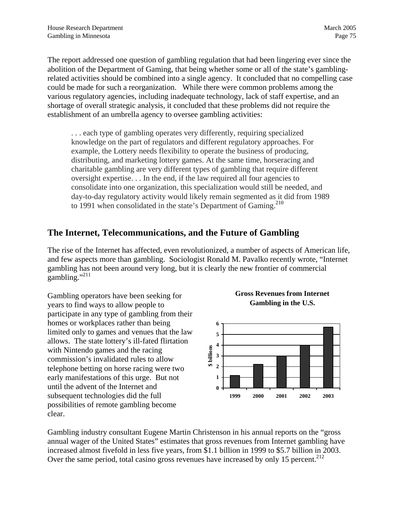The report addressed one question of gambling regulation that had been lingering ever since the abolition of the Department of Gaming, that being whether some or all of the state's gamblingrelated activities should be combined into a single agency. It concluded that no compelling case could be made for such a reorganization. While there were common problems among the various regulatory agencies, including inadequate technology, lack of staff expertise, and an shortage of overall strategic analysis, it concluded that these problems did not require the establishment of an umbrella agency to oversee gambling activities:

. . . each type of gambling operates very differently, requiring specialized knowledge on the part of regulators and different regulatory approaches. For example, the Lottery needs flexibility to operate the business of producing, distributing, and marketing lottery games. At the same time, horseracing and charitable gambling are very different types of gambling that require different oversight expertise. . . In the end, if the law required all four agencies to consolidate into one organization, this specialization would still be needed, and day-to-day regulatory activity would likely remain segmented as it did from 1989 to 1991 when consolidated in the state's Department of Gaming.<sup>[210](#page-95-18)</sup>

## **The Internet, Telecommunications, and the Future of Gambling**

The rise of the Internet has affected, even revolutionized, a number of aspects of American life, and few aspects more than gambling. Sociologist Ronald M. Pavalko recently wrote, "Internet gambling has not been around very long, but it is clearly the new frontier of commercial gambling."<sup>[211](#page-95-19)</sup>

Gambling operators have been seeking for years to find ways to allow people to participate in any type of gambling from their homes or workplaces rather than being limited only to games and venues that the law allows. The state lottery's ill-fated flirtation with Nintendo games and the racing commission's invalidated rules to allow telephone betting on horse racing were two early manifestations of this urge. But not until the advent of the Internet and subsequent technologies did the full possibilities of remote gambling become clear.





Gambling industry consultant Eugene Martin Christenson in his annual reports on the "gross annual wager of the United States" estimates that gross revenues from Internet gambling have increased almost fivefold in less five years, from \$1.1 billion in 1999 to \$5.7 billion in 2003. Over the same period, total casino gross revenues have increased by only 15 percent.<sup>[212](#page-95-20)</sup>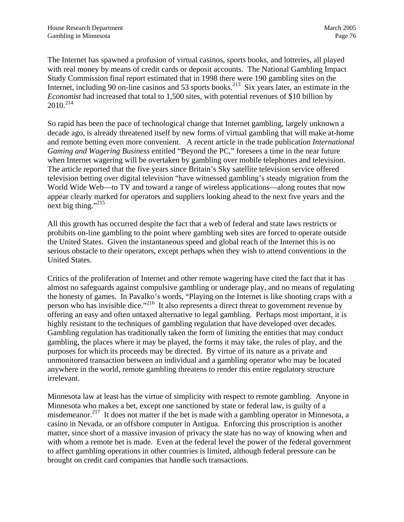The Internet has spawned a profusion of virtual casinos, sports books, and lotteries, all played with real money by means of credit cards or deposit accounts. The National Gambling Impact Study Commission final report estimated that in 1998 there were 190 gambling sites on the Internet, including 90 on-line casinos and 53 sports books.<sup>213</sup> Six years later, an estimate in the *Economist* had increased that total to 1,500 sites, with potential revenues of \$10 billion by 2010[.214](#page-95-21)

So rapid has been the pace of technological change that Internet gambling, largely unknown a decade ago, is already threatened itself by new forms of virtual gambling that will make at-home and remote betting even more convenient. A recent article in the trade publication *International Gaming and Wagering Business* entitled "Beyond the PC," foresees a time in the near future when Internet wagering will be overtaken by gambling over mobile telephones and television. The article reported that the five years since Britain's Sky satellite television service offered television betting over digital television "have witnessed gambling's steady migration from the World Wide Web—to TV and toward a range of wireless applications—along routes that now appear clearly marked for operators and suppliers looking ahead to the next five years and the next big thing."<sup>[215](#page-95-18)</sup>

All this growth has occurred despite the fact that a web of federal and state laws restricts or prohibits on-line gambling to the point where gambling web sites are forced to operate outside the United States. Given the instantaneous speed and global reach of the Internet this is no serious obstacle to their operators, except perhaps when they wish to attend conventions in the United States.

Critics of the proliferation of Internet and other remote wagering have cited the fact that it has almost no safeguards against compulsive gambling or underage play, and no means of regulating the honesty of games. In Pavalko's words, "Playing on the Internet is like shooting craps with a person who has invisible dice.["216](#page-95-22) It also represents a direct threat to government revenue by offering an easy and often untaxed alternative to legal gambling. Perhaps most important, it is highly resistant to the techniques of gambling regulation that have developed over decades. Gambling regulation has traditionally taken the form of limiting the entities that may conduct gambling, the places where it may be played, the forms it may take, the rules of play, and the purposes for which its proceeds may be directed. By virtue of its nature as a private and unmonitored transaction between an individual and a gambling operator who may be located anywhere in the world, remote gambling threatens to render this entire regulatory structure irrelevant.

Minnesota law at least has the virtue of simplicity with respect to remote gambling. Anyone in Minnesota who makes a bet, except one sanctioned by state or federal law, is guilty of a misdemeanor.<sup>217</sup> It does not matter if the bet is made with a gambling operator in Minnesota, a casino in Nevada, or an offshore computer in Antigua. Enforcing this proscription is another matter, since short of a massive invasion of privacy the state has no way of knowing when and with whom a remote bet is made. Even at the federal level the power of the federal government to affect gambling operations in other countries is limited, although federal pressure can be brought on credit card companies that handle such transactions.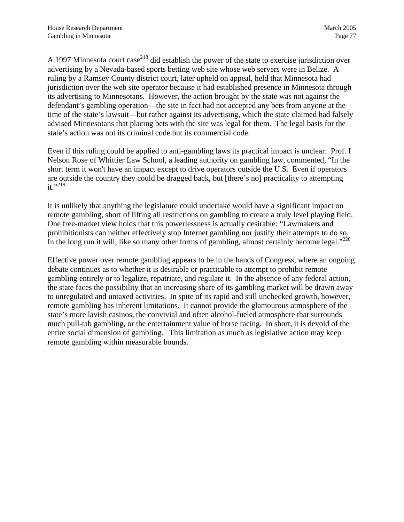A 1997 Minnesota court case<sup>218</sup> did establish the power of the state to exercise jurisdiction over advertising by a Nevada-based sports betting web site whose web servers were in Belize. A ruling by a Ramsey County district court, later upheld on appeal, held that Minnesota had jurisdiction over the web site operator because it had established presence in Minnesota through its advertising to Minnesotans. However, the action brought by the state was not against the defendant's gambling operation—the site in fact had not accepted any bets from anyone at the time of the state's lawsuit—but rather against its advertising, which the state claimed had falsely advised Minnesotans that placing bets with the site was legal for them. The legal basis for the state's action was not its criminal code but its commercial code.

Even if this ruling could be applied to anti-gambling laws its practical impact is unclear. Prof. I Nelson Rose of Whittier Law School, a leading authority on gambling law, commented, "In the short term it won't have an impact except to drive operators outside the U.S. Even if operators are outside the country they could be dragged back, but [there's no] practicality to attempting  $it.$ <sup>219</sup>

It is unlikely that anything the legislature could undertake would have a significant impact on remote gambling, short of lifting all restrictions on gambling to create a truly level playing field. One free-market view holds that this powerlessness is actually desirable: "Lawmakers and prohibitionists can neither effectively stop Internet gambling nor justify their attempts to do so. In the long run it will, like so many other forms of gambling, almost certainly become legal."<sup>220</sup>

Effective power over remote gambling appears to be in the hands of Congress, where an ongoing debate continues as to whether it is desirable or practicable to attempt to prohibit remote gambling entirely or to legalize, repatriate, and regulate it. In the absence of any federal action, the state faces the possibility that an increasing share of its gambling market will be drawn away to unregulated and untaxed activities. In spite of its rapid and still unchecked growth, however, remote gambling has inherent limitations. It cannot provide the glamourous atmosphere of the state's more lavish casinos, the convivial and often alcohol-fueled atmosphere that surrounds much pull-tab gambling, or the entertainment value of horse racing. In short, it is devoid of the entire social dimension of gambling. This limitation as much as legislative action may keep remote gambling within measurable bounds.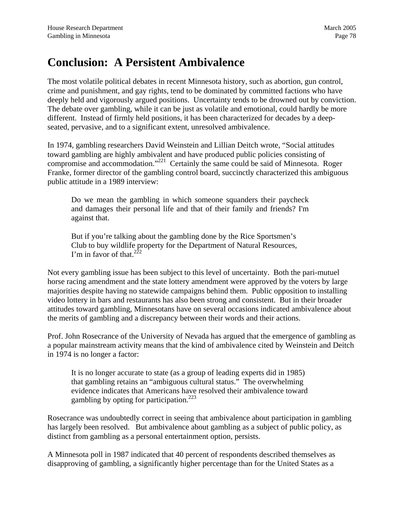# <span id="page-81-0"></span>**Conclusion: A Persistent Ambivalence**

The most volatile political debates in recent Minnesota history, such as abortion, gun control, crime and punishment, and gay rights, tend to be dominated by committed factions who have deeply held and vigorously argued positions. Uncertainty tends to be drowned out by conviction. The debate over gambling, while it can be just as volatile and emotional, could hardly be more different. Instead of firmly held positions, it has been characterized for decades by a deepseated, pervasive, and to a significant extent, unresolved ambivalence.

In 1974, gambling researchers David Weinstein and Lillian Deitch wrote, "Social attitudes toward gambling are highly ambivalent and have produced public policies consisting of compromise and accommodation."<sup>221</sup> Certainly the same could be said of Minnesota. Roger Franke, former director of the gambling control board, succinctly characterized this ambiguous public attitude in a 1989 interview:

Do we mean the gambling in which someone squanders their paycheck and damages their personal life and that of their family and friends? I'm against that.

But if you're talking about the gambling done by the Rice Sportsmen's Club to buy wildlife property for the Department of Natural Resources, I'm in favor of that.<sup>[222](#page-95-28)</sup>

Not every gambling issue has been subject to this level of uncertainty. Both the pari-mutuel horse racing amendment and the state lottery amendment were approved by the voters by large majorities despite having no statewide campaigns behind them. Public opposition to installing video lottery in bars and restaurants has also been strong and consistent. But in their broader attitudes toward gambling, Minnesotans have on several occasions indicated ambivalence about the merits of gambling and a discrepancy between their words and their actions.

Prof. John Rosecrance of the University of Nevada has argued that the emergence of gambling as a popular mainstream activity means that the kind of ambivalence cited by Weinstein and Deitch in 1974 is no longer a factor:

It is no longer accurate to state (as a group of leading experts did in 1985) that gambling retains an "ambiguous cultural status." The overwhelming evidence indicates that Americans have resolved their ambivalence toward gambling by opting for participation. $223$ 

Rosecrance was undoubtedly correct in seeing that ambivalence about participation in gambling has largely been resolved. But ambivalence about gambling as a subject of public policy, as distinct from gambling as a personal entertainment option, persists.

A Minnesota poll in 1987 indicated that 40 percent of respondents described themselves as disapproving of gambling, a significantly higher percentage than for the United States as a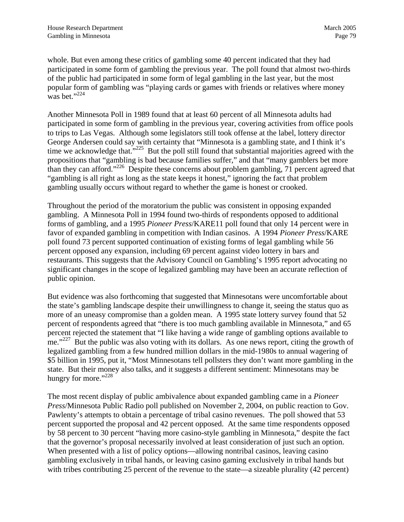<span id="page-82-0"></span>whole. But even among these critics of gambling some 40 percent indicated that they had participated in some form of gambling the previous year. The poll found that almost two-thirds of the public had participated in some form of legal gambling in the last year, but the most popular form of gambling was "playing cards or games with friends or relatives where money was bet."<sup>[224](#page-95-30)</sup>

Another Minnesota Poll in 1989 found that at least 60 percent of all Minnesota adults had participated in some form of gambling in the previous year, covering activities from office pools to trips to Las Vegas. Although some legislators still took offense at the label, lottery director George Andersen could say with certainty that "Minnesota is a gambling state, and I think it's time we acknowledge that."<sup>225</sup> But the poll still found that substantial majorities agreed with the propositions that "gambling is bad because families suffer," and that "many gamblers bet more than they can afford."<sup>226</sup> Despite these concerns about problem gambling,  $\frac{1}{2}$  percent agreed that "gambling is all right as long as the state keeps it honest," ignoring the fact that problem gambling usually occurs without regard to whether the game is honest or crooked.

Throughout the period of the moratorium the public was consistent in opposing expanded gambling. A Minnesota Poll in 1994 found two-thirds of respondents opposed to additional forms of gambling, and a 1995 *Pioneer Press*/KARE11 poll found that only 14 percent were in favor of expanded gambling in competition with Indian casinos. A 1994 *Pioneer Press*/KARE poll found 73 percent supported continuation of existing forms of legal gambling while 56 percent opposed any expansion, including 69 percent against video lottery in bars and restaurants. This suggests that the Advisory Council on Gambling's 1995 report advocating no significant changes in the scope of legalized gambling may have been an accurate reflection of public opinion.

But evidence was also forthcoming that suggested that Minnesotans were uncomfortable about the state's gambling landscape despite their unwillingness to change it, seeing the status quo as more of an uneasy compromise than a golden mean. A 1995 state lottery survey found that 52 percent of respondents agreed that "there is too much gambling available in Minnesota," and 65 percent rejected the statement that "I like having a wide range of gambling options available to me."<sup>227</sup> But the public was also voting with its dollars. As one news report, citing the growth of legalized gambling from a few hundred million dollars in the mid-1980s to annual wagering of \$5 billion in 1995, put it, "Most Minnesotans tell pollsters they don't want more gambling in the state. But their money also talks, and it suggests a different sentiment: Minnesotans may be hungry for more."<sup>228</sup>

The most recent display of public ambivalence about expanded gambling came in a *Pioneer Press*/Minnesota Public Radio poll published on November 2, 2004, on public reaction to Gov. Pawlenty's attempts to obtain a percentage of tribal casino revenues. The poll showed that 53 percent supported the proposal and 42 percent opposed. At the same time respondents opposed by 58 percent to 30 percent "having more casino-style gambling in Minnesota," despite the fact that the governor's proposal necessarily involved at least consideration of just such an option. When presented with a list of policy options—allowing nontribal casinos, leaving casino gambling exclusively in tribal hands, or leaving casino gaming exclusively in tribal hands but with tribes contributing 25 percent of the revenue to the state—a sizeable plurality (42 percent)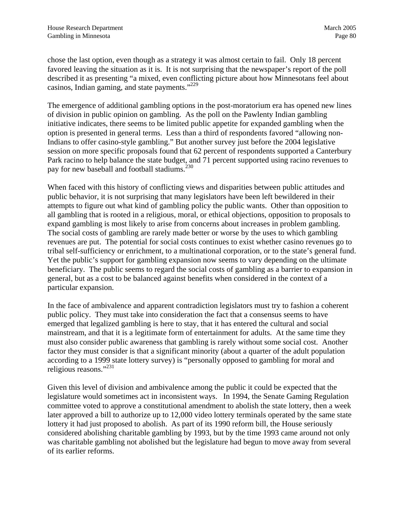<span id="page-83-0"></span>chose the last option, even though as a strategy it was almost certain to fail. Only 18 percent favored leaving the situation as it is. It is not surprising that the newspaper's report of the poll described it as presenting "a mixed, even conflicting picture about how Minnesotans feel about casinos, Indian gaming, and state payments."[229](#page-95-2)

The emergence of additional gambling options in the post-moratorium era has opened new lines of division in public opinion on gambling. As the poll on the Pawlenty Indian gambling initiative indicates, there seems to be limited public appetite for expanded gambling when the option is presented in general terms. Less than a third of respondents favored "allowing non-Indians to offer casino-style gambling." But another survey just before the 2004 legislative session on more specific proposals found that 62 percent of respondents supported a Canterbury Park racino to help balance the state budget, and 71 percent supported using racino revenues to pay for new baseball and football stadiums.<sup>[230](#page-95-3)</sup>

When faced with this history of conflicting views and disparities between public attitudes and public behavior, it is not surprising that many legislators have been left bewildered in their attempts to figure out what kind of gambling policy the public wants. Other than opposition to all gambling that is rooted in a religious, moral, or ethical objections, opposition to proposals to expand gambling is most likely to arise from concerns about increases in problem gambling. The social costs of gambling are rarely made better or worse by the uses to which gambling revenues are put. The potential for social costs continues to exist whether casino revenues go to tribal self-sufficiency or enrichment, to a multinational corporation, or to the state's general fund. Yet the public's support for gambling expansion now seems to vary depending on the ultimate beneficiary. The public seems to regard the social costs of gambling as a barrier to expansion in general, but as a cost to be balanced against benefits when considered in the context of a particular expansion.

In the face of ambivalence and apparent contradiction legislators must try to fashion a coherent public policy. They must take into consideration the fact that a consensus seems to have emerged that legalized gambling is here to stay, that it has entered the cultural and social mainstream, and that it is a legitimate form of entertainment for adults. At the same time they must also consider public awareness that gambling is rarely without some social cost. Another factor they must consider is that a significant minority (about a quarter of the adult population according to a 1999 state lottery survey) is "personally opposed to gambling for moral and religious reasons."[231](#page-95-33)

Given this level of division and ambivalence among the public it could be expected that the legislature would sometimes act in inconsistent ways. In 1994, the Senate Gaming Regulation committee voted to approve a constitutional amendment to abolish the state lottery, then a week later approved a bill to authorize up to 12,000 video lottery terminals operated by the same state lottery it had just proposed to abolish. As part of its 1990 reform bill, the House seriously considered abolishing charitable gambling by 1993, but by the time 1993 came around not only was charitable gambling not abolished but the legislature had begun to move away from several of its earlier reforms.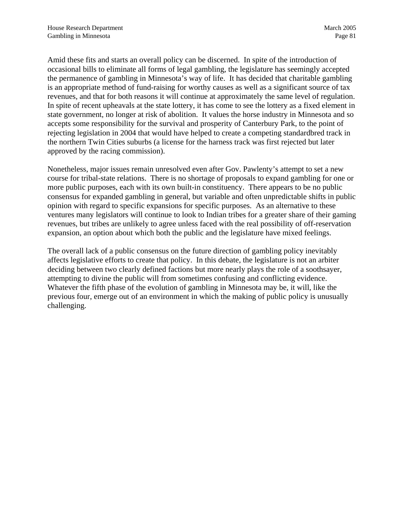<span id="page-84-0"></span>Amid these fits and starts an overall policy can be discerned. In spite of the introduction of occasional bills to eliminate all forms of legal gambling, the legislature has seemingly accepted the permanence of gambling in Minnesota's way of life. It has decided that charitable gambling is an appropriate method of fund-raising for worthy causes as well as a significant source of tax revenues, and that for both reasons it will continue at approximately the same level of regulation. In spite of recent upheavals at the state lottery, it has come to see the lottery as a fixed element in state government, no longer at risk of abolition. It values the horse industry in Minnesota and so accepts some responsibility for the survival and prosperity of Canterbury Park, to the point of rejecting legislation in 2004 that would have helped to create a competing standardbred track in the northern Twin Cities suburbs (a license for the harness track was first rejected but later approved by the racing commission).

Nonetheless, major issues remain unresolved even after Gov. Pawlenty's attempt to set a new course for tribal-state relations. There is no shortage of proposals to expand gambling for one or more public purposes, each with its own built-in constituency. There appears to be no public consensus for expanded gambling in general, but variable and often unpredictable shifts in public opinion with regard to specific expansions for specific purposes. As an alternative to these ventures many legislators will continue to look to Indian tribes for a greater share of their gaming revenues, but tribes are unlikely to agree unless faced with the real possibility of off-reservation expansion, an option about which both the public and the legislature have mixed feelings.

The overall lack of a public consensus on the future direction of gambling policy inevitably affects legislative efforts to create that policy. In this debate, the legislature is not an arbiter deciding between two clearly defined factions but more nearly plays the role of a soothsayer, attempting to divine the public will from sometimes confusing and conflicting evidence. Whatever the fifth phase of the evolution of gambling in Minnesota may be, it will, like the previous four, emerge out of an environment in which the making of public policy is unusually challenging.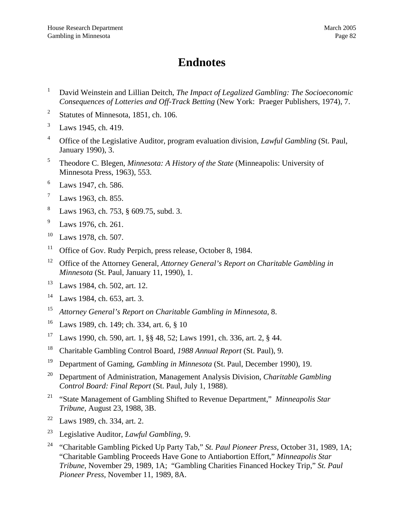# **Endnotes**

- 1 David Weinstein and Lillian Deitch, *The Impact of Legalized Gambling: The Socioeconomic Consequences of Lotteries and Off-Track Betting* (New York: Praeger Publishers, 1974), 7.
- 2 Statutes of Minnesota, 1851, ch. 106.
- 3 Laws 1945, ch. 419.
- 4 Office of the Legislative Auditor, program evaluation division, *Lawful Gambling* (St. Paul, January 1990), 3.
- 5 Theodore C. Blegen, *Minnesota: A History of the State* (Minneapolis: University of Minnesota Press, 1963), 553.
- 6 Laws 1947, ch. 586.
- 7 Laws 1963, ch. 855.
- 8 Laws 1963, ch. 753, § 609.75, subd. 3.
- 9 Laws 1976, ch. 261.
- 10 Laws 1978, ch. 507.
- <sup>11</sup> Office of Gov. Rudy Perpich, press release, October 8, 1984.
- <sup>12</sup> Office of the Attorney General, *Attorney General's Report on Charitable Gambling in Minnesota* (St. Paul, January 11, 1990), 1.
- 13 Laws 1984, ch. 502, art. 12.
- $14$  Laws 1984, ch. 653, art. 3.
- 15 *Attorney General's Report on Charitable Gambling in Minnesota*, 8.
- 16 Laws 1989, ch. 149; ch. 334, art. 6, § 10
- 17 Laws 1990, ch. 590, art. 1, §§ 48, 52; Laws 1991, ch. 336, art. 2, § 44.
- 18 Charitable Gambling Control Board, *1988 Annual Report* (St. Paul), 9.
- 19 Department of Gaming, *Gambling in Minnesota* (St. Paul, December 1990), 19.
- 20 Department of Administration, Management Analysis Division, *Charitable Gambling Control Board: Final Report* (St. Paul, July 1, 1988).
- 21 "State Management of Gambling Shifted to Revenue Department," *Minneapolis Star Tribune*, August 23, 1988, 3B.
- $22$  Laws 1989, ch. 334, art. 2.
- 23 Legislative Auditor, *Lawful Gambling*, 9.
- 24 "Charitable Gambling Picked Up Party Tab," *St. Paul Pioneer Press,* October 31, 1989, 1A; "Charitable Gambling Proceeds Have Gone to Antiabortion Effort," *Minneapolis Star Tribune*, November 29, 1989, 1A; "Gambling Charities Financed Hockey Trip," *St. Paul Pioneer Press*, November 11, 1989, 8A.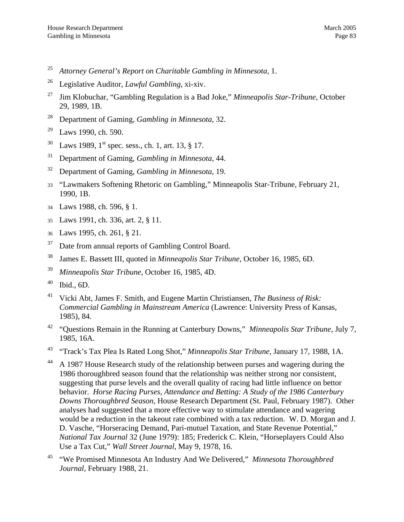- 25 *Attorney General's Report on Charitable Gambling in Minnesota*, 1.
- 26 Legislative Auditor, *Lawful Gambling*, xi-xiv.
- 27 Jim Klobuchar, "Gambling Regulation is a Bad Joke," *Minneapolis Star-Tribune,* October 29, 1989, 1B.
- 28 Department of Gaming, *Gambling in Minnesota*, 32.
- 29 Laws 1990, ch. 590.
- $30$  Laws 1989, 1<sup>st</sup> spec. sess., ch. 1, art. 13, § 17.
- 31 Department of Gaming, *Gambling in Minnesota*, 44.
- 32 Department of Gaming, *Gambling in Minnesota*, 19.
- 33 "Lawmakers Softening Rhetoric on Gambling," Minneapolis Star-Tribune, February 21, 1990, 1B.
- 34 Laws 1988, ch. 596, § 1.
- 35 Laws 1991, ch. 336, art. 2, § 11.
- 36 Laws 1995, ch. 261, § 21.
- <sup>37</sup> Date from annual reports of Gambling Control Board.
- 38 James E. Bassett III, quoted in *Minneapolis Star Tribune*, October 16, 1985, 6D.
- 39 *Minneapolis Star Tribune*, October 16, 1985, 4D.
- $40$  Ibid., 6D.
- 41 Vicki Abt, James F. Smith, and Eugene Martin Christiansen, *The Business of Risk: Commercial Gambling in Mainstream America* (Lawrence: University Press of Kansas, 1985), 84.
- 42 "Questions Remain in the Running at Canterbury Downs," *Minneapolis Star Tribune*, July 7, 1985, 16A.
- 43 "Track's Tax Plea Is Rated Long Shot," *Minneapolis Star Tribune*, January 17, 1988, 1A.
- <sup>44</sup> A 1987 House Research study of the relationship between purses and wagering during the 1986 thoroughbred season found that the relationship was neither strong nor consistent, suggesting that purse levels and the overall quality of racing had little influence on bettor behavior. *Horse Racing Purses, Attendance and Betting: A Study of the 1986 Canterbury Downs Thoroughbred Season*, House Research Department (St. Paul, February 1987). Other analyses had suggested that a more effective way to stimulate attendance and wagering would be a reduction in the takeout rate combined with a tax reduction. W. D. Morgan and J. D. Vasche, "Horseracing Demand, Pari-mutuel Taxation, and State Revenue Potential," *National Tax Journal* 32 (June 1979): 185; Frederick C. Klein, "Horseplayers Could Also Use a Tax Cut," *Wall Street Journal*, May 9, 1978, 16.
- 45 "We Promised Minnesota An Industry And We Delivered," *Minnesota Thoroughbred Journal*, February 1988, 21.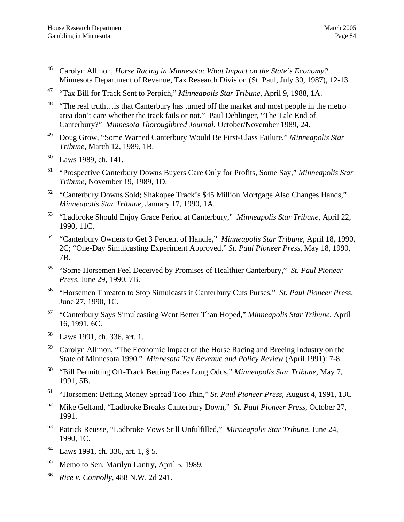- 47 "Tax Bill for Track Sent to Perpich," *Minneapolis Star Tribune*, April 9, 1988, 1A.
- <sup>48</sup> "The real truth... is that Canterbury has turned off the market and most people in the metro area don't care whether the track fails or not." Paul Deblinger, "The Tale End of Canterbury?" *Minnesota Thoroughbred Journal*, October/November 1989, 24.
- 49 Doug Grow, "Some Warned Canterbury Would Be First-Class Failure," *Minneapolis Star Tribune*, March 12, 1989, 1B.
- 50 Laws 1989, ch. 141.
- 51 "Prospective Canterbury Downs Buyers Care Only for Profits, Some Say," *Minneapolis Star Tribune*, November 19, 1989, 1D.
- 52 "Canterbury Downs Sold; Shakopee Track's \$45 Million Mortgage Also Changes Hands," *Minneapolis Star Tribune*, January 17, 1990, 1A.
- 53 "Ladbroke Should Enjoy Grace Period at Canterbury," *Minneapolis Star Tribune*, April 22, 1990, 11C.
- 54 "Canterbury Owners to Get 3 Percent of Handle," *Minneapolis Star Tribune*, April 18, 1990, 2C; "One-Day Simulcasting Experiment Approved," *St. Paul Pioneer Press*, May 18, 1990, 7B.
- 55 "Some Horsemen Feel Deceived by Promises of Healthier Canterbury," *St. Paul Pioneer Press*, June 29, 1990, 7B.
- 56 "Horsemen Threaten to Stop Simulcasts if Canterbury Cuts Purses," *St. Paul Pioneer Press*, June 27, 1990, 1C.
- 57 "Canterbury Says Simulcasting Went Better Than Hoped," *Minneapolis Star Tribune*, April 16, 1991, 6C.
- 58 Laws 1991, ch. 336, art. 1.
- <sup>59</sup> Carolyn Allmon, "The Economic Impact of the Horse Racing and Breeing Industry on the State of Minnesota 1990." *Minnesota Tax Revenue and Policy Review* (April 1991): 7-8.
- 60 "Bill Permitting Off-Track Betting Faces Long Odds," *Minneapolis Star Tribune*, May 7, 1991, 5B.
- 61 "Horsemen: Betting Money Spread Too Thin," *St. Paul Pioneer Press*, August 4, 1991, 13C
- 62 Mike Gelfand, "Ladbroke Breaks Canterbury Down," *St. Paul Pioneer Press*, October 27, 1991.
- 63 Patrick Reusse, "Ladbroke Vows Still Unfulfilled," *Minneapolis Star Tribune*, June 24, 1990, 1C.
- 64 Laws 1991, ch. 336, art. 1, § 5.
- <sup>65</sup> Memo to Sen. Marilyn Lantry, April 5, 1989.
- 66 *Rice v. Connolly*, 488 N.W. 2d 241.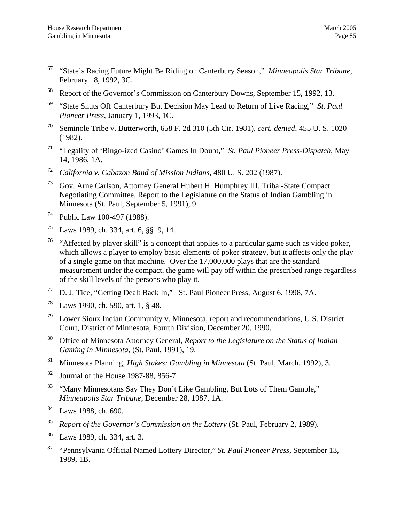- 67 "State's Racing Future Might Be Riding on Canterbury Season," *Minneapolis Star Tribune*, February 18, 1992, 3C.
- 68 Report of the Governor's Commission on Canterbury Downs, September 15, 1992, 13.
- 69 "State Shuts Off Canterbury But Decision May Lead to Return of Live Racing," *St. Paul Pioneer Press*, January 1, 1993, 1C.
- 70 Seminole Tribe v. Butterworth, 658 F. 2d 310 (5th Cir. 1981), *cert. denied*, 455 U. S. 1020 (1982).
- 71 "Legality of 'Bingo-ized Casino' Games In Doubt," *St. Paul Pioneer Press-Dispatch,* May 14, 1986, 1A.
- 72 *California v. Cabazon Band of Mission Indians*, 480 U. S. 202 (1987).
- 73 Gov. Arne Carlson, Attorney General Hubert H. Humphrey III, Tribal-State Compact Negotiating Committee, Report to the Legislature on the Status of Indian Gambling in Minnesota (St. Paul, September 5, 1991), 9.
- 74 Public Law 100-497 (1988).
- 75 Laws 1989, ch. 334, art. 6, §§ 9, 14.
- <sup>76</sup> "Affected by player skill" is a concept that applies to a particular game such as video poker, which allows a player to employ basic elements of poker strategy, but it affects only the play of a single game on that machine. Over the 17,000,000 plays that are the standard measurement under the compact, the game will pay off within the prescribed range regardless of the skill levels of the persons who play it.
- 77 D. J. Tice, "Getting Dealt Back In," St. Paul Pioneer Press, August 6, 1998, 7A.
- 78 Laws 1990, ch. 590, art. 1, § 48.
- Lower Sioux Indian Community v. Minnesota, report and recommendations, U.S. District Court, District of Minnesota, Fourth Division, December 20, 1990.
- 80 Office of Minnesota Attorney General, *Report to the Legislature on the Status of Indian Gaming in Minnesota*, (St. Paul, 1991), 19.
- 81 Minnesota Planning, *High Stakes: Gambling in Minnesota* (St. Paul, March, 1992), 3.
- 82 Journal of the House 1987-88, 856-7.
- <sup>83</sup> "Many Minnesotans Say They Don't Like Gambling, But Lots of Them Gamble," *Minneapolis Star Tribune*, December 28, 1987, 1A.
- 84 Laws 1988, ch. 690.
- 85 *Report of the Governor's Commission on the Lottery* (St. Paul, February 2, 1989).
- 86 Laws 1989, ch. 334, art. 3.
- 87 "Pennsylvania Official Named Lottery Director," *St. Paul Pioneer Press*, September 13, 1989, 1B.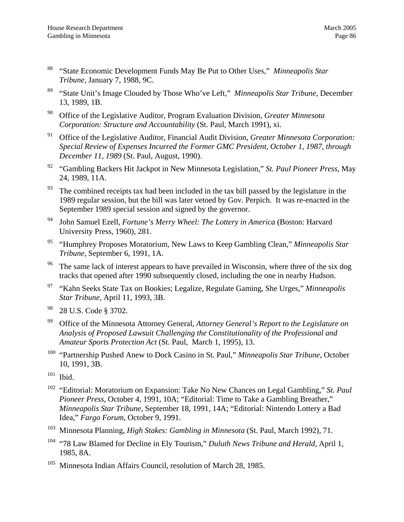- 88 "State Economic Development Funds May Be Put to Other Uses," *Minneapolis Star Tribune*, January 7, 1988, 9C.
- 89 "State Unit's Image Clouded by Those Who've Left," *Minneapolis Star Tribune*, December 13, 1989, 1B.
- 90 Office of the Legislative Auditor, Program Evaluation Division, *Greater Minnesota Corporation: Structure and Accountability* (St. Paul, March 1991), xi.
- 91 Office of the Legislative Auditor, Financial Audit Division, *Greater Minnesota Corporation: Special Review of Expenses Incurred the Former GMC President, October 1, 1987, through December 11, 1989* (St. Paul, August, 1990).
- 92 "Gambling Backers Hit Jackpot in New Minnesota Legislation," *St. Paul Pioneer Press*, May 24, 1989, 11A.
- $93$  The combined receipts tax had been included in the tax bill passed by the legislature in the 1989 regular session, but the bill was later vetoed by Gov. Perpich. It was re-enacted in the September 1989 special session and signed by the governor.
- 94 John Samuel Ezell, *Fortune's Merry Wheel: The Lottery in America* (Boston: Harvard University Press, 1960), 281.
- 95 "Humphrey Proposes Moratorium, New Laws to Keep Gambling Clean," *Minneapolis Star Tribune*, September 6, 1991, 1A.
- <sup>96</sup> The same lack of interest appears to have prevailed in Wisconsin, where three of the six dog tracks that opened after 1990 subsequently closed, including the one in nearby Hudson.
- 97 "Kahn Seeks State Tax on Bookies; Legalize, Regulate Gaming, She Urges," *Minneapolis Star Tribune*, April 11, 1993, 3B.
- 98 28 U.S. Code § 3702.
- 99 Office of the Minnesota Attorney General, *Attorney General's Report to the Legislature on Analysis of Proposed Lawsuit Challenging the Constitutionality of the Professional and Amateur Sports Protection Act* (St. Paul, March 1, 1995), 13.
- <sup>100</sup> "Partnership Pushed Anew to Dock Casino in St. Paul," *Minneapolis Star Tribune*, October 10, 1991, 3B.
- $101$  Ibid.
- 102 "Editorial: Moratorium on Expansion: Take No New Chances on Legal Gambling," *St. Paul Pioneer Press*, October 4, 1991, 10A; "Editorial: Time to Take a Gambling Breather," *Minneapolis Star Tribune*, September 18, 1991, 14A; "Editorial: Nintendo Lottery a Bad Idea," *Fargo Forum*, October 9, 1991.
- 103 Minnesota Planning, *High Stakes: Gambling in Minnesota* (St. Paul, March 1992), 71.
- 104 "78 Law Blamed for Decline in Ely Tourism," *Duluth News Tribune and Herald*, April 1, 1985, 8A.
- <sup>105</sup> Minnesota Indian Affairs Council, resolution of March 28, 1985.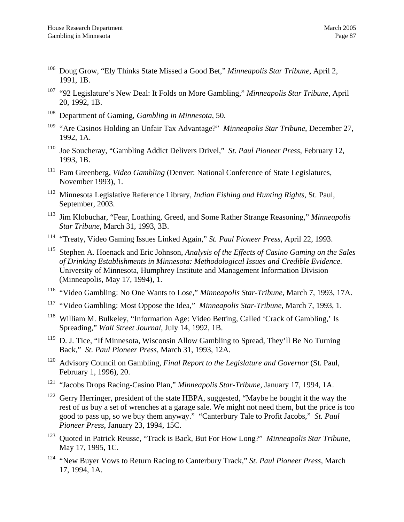- 106 Doug Grow, "Ely Thinks State Missed a Good Bet," *Minneapolis Star Tribune*, April 2, 1991, 1B.
- 107 "92 Legislature's New Deal: It Folds on More Gambling," *Minneapolis Star Tribune*, April 20, 1992, 1B.
- 108 Department of Gaming, *Gambling in Minnesota*, 50.
- 109 "Are Casinos Holding an Unfair Tax Advantage?" *Minneapolis Star Tribune*, December 27, 1992, 1A.
- 110 Joe Soucheray, "Gambling Addict Delivers Drivel," *St. Paul Pioneer Press*, February 12, 1993, 1B.
- <sup>111</sup> Pam Greenberg, *Video Gambling* (Denver: National Conference of State Legislatures, November 1993), 1.
- 112 Minnesota Legislative Reference Library, *Indian Fishing and Hunting Rights*, St. Paul, September, 2003.
- 113 Jim Klobuchar, "Fear, Loathing, Greed, and Some Rather Strange Reasoning," *Minneapolis Star Tribune*, March 31, 1993, 3B.
- 114 "Treaty, Video Gaming Issues Linked Again," *St. Paul Pioneer Press*, April 22, 1993.
- 115 Stephen A. Hoenack and Eric Johnson, *Analysis of the Effects of Casino Gaming on the Sales of Drinking Establishments in Minnesota: Methodological Issues and Credible Evidence*. University of Minnesota, Humphrey Institute and Management Information Division (Minneapolis, May 17, 1994), 1.
- 116 "Video Gambling: No One Wants to Lose," *Minneapolis Star-Tribune*, March 7, 1993, 17A.
- <sup>117</sup> "Video Gambling: Most Oppose the Idea," *Minneapolis Star-Tribune*, March 7, 1993, 1.
- <sup>118</sup> William M. Bulkeley, "Information Age: Video Betting, Called 'Crack of Gambling,' Is Spreading," *Wall Street Journal*, July 14, 1992, 1B.
- <sup>119</sup> D. J. Tice, "If Minnesota, Wisconsin Allow Gambling to Spread, They'll Be No Turning Back," *St. Paul Pioneer Press*, March 31, 1993, 12A.
- 120 Advisory Council on Gambling, *Final Report to the Legislature and Governor* (St. Paul, February 1, 1996), 20.
- 121 "Jacobs Drops Racing-Casino Plan," *Minneapolis Star-Tribune*, January 17, 1994, 1A.
- $122$  Gerry Herringer, president of the state HBPA, suggested, "Maybe he bought it the way the rest of us buy a set of wrenches at a garage sale. We might not need them, but the price is too good to pass up, so we buy them anyway." "Canterbury Tale to Profit Jacobs," *St. Paul Pioneer Press*, January 23, 1994, 15C.
- 123 Quoted in Patrick Reusse, "Track is Back, But For How Long?" *Minneapolis Star Tribun*e, May 17, 1995, 1C.
- 124 "New Buyer Vows to Return Racing to Canterbury Track," *St. Paul Pioneer Press*, March 17, 1994, 1A.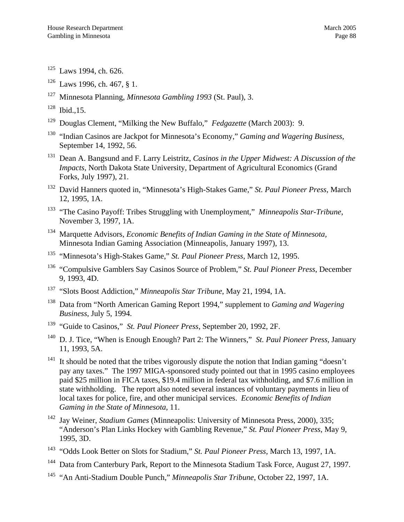- $125$  Laws 1994, ch. 626.
- $126$  Laws 1996, ch. 467, § 1.
- 127 Minnesota Planning, *Minnesota Gambling 1993* (St. Paul), 3.
- $128$  Ibid., 15.
- 129 Douglas Clement, "Milking the New Buffalo," *Fedgazette* (March 2003): 9.
- 130 "Indian Casinos are Jackpot for Minnesota's Economy," *Gaming and Wagering Business*, September 14, 1992, 56.
- 131 Dean A. Bangsund and F. Larry Leistritz, *Casinos in the Upper Midwest: A Discussion of the Impacts,* North Dakota State University, Department of Agricultural Economics (Grand Forks, July 1997), 21.
- 132 David Hanners quoted in, "Minnesota's High-Stakes Game," *St. Paul Pioneer Press*, March 12, 1995, 1A.
- 133 "The Casino Payoff: Tribes Struggling with Unemployment," *Minneapolis Star-Tribune*, November 3, 1997, 1A.
- 134 Marquette Advisors, *Economic Benefits of Indian Gaming in the State of Minnesota,*  Minnesota Indian Gaming Association (Minneapolis, January 1997), 13.
- 135 "Minnesota's High-Stakes Game," *St. Paul Pioneer Press*, March 12, 1995.
- 136 "Compulsive Gamblers Say Casinos Source of Problem," *St. Paul Pioneer Press*, December 9, 1993, 4D.
- 137 "Slots Boost Addiction," *Minneapolis Star Tribune*, May 21, 1994, 1A.
- 138 Data from "North American Gaming Report 1994," supplement to *Gaming and Wagering Business*, July 5, 1994.
- 139 "Guide to Casinos," *St. Paul Pioneer Press*, September 20, 1992, 2F.
- 140 D. J. Tice, "When is Enough Enough? Part 2: The Winners," *St. Paul Pioneer Press*, January 11, 1993, 5A.
- <sup>141</sup> It should be noted that the tribes vigorously dispute the notion that Indian gaming "doesn't pay any taxes." The 1997 MIGA-sponsored study pointed out that in 1995 casino employees paid \$25 million in FICA taxes, \$19.4 million in federal tax withholding, and \$7.6 million in state withholding. The report also noted several instances of voluntary payments in lieu of local taxes for police, fire, and other municipal services. *Economic Benefits of Indian Gaming in the State of Minnesota*, 11.
- 142 Jay Weiner, *Stadium Games* (Minneapolis: University of Minnesota Press, 2000), 335; "Anderson's Plan Links Hockey with Gambling Revenue," *St. Paul Pioneer Press*, May 9, 1995, 3D.
- 143 "Odds Look Better on Slots for Stadium," *St. Paul Pioneer Press*, March 13, 1997, 1A.
- <sup>144</sup> Data from Canterbury Park, Report to the Minnesota Stadium Task Force, August 27, 1997.
- 145 "An Anti-Stadium Double Punch," *Minneapolis Star Tribune*, October 22, 1997, 1A.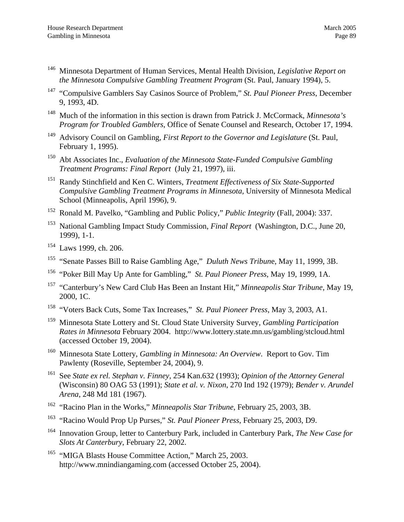- 146 Minnesota Department of Human Services, Mental Health Division, *Legislative Report on the Minnesota Compulsive Gambling Treatment Program* (St. Paul, January 1994), 5.
- 147 "Compulsive Gamblers Say Casinos Source of Problem," *St. Paul Pioneer Press*, December 9, 1993, 4D.
- 148 Much of the information in this section is drawn from Patrick J. McCormack, *Minnesota's Program for Troubled Gamblers*, Office of Senate Counsel and Research, October 17, 1994.
- 149 Advisory Council on Gambling, *First Report to the Governor and Legislature* (St. Paul, February 1, 1995).
- 150 Abt Associates Inc., *Evaluation of the Minnesota State-Funded Compulsive Gambling Treatment Programs: Final Report* (July 21, 1997), iii.
- 151 Randy Stinchfield and Ken C. Winters, *Treatment Effectiveness of Six State-Supported Compulsive Gambling Treatment Programs in Minnesota,* University of Minnesota Medical School (Minneapolis, April 1996), 9.
- 152 Ronald M. Pavelko, "Gambling and Public Policy," *Public Integrity* (Fall, 2004): 337.
- 153 National Gambling Impact Study Commission, *Final Report* (Washington, D.C., June 20, 1999), 1-1.
- 154 Laws 1999, ch. 206.
- 155 "Senate Passes Bill to Raise Gambling Age," *Duluth News Tribun*e, May 11, 1999, 3B.
- 156 "Poker Bill May Up Ante for Gambling," *St. Paul Pioneer Press*, May 19, 1999, 1A.
- 157 "Canterbury's New Card Club Has Been an Instant Hit," *Minneapolis Star Tribune*, May 19, 2000, 1C.
- 158 "Voters Back Cuts, Some Tax Increases," *St. Paul Pioneer Press*, May 3, 2003, A1.
- 159 Minnesota State Lottery and St. Cloud State University Survey, *Gambling Participation Rates in Minnesota* February 2004. http://www.lottery.state.mn.us/gambling/stcloud.html (accessed October 19, 2004).
- 160 Minnesota State Lottery, *Gambling in Minnesota: An Overview*. Report to Gov. Tim Pawlenty (Roseville, September 24, 2004), 9.
- 161 See *State ex rel. Stephan v. Finney*, 254 Kan.632 (1993); *Opinion of the Attorney General*  (Wisconsin) 80 OAG 53 (1991); *State et al. v. Nixon*, 270 Ind 192 (1979); *Bender v. Arundel Arena*, 248 Md 181 (1967).
- 162 "Racino Plan in the Works," *Minneapolis Star Tribune*, February 25, 2003, 3B.
- 163 "Racino Would Prop Up Purses," *St. Paul Pioneer Press*, February 25, 2003, D9.
- 164 Innovation Group, letter to Canterbury Park, included in Canterbury Park, *The New Case for Slots At Canterbury*, February 22, 2002.
- <sup>165</sup> "MIGA Blasts House Committee Action," March 25, 2003. http://www.mnindiangaming.com (accessed October 25, 2004).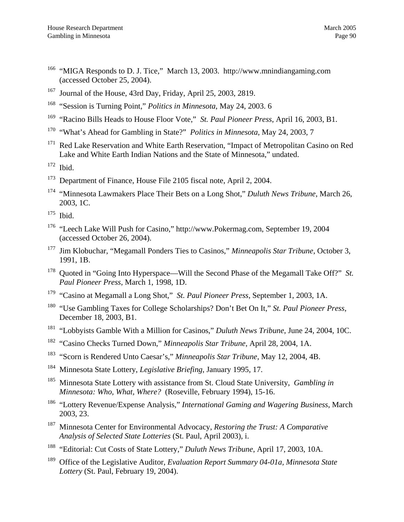- 166 "MIGA Responds to D. J. Tice," March 13, 2003. http://www.mnindiangaming.com (accessed October 25, 2004).
- 167 Journal of the House, 43rd Day, Friday, April 25, 2003, 2819.
- 168 "Session is Turning Point," *Politics in Minnesota*, May 24, 2003. 6
- 169 "Racino Bills Heads to House Floor Vote," *St. Paul Pioneer Press*, April 16, 2003, B1.
- 170 "What's Ahead for Gambling in State?" *Politics in Minnesota*, May 24, 2003, 7
- <sup>171</sup> Red Lake Reservation and White Earth Reservation, "Impact of Metropolitan Casino on Red Lake and White Earth Indian Nations and the State of Minnesota," undated.
- 172 Ibid.
- <sup>173</sup> Department of Finance, House File 2105 fiscal note, April 2, 2004.
- 174 "Minnesota Lawmakers Place Their Bets on a Long Shot," *Duluth News Tribune*, March 26, 2003, 1C.
- $175$  Ibid.
- 176 "Leech Lake Will Push for Casino," http://www.Pokermag.com, September 19, 2004 (accessed October 26, 2004).
- 177 Jim Klobuchar, "Megamall Ponders Ties to Casinos," *Minneapolis Star Tribune*, October 3, 1991, 1B.
- 178 Quoted in "Going Into Hyperspace—Will the Second Phase of the Megamall Take Off?" *St. Paul Pioneer Press*, March 1, 1998, 1D.
- 179 "Casino at Megamall a Long Shot," *St. Paul Pioneer Press*, September 1, 2003, 1A.
- 180 "Use Gambling Taxes for College Scholarships? Don't Bet On It," *St. Paul Pioneer Press*, December 18, 2003, B1.
- 181 "Lobbyists Gamble With a Million for Casinos," *Duluth News Tribune*, June 24, 2004, 10C.
- 182 "Casino Checks Turned Down," *Minneapolis Star Tribune*, April 28, 2004, 1A.
- 183 "Scorn is Rendered Unto Caesar's," *Minneapolis Star Tribune*, May 12, 2004, 4B.
- 184 Minnesota State Lottery, *Legislative Briefing*, January 1995, 17.
- 185 Minnesota State Lottery with assistance from St. Cloud State University, *Gambling in Minnesota: Who, What, Where?* (Roseville, February 1994), 15-16.
- 186 "Lottery Revenue/Expense Analysis," *International Gaming and Wagering Business*, March 2003, 23.
- 187 Minnesota Center for Environmental Advocacy, *Restoring the Trust: A Comparative Analysis of Selected State Lotteries* (St. Paul, April 2003), i.
- 188 "Editorial: Cut Costs of State Lottery," *Duluth News Tribune*, April 17, 2003, 10A.
- 189 Office of the Legislative Auditor, *Evaluation Report Summary 04-01a, Minnesota State Lottery* (St. Paul, February 19, 2004).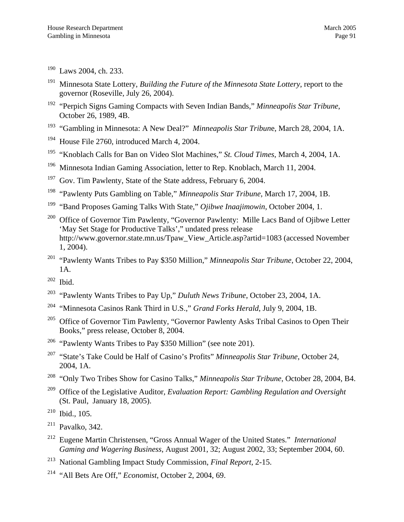190 Laws 2004, ch. 233.

- 191 Minnesota State Lottery, *Building the Future of the Minnesota State Lottery*, report to the governor (Roseville, July 26, 2004).
- 192 "Perpich Signs Gaming Compacts with Seven Indian Bands," *Minneapolis Star Tribune*, October 26, 1989, 4B.
- 193 "Gambling in Minnesota: A New Deal?" *Minneapolis Star Tribun*e, March 28, 2004, 1A.
- <sup>194</sup> House File 2760, introduced March 4, 2004.
- 195 "Knoblach Calls for Ban on Video Slot Machines," *St. Cloud Times*, March 4, 2004, 1A.
- 196 Minnesota Indian Gaming Association, letter to Rep. Knoblach, March 11, 2004.
- $197$  Gov. Tim Pawlenty, State of the State address, February 6, 2004.
- 198 "Pawlenty Puts Gambling on Table," *Minneapolis Star Tribune*, March 17, 2004, 1B.
- 199 "Band Proposes Gaming Talks With State," *Ojibwe Inaajimowin*, October 2004, 1.
- <sup>200</sup> Office of Governor Tim Pawlenty, "Governor Pawlenty: Mille Lacs Band of Ojibwe Letter 'May Set Stage for Productive Talks'," undated press release http://www.governor.state.mn.us/Tpaw\_View\_Article.asp?artid=1083 (accessed November 1, 2004).
- 201 "Pawlenty Wants Tribes to Pay \$350 Million," *Minneapolis Star Tribune*, October 22, 2004, 1A.
- $202$  Ibid.
- 203 "Pawlenty Wants Tribes to Pay Up," *Duluth News Tribune*, October 23, 2004, 1A.
- 204 "Minnesota Casinos Rank Third in U.S.," *Grand Forks Herald*, July 9, 2004, 1B.
- <sup>205</sup> Office of Governor Tim Pawlenty, "Governor Pawlenty Asks Tribal Casinos to Open Their Books," press release, October 8, 2004.
- <sup>206</sup> "Pawlenty Wants Tribes to Pay \$350 Million" (see note 201).
- 207 "State's Take Could be Half of Casino's Profits" *Minneapolis Star Tribune*, October 24, 2004, 1A.
- 208 "Only Two Tribes Show for Casino Talks," *Minneapolis Star Tribune*, October 28, 2004, B4.
- 209 Office of the Legislative Auditor, *Evaluation Report: Gambling Regulation and Oversight* (St. Paul, January 18, 2005).

- $211$  Pavalko, 342.
- 212 Eugene Martin Christensen, "Gross Annual Wager of the United States." *International Gaming and Wagering Business*, August 2001, 32; August 2002, 33; September 2004, 60.
- 213 National Gambling Impact Study Commission, *Final Report*, 2-15.
- 214 "All Bets Are Off," *Economist*, October 2, 2004, 69.

<sup>210</sup> Ibid., 105.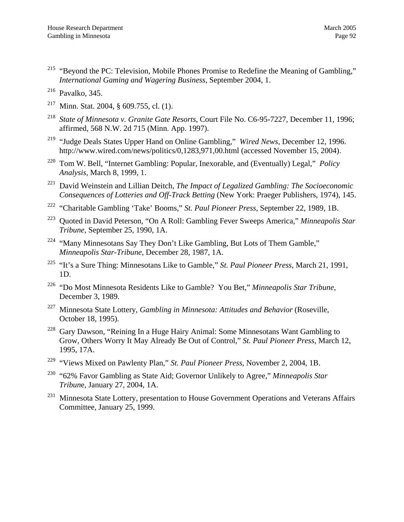<span id="page-95-24"></span><span id="page-95-0"></span><sup>215</sup> "Beyond the PC: Television, Mobile Phones Promise to Redefine the Meaning of Gambling," *International Gaming and Wagering Business*, September 2004, 1.

- <span id="page-95-21"></span><sup>217</sup> Minn. Stat. 2004, § 609.755, cl.  $(1)$ .
- <span id="page-95-6"></span>218 *State of Minnesota v. Granite Gate Resorts*, Court File No. C6-95-7227, December 11, 1996; affirmed, 568 N.W. 2d 715 (Minn. App. 1997).
- <span id="page-95-31"></span><span id="page-95-17"></span>219 "Judge Deals States Upper Hand on Online Gambling," *Wired News*, December 12, 1996. http://www.wired.com/news/politics/0,1283,971,00.html (accessed November 15, 2004).
- <span id="page-95-27"></span><span id="page-95-7"></span><span id="page-95-3"></span>220 Tom W. Bell, "Internet Gambling: Popular, Inexorable, and (Eventually) Legal," *Policy Analysis*, March 8, 1999, 1.
- <span id="page-95-25"></span>221 David Weinstein and Lillian Deitch, *The Impact of Legalized Gambling: The Socioeconomic Consequences of Lotteries and Off-Track Betting* (New York: Praeger Publishers, 1974), 145.
- <span id="page-95-18"></span>222 "Charitable Gambling 'Take' Booms," *St. Paul Pioneer Press*, September 22, 1989, 1B.
- <span id="page-95-10"></span>223 Quoted in David Peterson, "On A Roll: Gambling Fever Sweeps America," *Minneapolis Star Tribune*, September 25, 1990, 1A.
- <span id="page-95-26"></span><sup>224</sup> "Many Minnesotans Say They Don't Like Gambling, But Lots of Them Gamble," *Minneapolis Star-Tribune*, December 28, 1987, 1A.
- <span id="page-95-28"></span><span id="page-95-1"></span>225 "It's a Sure Thing: Minnesotans Like to Gamble," *St. Paul Pioneer Press*, March 21, 1991, 1D.
- <span id="page-95-19"></span><span id="page-95-12"></span><span id="page-95-11"></span>226 "Do Most Minnesota Residents Like to Gamble? You Bet," *Minneapolis Star Tribune*, December 3, 1989.
- <span id="page-95-22"></span>227 Minnesota State Lottery, *Gambling in Minnesota: Attitudes and Behavior* (Roseville, October 18, 1995).
- <span id="page-95-13"></span><span id="page-95-4"></span><sup>228</sup> Gary Dawson, "Reining In a Huge Hairy Animal: Some Minnesotans Want Gambling to Grow, Others Worry It May Already Be Out of Control," *St. Paul Pioneer Press*, March 12, 1995, 17A.
- <span id="page-95-14"></span><span id="page-95-8"></span>229 "Views Mixed on Pawlenty Plan," *St. Paul Pioneer Press*, November 2, 2004, 1B.
- <span id="page-95-33"></span><span id="page-95-32"></span>230 "62% Favor Gambling as State Aid; Governor Unlikely to Agree," *Minneapolis Star Tribun*e, January 27, 2004, 1A.
- <span id="page-95-29"></span><span id="page-95-23"></span><span id="page-95-20"></span><span id="page-95-16"></span><span id="page-95-15"></span><span id="page-95-9"></span><span id="page-95-5"></span><sup>231</sup> Minnesota State Lottery, presentation to House Government Operations and Veterans Affairs Committee, January 25, 1999.

<span id="page-95-30"></span><span id="page-95-2"></span> $216$  Pavalko, 345.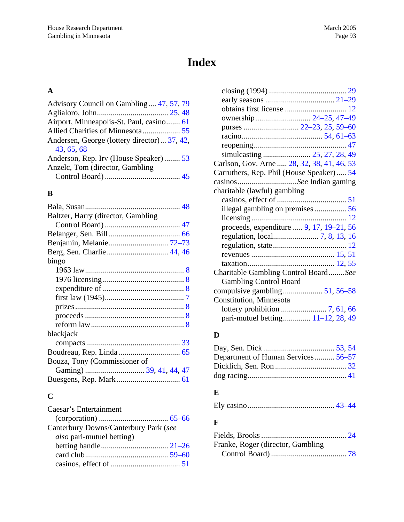# **Index**

# **A**

| Advisory Council on Gambling 47, 57, 79     |  |
|---------------------------------------------|--|
|                                             |  |
| Airport, Minneapolis-St. Paul, casino 61    |  |
| Allied Charities of Minnesota 55            |  |
| Andersen, George (lottery director) 37, 42, |  |
| 43, 65, 68                                  |  |
| Anderson, Rep. Irv (House Speaker) 53       |  |
| Anzelc, Tom (director, Gambling)            |  |
|                                             |  |

# **B**

| Baltzer, Harry (director, Gambling |
|------------------------------------|
|                                    |
|                                    |
|                                    |
|                                    |
| bingo                              |
|                                    |
|                                    |
|                                    |
|                                    |
|                                    |
|                                    |
|                                    |
| blackjack                          |
|                                    |
|                                    |
| Bouza, Tony (Commissioner of       |
|                                    |
|                                    |

# **C**

| Caesar's Entertainment                |  |
|---------------------------------------|--|
|                                       |  |
| Canterbury Downs/Canterbury Park (see |  |
| <i>also</i> pari-mutuel betting)      |  |
|                                       |  |
|                                       |  |
|                                       |  |

| ownership 24–25, 47–49                     |
|--------------------------------------------|
|                                            |
|                                            |
|                                            |
| simulcasting  25, 27, 28, 49               |
| Carlson, Gov. Arne  28, 32, 38, 41, 46, 53 |
| Carruthers, Rep. Phil (House Speaker) 54   |
| casinosSee Indian gaming                   |
| charitable (lawful) gambling               |
|                                            |
| illegal gambling on premises56             |
|                                            |
| proceeds, expenditure  9, 17, 19–21, 56    |
|                                            |
|                                            |
|                                            |
|                                            |
| Charitable Gambling Control BoardSee       |
| <b>Gambling Control Board</b>              |
|                                            |
| Constitution, Minnesota                    |
|                                            |
| pari-mutuel betting 11–12, 28, 49          |

# **D**

| Department of Human Services 56–57 |  |
|------------------------------------|--|
|                                    |  |
|                                    |  |

#### **E**

|--|--|--|--|

# **F**

| Franke, Roger (director, Gambling) |  |
|------------------------------------|--|
|                                    |  |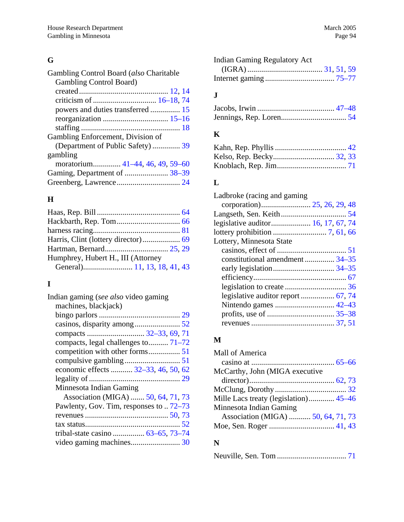# **G**

| Gambling Control Board (also Charitable |  |
|-----------------------------------------|--|
| <b>Gambling Control Board)</b>          |  |
|                                         |  |
|                                         |  |
|                                         |  |
|                                         |  |
|                                         |  |
| Gambling Enforcement, Division of       |  |
| (Department of Public Safety)  39       |  |
| gambling                                |  |
| moratorium 41–44, 46, 49, 59–60         |  |
|                                         |  |
|                                         |  |

# **H**

# **I**

| Indian gaming (see also video gaming    |  |
|-----------------------------------------|--|
| machines, blackjack)                    |  |
|                                         |  |
|                                         |  |
|                                         |  |
| compacts, legal challenges to 71–72     |  |
|                                         |  |
|                                         |  |
| economic effects  32–33, 46, 50, 62     |  |
|                                         |  |
| Minnesota Indian Gaming                 |  |
| Association (MIGA)  50, 64, 71, 73      |  |
| Pawlenty, Gov. Tim, responses to  72–73 |  |
|                                         |  |
|                                         |  |
| tribal-state casino  63–65, 73–74       |  |
|                                         |  |
|                                         |  |

| <b>Indian Gaming Regulatory Act</b> |  |
|-------------------------------------|--|
|                                     |  |
|                                     |  |

# **J**

## **K**

# **L**

| legislative auditor 16, 17, 67, 74 |
|------------------------------------|
|                                    |
|                                    |
|                                    |
| constitutional amendment 34-35     |
|                                    |
|                                    |
|                                    |
| legislative auditor report  67, 74 |
|                                    |
|                                    |
|                                    |
|                                    |

#### **M**

| Mall of America                       |  |
|---------------------------------------|--|
|                                       |  |
| McCarthy, John (MIGA executive        |  |
|                                       |  |
|                                       |  |
| Mille Lacs treaty (legislation) 45–46 |  |
| Minnesota Indian Gaming               |  |
| Association (MIGA)  50, 64, 71, 73    |  |
|                                       |  |

# **N**

|--|--|--|--|